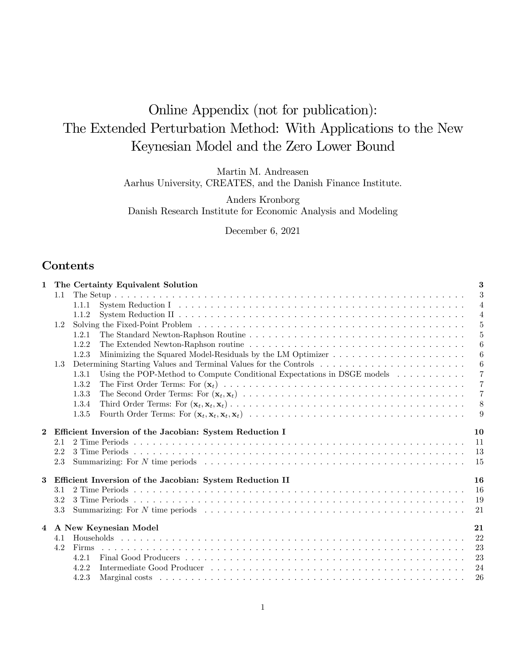# Online Appendix (not for publication): The Extended Perturbation Method: With Applications to the New Keynesian Model and the Zero Lower Bound

Martin M. Andreasen

Aarhus University, CREATES, and the Danish Finance Institute.

Anders Kronborg Danish Research Institute for Economic Analysis and Modeling

December 6, 2021

# Contents

| 1        |     | The Certainty Equivalent Solution                                                                    |                  |  |  |  |  |  |  |  |  |  |  |
|----------|-----|------------------------------------------------------------------------------------------------------|------------------|--|--|--|--|--|--|--|--|--|--|
|          | 1.1 |                                                                                                      | 3                |  |  |  |  |  |  |  |  |  |  |
|          |     | 1.1.1                                                                                                | $\overline{4}$   |  |  |  |  |  |  |  |  |  |  |
|          |     | 1.1.2                                                                                                | $\overline{4}$   |  |  |  |  |  |  |  |  |  |  |
|          | 1.2 |                                                                                                      | $\overline{5}$   |  |  |  |  |  |  |  |  |  |  |
|          |     | 1.2.1                                                                                                | $\overline{5}$   |  |  |  |  |  |  |  |  |  |  |
|          |     | 1.2.2                                                                                                | $\boldsymbol{6}$ |  |  |  |  |  |  |  |  |  |  |
|          |     | 1.2.3                                                                                                | 6                |  |  |  |  |  |  |  |  |  |  |
|          | 1.3 |                                                                                                      | $\overline{6}$   |  |  |  |  |  |  |  |  |  |  |
|          |     | Using the POP-Method to Compute Conditional Expectations in DSGE models $\dots \dots \dots$<br>1.3.1 | $\overline{7}$   |  |  |  |  |  |  |  |  |  |  |
|          |     | 1.3.2                                                                                                | $\overline{7}$   |  |  |  |  |  |  |  |  |  |  |
|          |     | 1.3.3                                                                                                | $\overline{7}$   |  |  |  |  |  |  |  |  |  |  |
|          |     | 1.3.4                                                                                                | 8                |  |  |  |  |  |  |  |  |  |  |
|          |     | 1.3.5                                                                                                | -9               |  |  |  |  |  |  |  |  |  |  |
| $\bf{2}$ |     | Efficient Inversion of the Jacobian: System Reduction I                                              | 10               |  |  |  |  |  |  |  |  |  |  |
|          | 2.1 |                                                                                                      | 11               |  |  |  |  |  |  |  |  |  |  |
|          | 2.2 |                                                                                                      | 13               |  |  |  |  |  |  |  |  |  |  |
|          | 2.3 |                                                                                                      | 15               |  |  |  |  |  |  |  |  |  |  |
|          |     |                                                                                                      |                  |  |  |  |  |  |  |  |  |  |  |
| 3        |     | Efficient Inversion of the Jacobian: System Reduction II                                             | 16               |  |  |  |  |  |  |  |  |  |  |
|          | 3.1 |                                                                                                      | 16               |  |  |  |  |  |  |  |  |  |  |
|          | 3.2 |                                                                                                      | 19               |  |  |  |  |  |  |  |  |  |  |
|          | 3.3 |                                                                                                      | 21               |  |  |  |  |  |  |  |  |  |  |
|          |     | 4 A New Keynesian Model                                                                              | 21               |  |  |  |  |  |  |  |  |  |  |
|          | 4.1 |                                                                                                      | 22               |  |  |  |  |  |  |  |  |  |  |
|          | 4.2 | Firms                                                                                                | 23               |  |  |  |  |  |  |  |  |  |  |
|          |     | 4.2.1                                                                                                | 23               |  |  |  |  |  |  |  |  |  |  |
|          |     | 4.2.2                                                                                                | 24               |  |  |  |  |  |  |  |  |  |  |
|          |     | 4.2.3                                                                                                | 26               |  |  |  |  |  |  |  |  |  |  |
|          |     |                                                                                                      |                  |  |  |  |  |  |  |  |  |  |  |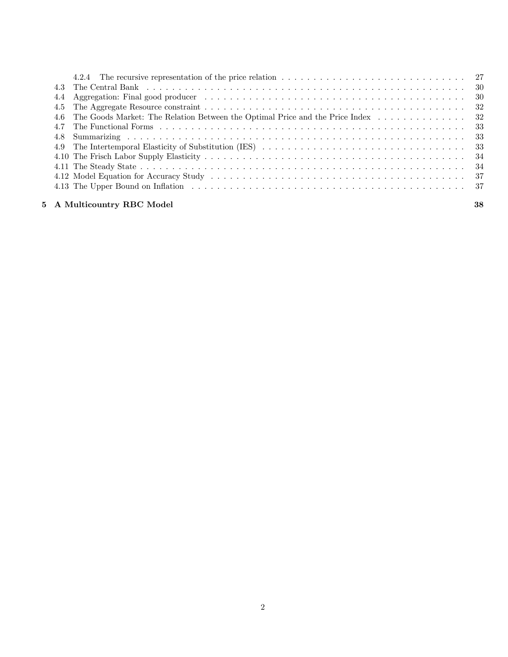| 4.5 |                                                                                                                                                                                                                               |    |
|-----|-------------------------------------------------------------------------------------------------------------------------------------------------------------------------------------------------------------------------------|----|
|     | 4.6 The Goods Market: The Relation Between the Optimal Price and the Price Index  32                                                                                                                                          |    |
|     |                                                                                                                                                                                                                               |    |
|     |                                                                                                                                                                                                                               |    |
|     |                                                                                                                                                                                                                               |    |
|     |                                                                                                                                                                                                                               |    |
|     |                                                                                                                                                                                                                               |    |
|     |                                                                                                                                                                                                                               |    |
|     | 4.13 The Upper Bound on Inflation contained a series of the contract of the Upper Bound on Inflation contained a series of the Upper Bound on Inflation contained a series of the Upper State of the Upper State of the Upper |    |
|     | 5 A Multicountry RBC Model                                                                                                                                                                                                    | 38 |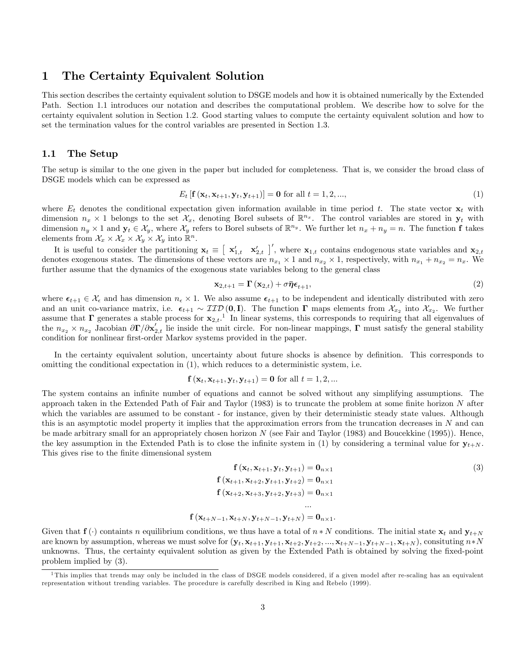# 1 The Certainty Equivalent Solution

This section describes the certainty equivalent solution to DSGE models and how it is obtained numerically by the Extended Path. Section 1.1 introduces our notation and describes the computational problem. We describe how to solve for the certainty equivalent solution in Section 1.2. Good starting values to compute the certainty equivalent solution and how to set the termination values for the control variables are presented in Section 1.3.

#### 1.1 The Setup

The setup is similar to the one given in the paper but included for completeness. That is, we consider the broad class of DSGE models which can be expressed as

$$
E_t \left[ \mathbf{f} \left( \mathbf{x}_t, \mathbf{x}_{t+1}, \mathbf{y}_t, \mathbf{y}_{t+1} \right) \right] = \mathbf{0} \text{ for all } t = 1, 2, ..., \tag{1}
$$

where  $E_t$  denotes the conditional expectation given information available in time period t. The state vector  $\mathbf{x}_t$  with dimension  $n_x \times 1$  belongs to the set  $\mathcal{X}_x$ , denoting Borel subsets of  $\mathbb{R}^{n_x}$ . The control variables are stored in  $\mathbf{y}_t$  with dimension  $n_y \times 1$  and  $\mathbf{y}_t \in \mathcal{X}_y$ , where  $\mathcal{X}_y$  refers to Borel subsets of  $\mathbb{R}^{n_y}$ . We further let  $n_x + n_y = n$ . The function f takes elements from  $\mathcal{X}_x \times \mathcal{X}_x \times \mathcal{X}_y \times \mathcal{X}_y$  into  $\mathbb{R}^n$ .

It is useful to consider the partitioning  $\mathbf{x}_t \equiv [\mathbf{x}'_{1,t} \quad \mathbf{x}'_{2,t} ]'$ , where  $\mathbf{x}_{1,t}$  contains endogenous state variables and  $\mathbf{x}_{2,t}$ denotes exogenous states. The dimensions of these vectors are  $n_{x_1} \times 1$  and  $n_{x_2} \times 1$ , respectively, with  $n_{x_1} + n_{x_2} = n_x$ . We further assume that the dynamics of the exogenous state variables belong to the general class

$$
\mathbf{x}_{2,t+1} = \mathbf{\Gamma}\left(\mathbf{x}_{2,t}\right) + \sigma \bar{\boldsymbol{\eta}} \boldsymbol{\epsilon}_{t+1},\tag{2}
$$

where  $\epsilon_{t+1} \in \mathcal{X}_{\epsilon}$  and has dimension  $n_{\epsilon} \times 1$ . We also assume  $\epsilon_{t+1}$  to be independent and identically distributed with zero and an unit co-variance matrix, i.e.  $\epsilon_{t+1} \sim \mathcal{IID}(\mathbf{0}, \mathbf{I})$ . The function  $\Gamma$  maps elements from  $\mathcal{X}_{x_2}$  into  $\mathcal{X}_{x_2}$ . We further assume that  $\Gamma$  generates a stable process for  $\mathbf{x}_{2,t}$ .<sup>1</sup> In linear systems, this corresponds to requiring that all eigenvalues of the  $n_{x_2} \times n_{x_2}$  Jacobian  $\partial \Gamma/\partial x'_{2,t}$  lie inside the unit circle. For non-linear mappings,  $\Gamma$  must satisfy the general stability condition for nonlinear first-order Markov systems provided in the paper.

In the certainty equivalent solution, uncertainty about future shocks is absence by definition. This corresponds to omitting the conditional expectation in (1), which reduces to a deterministic system, i.e.

$$
f(x_t, x_{t+1}, y_t, y_{t+1}) = 0
$$
 for all  $t = 1, 2, ...$ 

The system contains an infinite number of equations and cannot be solved without any simplifying assumptions. The approach taken in the Extended Path of Fair and Taylor  $(1983)$  is to truncate the problem at some finite horizon N after which the variables are assumed to be constant - for instance, given by their deterministic steady state values. Although this is an asymptotic model property it implies that the approximation errors from the truncation decreases in  $N$  and can be made arbitrary small for an appropriately chosen horizon  $N$  (see Fair and Taylor (1983) and Boucekkine (1995)). Hence, the key assumption in the Extended Path is to close the infinite system in (1) by considering a terminal value for  $y_{t+N}$ . This gives rise to the finite dimensional system

$$
\mathbf{f}(\mathbf{x}_t, \mathbf{x}_{t+1}, \mathbf{y}_t, \mathbf{y}_{t+1}) = \mathbf{0}_{n \times 1} \n\mathbf{f}(\mathbf{x}_{t+1}, \mathbf{x}_{t+2}, \mathbf{y}_{t+1}, \mathbf{y}_{t+2}) = \mathbf{0}_{n \times 1} \n\mathbf{f}(\mathbf{x}_{t+2}, \mathbf{x}_{t+3}, \mathbf{y}_{t+2}, \mathbf{y}_{t+3}) = \mathbf{0}_{n \times 1} \n\vdots \n\mathbf{f}(\mathbf{x}_{t+N-1}, \mathbf{x}_{t+N}, \mathbf{y}_{t+N-1}, \mathbf{y}_{t+N}) = \mathbf{0}_{n \times 1}.
$$
\n(3)

Given that  $f(\cdot)$  containts n equilibrium conditions, we thus have a total of  $n * N$  conditions. The initial state  $x_t$  and  $y_{t+N}$ are known by assumption, whereas we must solve for  $(\mathbf{y}_t, \mathbf{x}_{t+1}, \mathbf{y}_{t+1}, \mathbf{x}_{t+2}, \mathbf{y}_{t+2}, ..., \mathbf{x}_{t+N-1}, \mathbf{y}_{t+N-1}, \mathbf{x}_{t+N})$ , consituting  $n*N$ unknowns. Thus, the certainty equivalent solution as given by the Extended Path is obtained by solving the fixed-point problem implied by (3).

<sup>&</sup>lt;sup>1</sup>This implies that trends may only be included in the class of DSGE models considered, if a given model after re-scaling has an equivalent representation without trending variables. The procedure is carefully described in King and Rebelo (1999).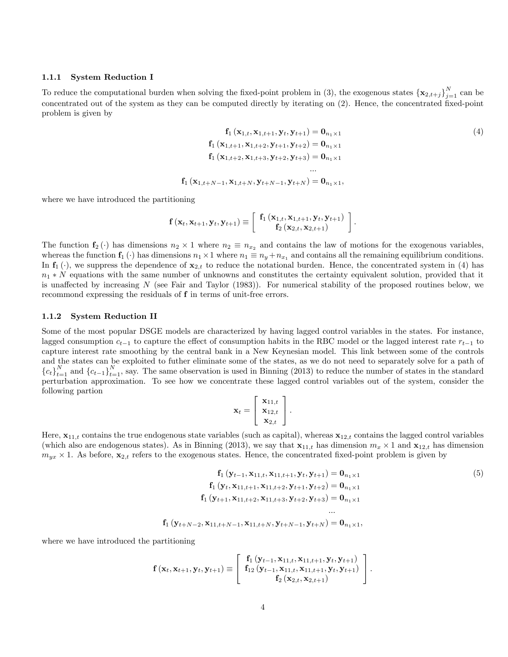#### 1.1.1 System Reduction I

To reduce the computational burden when solving the fixed-point problem in (3), the exogenous states  $\{\mathbf{x}_{2,t+j}\}_{j=1}^N$  can be concentrated out of the system as they can be computed directly by iterating on (2). Hence, the concentrated Öxed-point problem is given by

$$
\mathbf{f}_{1}(\mathbf{x}_{1,t}, \mathbf{x}_{1,t+1}, \mathbf{y}_{t}, \mathbf{y}_{t+1}) = \mathbf{0}_{n_{1} \times 1}
$$
\n
$$
\mathbf{f}_{1}(\mathbf{x}_{1,t+1}, \mathbf{x}_{1,t+2}, \mathbf{y}_{t+1}, \mathbf{y}_{t+2}) = \mathbf{0}_{n_{1} \times 1}
$$
\n
$$
\mathbf{f}_{1}(\mathbf{x}_{1,t+2}, \mathbf{x}_{1,t+3}, \mathbf{y}_{t+2}, \mathbf{y}_{t+3}) = \mathbf{0}_{n_{1} \times 1}
$$
\n
$$
\dots
$$
\n
$$
\mathbf{f}_{1}(\mathbf{x}_{1,t+N-1}, \mathbf{x}_{1,t+N}, \mathbf{y}_{t+N-1}, \mathbf{y}_{t+N}) = \mathbf{0}_{n_{1} \times 1},
$$
\n(4)

:

where we have introduced the partitioning

$$
\mathbf{f}\left(\mathbf{x}_{t},\mathbf{x}_{t+1},\mathbf{y}_{t},\mathbf{y}_{t+1}\right)\equiv\left[\begin{array}{c} \mathbf{f}_{1}\left(\mathbf{x}_{1,t},\mathbf{x}_{1,t+1},\mathbf{y}_{t},\mathbf{y}_{t+1}\right) \\ \mathbf{f}_{2}\left(\mathbf{x}_{2,t},\mathbf{x}_{2,t+1}\right)\end{array}\right]
$$

The function  $f_2(\cdot)$  has dimensions  $n_2 \times 1$  where  $n_2 \equiv n_{x_2}$  and contains the law of motions for the exogenous variables, whereas the function  $f_1(\cdot)$  has dimensions  $n_1 \times 1$  where  $n_1 \equiv n_y + n_{x_1}$  and contains all the remaining equilibrium conditions. In  $f_1(\cdot)$ , we suppress the dependence of  $x_{2,t}$  to reduce the notational burden. Hence, the concentrated system in (4) has  $n_1 * N$  equations with the same number of unknowns and constitutes the certainty equivalent solution, provided that it is unaffected by increasing  $N$  (see Fair and Taylor (1983)). For numerical stability of the proposed routines below, we recommond expressing the residuals of f in terms of unit-free errors.

#### 1.1.2 System Reduction II

Some of the most popular DSGE models are characterized by having lagged control variables in the states. For instance, lagged consumption  $c_{t-1}$  to capture the effect of consumption habits in the RBC model or the lagged interest rate  $r_{t-1}$  to capture interest rate smoothing by the central bank in a New Keynesian model. This link between some of the controls and the states can be exploited to futher eliminate some of the states, as we do not need to separately solve for a path of  ${c_t}_{t=1}^N$  and  ${c_{t-1}}_{t=1}^N$ , say. The same observation is used in Binning (2013) to reduce the number of states in the standard perturbation approximation. To see how we concentrate these lagged control variables out of the system, consider the following partion

$$
\mathbf{x}_t = \left[\begin{array}{c} \mathbf{x}_{11,t} \\ \mathbf{x}_{12,t} \\ \mathbf{x}_{2,t} \end{array}\right].
$$

Here,  $x_{11,t}$  contains the true endogenous state variables (such as capital), whereas  $x_{12,t}$  contains the lagged control variables (which also are endogenous states). As in Binning (2013), we say that  $\mathbf{x}_{11,t}$  has dimension  $m_x \times 1$  and  $\mathbf{x}_{12,t}$  has dimension  $m_{yx} \times 1$ . As before,  $\mathbf{x}_{2,t}$  refers to the exogenous states. Hence, the concentrated fixed-point problem is given by

$$
\mathbf{f}_{1} \left( \mathbf{y}_{t-1}, \mathbf{x}_{11,t}, \mathbf{x}_{11,t+1}, \mathbf{y}_{t}, \mathbf{y}_{t+1} \right) = \mathbf{0}_{n_{1} \times 1}
$$
\n
$$
\mathbf{f}_{1} \left( \mathbf{y}_{t}, \mathbf{x}_{11,t+1}, \mathbf{x}_{11,t+2}, \mathbf{y}_{t+1}, \mathbf{y}_{t+2} \right) = \mathbf{0}_{n_{1} \times 1}
$$
\n
$$
\mathbf{f}_{1} \left( \mathbf{y}_{t+1}, \mathbf{x}_{11,t+2}, \mathbf{x}_{11,t+3}, \mathbf{y}_{t+2}, \mathbf{y}_{t+3} \right) = \mathbf{0}_{n_{1} \times 1}
$$
\n
$$
\dots
$$
\n
$$
\mathbf{f}_{1} \left( \mathbf{y}_{t+N-2}, \mathbf{x}_{11,t+N-1}, \mathbf{x}_{11,t+N}, \mathbf{y}_{t+N-1}, \mathbf{y}_{t+N} \right) = \mathbf{0}_{n_{1} \times 1},
$$
\n
$$
(5)
$$

where we have introduced the partitioning

$$
\mathbf{f}\left(\mathbf{x}_{t}, \mathbf{x}_{t+1}, \mathbf{y}_{t}, \mathbf{y}_{t+1}\right) \equiv \left[ \begin{array}{c} \mathbf{f}_{1}\left(\mathbf{y}_{t-1}, \mathbf{x}_{11, t}, \mathbf{x}_{11, t+1}, \mathbf{y}_{t}, \mathbf{y}_{t+1}\right) \\ \mathbf{f}_{12}\left(\mathbf{y}_{t-1}, \mathbf{x}_{11, t}, \mathbf{x}_{11, t+1}, \mathbf{y}_{t}, \mathbf{y}_{t+1}\right) \\ \mathbf{f}_{2}\left(\mathbf{x}_{2, t}, \mathbf{x}_{2, t+1}\right) \end{array} \right].
$$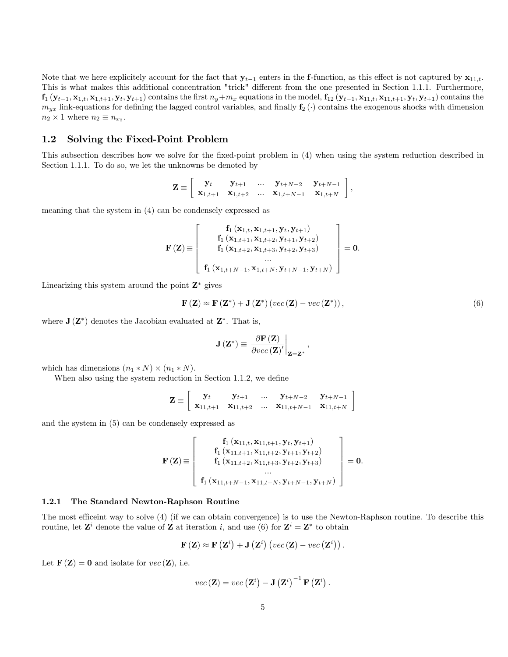Note that we here explicitely account for the fact that  $y_{t-1}$  enters in the f-function, as this effect is not captured by  $x_{11,t}$ . This is what makes this additional concentration "trick" different from the one presented in Section 1.1.1. Furthermore,  $f_1$   $(\mathbf{y}_{t-1}, \mathbf{x}_{1,t}, \mathbf{x}_{1:t+1}, \mathbf{y}_t, \mathbf{y}_{t+1})$  contains the first  $n_y + m_x$  equations in the model,  $f_{12}$   $(\mathbf{y}_{t-1}, \mathbf{x}_{11,t}, \mathbf{x}_{11,t+1}, \mathbf{y}_t, \mathbf{y}_{t+1})$  contains the  $m_{yx}$  link-equations for defining the lagged control variables, and finally  $f_2(\cdot)$  contains the exogenous shocks with dimension  $n_2 \times 1$  where  $n_2 \equiv n_{x_2}$ .

#### 1.2 Solving the Fixed-Point Problem

This subsection describes how we solve for the Öxed-point problem in (4) when using the system reduction described in Section 1.1.1. To do so, we let the unknowns be denoted by

$$
\mathbf{Z} \equiv \left[ \begin{array}{cccc} \mathbf{y}_t & \mathbf{y}_{t+1} & \dots & \mathbf{y}_{t+N-2} & \mathbf{y}_{t+N-1} \\ \mathbf{x}_{1,t+1} & \mathbf{x}_{1,t+2} & \dots & \mathbf{x}_{1,t+N-1} & \mathbf{x}_{1,t+N} \end{array} \right],
$$

meaning that the system in (4) can be condensely expressed as

$$
\mathbf{F}\left(\mathbf{Z}\right) \equiv \left[ \begin{array}{c} \mathbf{f}_{1}\left(\mathbf{x}_{1,t}, \mathbf{x}_{1,t+1}, \mathbf{y}_{t}, \mathbf{y}_{t+1}\right) \\ \mathbf{f}_{1}\left(\mathbf{x}_{1,t+1}, \mathbf{x}_{1,t+2}, \mathbf{y}_{t+1}, \mathbf{y}_{t+2}\right) \\ \mathbf{f}_{1}\left(\mathbf{x}_{1,t+2}, \mathbf{x}_{1,t+3}, \mathbf{y}_{t+2}, \mathbf{y}_{t+3}\right) \\ \dots \\ \mathbf{f}_{1}\left(\mathbf{x}_{1,t+N-1}, \mathbf{x}_{1,t+N}, \mathbf{y}_{t+N-1}, \mathbf{y}_{t+N}\right) \end{array} \right] = \mathbf{0}.
$$

Linearizing this system around the point  $\mathbf{Z}^*$  gives

$$
\mathbf{F}\left(\mathbf{Z}\right) \approx \mathbf{F}\left(\mathbf{Z}^*\right) + \mathbf{J}\left(\mathbf{Z}^*\right)\left(vec\left(\mathbf{Z}\right) - vec\left(\mathbf{Z}^*\right)\right),\tag{6}
$$

where  $J(Z^*)$  denotes the Jacobian evaluated at  $Z^*$ . That is,

$$
\mathbf{J}\left(\mathbf{Z}^*\right) \equiv \left.\frac{\partial \mathbf{F}\left(\mathbf{Z}\right)}{\partial vec\left(\mathbf{Z}\right)'}\right|_{\mathbf{Z}=\mathbf{Z}^*},
$$

which has dimensions  $(n_1 * N) \times (n_1 * N)$ .

When also using the system reduction in Section 1.1.2, we define

$$
\mathbf{Z} \equiv \left[ \begin{array}{cccc} \mathbf{y}_t & \mathbf{y}_{t+1} & \dots & \mathbf{y}_{t+N-2} & \mathbf{y}_{t+N-1} \\ \mathbf{x}_{11,t+1} & \mathbf{x}_{11,t+2} & \dots & \mathbf{x}_{11,t+N-1} & \mathbf{x}_{11,t+N} \end{array} \right]
$$

and the system in (5) can be condensely expressed as

$$
\mathbf{F}(\mathbf{Z}) \equiv \left[ \begin{array}{c} \mathbf{f}_1\left(\mathbf{x}_{11,t}, \mathbf{x}_{11,t+1}, \mathbf{y}_t, \mathbf{y}_{t+1}\right) \\ \mathbf{f}_1\left(\mathbf{x}_{11,t+1}, \mathbf{x}_{11,t+2}, \mathbf{y}_{t+1}, \mathbf{y}_{t+2}\right) \\ \mathbf{f}_1\left(\mathbf{x}_{11,t+2}, \mathbf{x}_{11,t+3}, \mathbf{y}_{t+2}, \mathbf{y}_{t+3}\right) \\ \cdots \\ \mathbf{f}_1\left(\mathbf{x}_{11,t+N-1}, \mathbf{x}_{11,t+N}, \mathbf{y}_{t+N-1}, \mathbf{y}_{t+N}\right) \end{array}\right] = \mathbf{0}.
$$

#### 1.2.1 The Standard Newton-Raphson Routine

The most efficeint way to solve (4) (if we can obtain convergence) is to use the Newton-Raphson routine. To describe this routine, let  $\mathbf{Z}^i$  denote the value of  $\mathbf{Z}$  at iteration i, and use (6) for  $\mathbf{Z}^i = \mathbf{Z}^*$  to obtain

$$
\mathbf{F}\left(\mathbf{Z}\right) \approx \mathbf{F}\left(\mathbf{Z}^{i}\right) + \mathbf{J}\left(\mathbf{Z}^{i}\right)\left( vec\left(\mathbf{Z}\right) - vec\left(\mathbf{Z}^{i}\right)\right).
$$

Let  $\mathbf{F}(\mathbf{Z}) = \mathbf{0}$  and isolate for  $vec(\mathbf{Z})$ , i.e.

$$
vec(\mathbf{Z}) = vec(\mathbf{Z}^i) - \mathbf{J}(\mathbf{Z}^i)^{-1} \mathbf{F}(\mathbf{Z}^i).
$$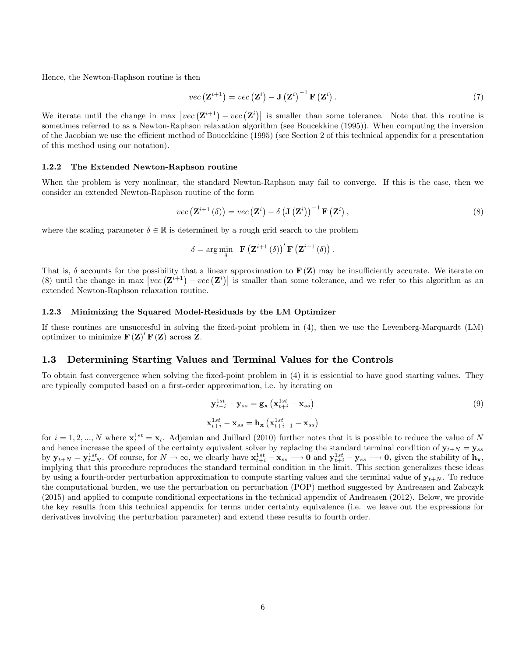Hence, the Newton-Raphson routine is then

$$
vec\left(\mathbf{Z}^{i+1}\right) = vec\left(\mathbf{Z}^{i}\right) - \mathbf{J}\left(\mathbf{Z}^{i}\right)^{-1} \mathbf{F}\left(\mathbf{Z}^{i}\right). \tag{7}
$$

We iterate until the change in max  $|vec(\mathbf{Z}^{i+1}) - vec(\mathbf{Z}^i)|$  is smaller than some tolerance. Note that this routine is sometimes referred to as a Newton-Raphson relaxation algorithm (see Boucekkine (1995)). When computing the inversion of the Jacobian we use the efficient method of Boucekkine (1995) (see Section 2 of this technical appendix for a presentation of this method using our notation).

#### 1.2.2 The Extended Newton-Raphson routine

When the problem is very nonlinear, the standard Newton-Raphson may fail to converge. If this is the case, then we consider an extended Newton-Raphson routine of the form

$$
vec\left(\mathbf{Z}^{i+1}\left(\delta\right)\right) = vec\left(\mathbf{Z}^{i}\right) - \delta\left(\mathbf{J}\left(\mathbf{Z}^{i}\right)\right)^{-1}\mathbf{F}\left(\mathbf{Z}^{i}\right),\tag{8}
$$

where the scaling parameter  $\delta \in \mathbb{R}$  is determined by a rough grid search to the problem

$$
\delta = \arg\min_{\delta} \mathbf{F}\left(\mathbf{Z}^{i+1}\left(\delta\right)\right)' \mathbf{F}\left(\mathbf{Z}^{i+1}\left(\delta\right)\right).
$$

That is,  $\delta$  accounts for the possibility that a linear approximation to  $F(Z)$  may be insufficiently accurate. We iterate on (8) until the change in max  $|vec(\mathbf{Z}^{i+1}) - vec(\mathbf{Z}^i)|$  is smaller than some tolerance, and we refer to this algorithm as an extended Newton-Raphson relaxation routine.

#### 1.2.3 Minimizing the Squared Model-Residuals by the LM Optimizer

If these routines are unsuccesful in solving the fixed-point problem in (4), then we use the Levenberg-Marquardt (LM) optimizer to minimize  $\mathbf{F}(\mathbf{Z})' \mathbf{F}(\mathbf{Z})$  across **Z**.

#### 1.3 Determining Starting Values and Terminal Values for the Controls

To obtain fast convergence when solving the fixed-point problem in (4) it is essiential to have good starting values. They are typically computed based on a first-order approximation, i.e. by iterating on

$$
\mathbf{y}_{t+i}^{1st} - \mathbf{y}_{ss} = \mathbf{g}_{\mathbf{x}} \left( \mathbf{x}_{t+i}^{1st} - \mathbf{x}_{ss} \right)
$$
\n
$$
\mathbf{x}_{t+i}^{1st} - \mathbf{x}_{ss} = \mathbf{h}_{\mathbf{x}} \left( \mathbf{x}_{t+i-1}^{1st} - \mathbf{x}_{ss} \right)
$$
\n(9)

for  $i = 1, 2, ..., N$  where  $\mathbf{x}_t^{1st} = \mathbf{x}_t$ . Adjemian and Juillard (2010) further notes that it is possible to reduce the value of N and hence increase the speed of the certainty equivalent solver by replacing the standard terminal condition of  $y_{t+N} = y_{ss}$ by  $\mathbf{y}_{t+N} = \mathbf{y}_{t+N}^{1st}$ . Of course, for  $N \to \infty$ , we clearly have  $\mathbf{x}_{t+i}^{1st} - \mathbf{x}_{ss} \longrightarrow 0$  and  $\mathbf{y}_{t+i}^{1st} - \mathbf{y}_{ss} \longrightarrow 0$ , given the stability of  $\mathbf{h}_{\mathbf{x}}$ , implying that this procedure reproduces the standard terminal condition in the limit. This section generalizes these ideas by using a fourth-order perturbation approximation to compute starting values and the terminal value of  $\mathbf{y}_{t+N}$ . To reduce the computational burden, we use the perturbation on perturbation (POP) method suggested by Andreasen and Zabczyk (2015) and applied to compute conditional expectations in the technical appendix of Andreasen (2012). Below, we provide the key results from this technical appendix for terms under certainty equivalence (i.e. we leave out the expressions for derivatives involving the perturbation parameter) and extend these results to fourth order.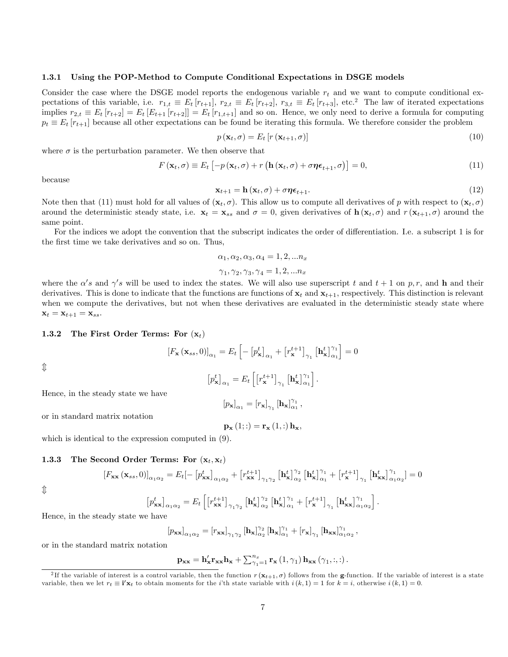#### 1.3.1 Using the POP-Method to Compute Conditional Expectations in DSGE models

Consider the case where the DSGE model reports the endogenous variable  $r_t$  and we want to compute conditional expectations of this variable, i.e.  $r_{1,t} \equiv E_t [r_{t+1}], r_{2,t} \equiv E_t [r_{t+2}], r_{3,t} \equiv E_t [r_{t+3}],$  etc.<sup>2</sup> The law of iterated expectations implies  $r_{2,t} \equiv E_t [r_{t+2}] = E_t [E_{t+1} [r_{t+2}]] = E_t [r_{1,t+1}]$  and so on. Hence, we only need to derive a formula for computing  $p_t \equiv E_t [r_{t+1}]$  because all other expectations can be found be iterating this formula. We therefore consider the problem

$$
p\left(\mathbf{x}_t, \sigma\right) = E_t \left[ r\left(\mathbf{x}_{t+1}, \sigma\right) \right] \tag{10}
$$

where  $\sigma$  is the perturbation parameter. We then observe that

$$
F(\mathbf{x}_t, \sigma) \equiv E_t \left[ -p(\mathbf{x}_t, \sigma) + r(\mathbf{h}(\mathbf{x}_t, \sigma) + \sigma \boldsymbol{\eta} \boldsymbol{\epsilon}_{t+1}, \sigma) \right] = 0, \tag{11}
$$

because

$$
\mathbf{x}_{t+1} = \mathbf{h}\left(\mathbf{x}_t, \sigma\right) + \sigma \boldsymbol{\eta} \boldsymbol{\epsilon}_{t+1}.\tag{12}
$$

Note then that (11) must hold for all values of  $(\mathbf{x}_t, \sigma)$ . This allow us to compute all derivatives of p with respect to  $(\mathbf{x}_t, \sigma)$ around the deterministic steady state, i.e.  $\mathbf{x}_t = \mathbf{x}_{ss}$  and  $\sigma = 0$ , given derivatives of  $\mathbf{h}(\mathbf{x}_t, \sigma)$  and  $r(\mathbf{x}_{t+1}, \sigma)$  around the same point.

For the indices we adopt the convention that the subscript indicates the order of differentiation. I.e. a subscript 1 is for the first time we take derivatives and so on. Thus,

$$
\alpha_1, \alpha_2, \alpha_3, \alpha_4 = 1, 2, \ldots n_x
$$

$$
\gamma_1,\gamma_2,\gamma_3,\gamma_4=1,2,...n_x
$$

where the  $\alpha's$  and  $\gamma's$  will be used to index the states. We will also use superscript t and  $t+1$  on p, r, and h and their derivatives. This is done to indicate that the functions are functions of  $\mathbf{x}_t$  and  $\mathbf{x}_{t+1}$ , respectively. This distinction is relevant when we compute the derivatives, but not when these derivatives are evaluated in the deterministic steady state where  $\mathbf{x}_t = \mathbf{x}_{t+1} = \mathbf{x}_{ss}.$ 

#### 1.3.2 The First Order Terms: For  $(x_t)$

$$
\left[F_{\mathbf{x}}\left(\mathbf{x}_{ss},0\right)\right]_{\alpha_{1}} = E_{t}\left[-\left[p_{\mathbf{x}}^{t}\right]_{\alpha_{1}} + \left[r_{\mathbf{x}}^{t+1}\right]_{\gamma_{1}}\left[\mathbf{h}_{\mathbf{x}}^{t}\right]_{\alpha_{1}}^{\gamma_{1}}\right] = 0
$$

 $\hat{\Downarrow}$ 

$$
\left[p_{\mathbf{x}}^t\right]_{\alpha_1} = E_t \left[\left[r_{\mathbf{x}}^{t+1}\right]_{\gamma_1} \left[\mathbf{h}_{\mathbf{x}}^t\right]_{\alpha_1}^{\gamma_1}\right].
$$

Hence, in the steady state we have

$$
\left[ p_{\mathbf{x}}\right]_{\alpha_1}=\left[ r_{\mathbf{x}}\right]_{\gamma_1}\left[\mathbf{h}_{\mathbf{x}}\right]_{\alpha_1}^{\gamma_1},
$$

or in standard matrix notation

$$
\mathbf{p}_{\mathbf{x}}\left(1;:\right)=\mathbf{r}_{\mathbf{x}}\left(1;:\right)\mathbf{h}_{\mathbf{x}},
$$

# 1.3.3 The Second Order Terms: For  $(x_t, x_t)$

which is identical to the expression computed in (9).

$$
\left[F_{\textbf{xx}}\left(\textbf{x}_{ss},0\right)\right]_{\alpha_1\alpha_2} = E_t\left[-\left[p_{\textbf{xx}}^t\right]_{\alpha_1\alpha_2} + \left[r_{\textbf{xx}}^{t+1}\right]_{\gamma_1\gamma_2}\left[\textbf{h}_{\textbf{x}}^t\right]_{\alpha_2}^{\gamma_2}\left[\textbf{h}_{\textbf{x}}^t\right]_{\alpha_1}^{\gamma_1} + \left[r_{\textbf{x}}^{t+1}\right]_{\gamma_1}\left[\textbf{h}_{\textbf{xx}}^t\right]_{\alpha_1\alpha_2}^{\gamma_1}\right] = 0
$$

 $\hat{\mathbb{I}}$ 

$$
\left[p^t_{\textbf{xx}}\right]_{\alpha_1\alpha_2}=E_t\left[\left[r^{t+1}_{\textbf{xx}}\right]_{\gamma_1\gamma_2}\left[\textbf{h}^t_{\textbf{x}}\right]^{\gamma_2}_{\alpha_2}\left[\textbf{h}^t_{\textbf{x}}\right]^{\gamma_1}_{\alpha_1}+\left[r^{t+1}_{\textbf{x}}\right]_{\gamma_1}\left[\textbf{h}^t_{\textbf{xx}}\right]^{\gamma_1}_{\alpha_1\alpha_2}\right].
$$

Hence, in the steady state we have

$$
\left[p_{\textbf{xx}}\right]_{\alpha_1\alpha_2} = \left[r_{\textbf{xx}}\right]_{\gamma_1\gamma_2} \left[\textbf{h}_{\textbf{x}}\right]_{\alpha_2}^{\gamma_2} \left[\textbf{h}_{\textbf{x}}\right]_{\alpha_1}^{\gamma_1} + \left[r_{\textbf{x}}\right]_{\gamma_1} \left[\textbf{h}_{\textbf{xx}}\right]_{\alpha_1\alpha_2}^{\gamma_1},
$$

or in the standard matrix notation

$$
\mathbf{p_{xx}} = \mathbf{h'_{x}} \mathbf{r_{xx}} \mathbf{h_{x}} + \sum_{\gamma_1=1}^{n_x} \mathbf{r_{x}}\left(1, \gamma_1\right) \mathbf{h_{xx}}\left(\gamma_1, :, : \right).
$$

<sup>&</sup>lt;sup>2</sup>If the variable of interest is a control variable, then the function  $r(\mathbf{x}_{t+1}, \sigma)$  follows from the **g**-function. If the variable of interest is a state variable, then we let  $r_t \equiv \mathbf{i}' \mathbf{x}_t$  to obtain moments for the *i*'th state variable with  $i(k, 1) = 1$  for  $k = i$ , otherwise  $i(k, 1) = 0$ .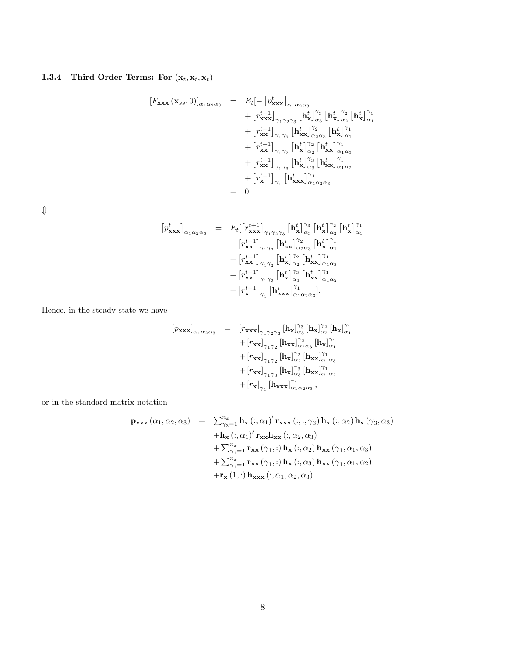# 1.3.4 Third Order Terms: For  $(\mathbf{x}_t, \mathbf{x}_t, \mathbf{x}_t)$

$$
[F_{\mathbf{x}\mathbf{x}\mathbf{x}}(\mathbf{x}_{ss},0)]_{\alpha_1\alpha_2\alpha_3} = E_t[-[p^t_{\mathbf{x}\mathbf{x}\mathbf{x}}]_{\alpha_1\alpha_2\alpha_3} + [r^{t+1}_{\mathbf{x}\mathbf{x}\mathbf{x}}]_{\gamma_1\gamma_2\gamma_3} [\mathbf{h}^t_{\mathbf{x}}]_{\alpha_3}^{\gamma_3} [\mathbf{h}^t_{\mathbf{x}}]_{\alpha_2}^{\gamma_2} [\mathbf{h}^t_{\mathbf{x}\mathbf{x}}]_{\alpha_1}^{\gamma_1} + [r^{t+1}_{\mathbf{x}\mathbf{x}}]_{\gamma_1\gamma_2} [\mathbf{h}^t_{\mathbf{x}\mathbf{x}}]_{\alpha_2\alpha_3}^{\gamma_2} [\mathbf{h}^t_{\mathbf{x}}]_{\alpha_1}^{\gamma_1} + [r^{t+1}_{\mathbf{x}\mathbf{x}}]_{\gamma_1\gamma_2} [\mathbf{h}^t_{\mathbf{x}\mathbf{x}}]_{\alpha_2}^{\gamma_2} [\mathbf{h}^t_{\mathbf{x}\mathbf{x}}]_{\alpha_1\alpha_3}^{\gamma_1} + [r^{t+1}_{\mathbf{x}\mathbf{x}}]_{\gamma_1\gamma_3} [\mathbf{h}^t_{\mathbf{x}\mathbf{x}}]_{\alpha_3}^{\gamma_3} [\mathbf{h}^t_{\mathbf{x}\mathbf{x}}]_{\alpha_1\alpha_2}^{\gamma_1} + [r^{t+1}_{\mathbf{x}\mathbf{x}}]_{\gamma_1} [\mathbf{h}^t_{\mathbf{x}\mathbf{x}\mathbf{x}}]_{\alpha_1\alpha_2\alpha_3}^{\gamma_1}
$$
  
= 0

 $\mathbbmss{D}$ 

$$
\begin{array}{lcl} \left[p^{t}_{\mathbf{x}\mathbf{x}\mathbf{x}}\right]_{\alpha_{1}\alpha_{2}\alpha_{3}} & = & \left. E_{t} \right[\left[r^{t+1}_{\mathbf{x}\mathbf{x}\mathbf{x}}\right]_{\gamma_{1}\gamma_{2}\gamma_{3}} \left[\mathbf{h}^{t}_{\mathbf{x}}\right]_{\alpha_{3}}^{\gamma_{3}} \left[\mathbf{h}^{t}_{\mathbf{x}}\right]_{\alpha_{2}}^{\gamma_{2}} \left[\mathbf{h}^{t}_{\mathbf{x}}\right]_{\alpha_{1}}^{\gamma_{1}} \\ & & \left. + \left[r^{t+1}_{\mathbf{x}\mathbf{x}}\right]_{\gamma_{1}\gamma_{2}} \left[\mathbf{h}^{t}_{\mathbf{x}\mathbf{x}}\right]_{\alpha_{2}\alpha_{3}}^{\gamma_{2}} \left[\mathbf{h}^{t}_{\mathbf{x}}\right]_{\alpha_{1}}^{\gamma_{1}} \\ & & \left. + \left[r^{t+1}_{\mathbf{x}\mathbf{x}}\right]_{\gamma_{1}\gamma_{2}} \left[\mathbf{h}^{t}_{\mathbf{x}}\right]_{\alpha_{2}}^{\gamma_{2}} \left[\mathbf{h}^{t}_{\mathbf{x}\mathbf{x}}\right]_{\alpha_{1}\alpha_{3}}^{\gamma_{1}} \\ & & \left. + \left[r^{t+1}_{\mathbf{x}\mathbf{x}}\right]_{\gamma_{1}\gamma_{3}} \left[\mathbf{h}^{t}_{\mathbf{x}}\right]_{\alpha_{3}}^{\gamma_{3}} \left[\mathbf{h}^{t}_{\mathbf{x}\mathbf{x}}\right]_{\alpha_{1}\alpha_{2}}^{\gamma_{1}} \\ & & \left. + \left[r^{t+1}_{\mathbf{x}}\right]_{\gamma_{1}} \left[\mathbf{h}^{t}_{\mathbf{x}\mathbf{x}\mathbf{x}}\right]_{\alpha_{1}\alpha_{2}\alpha_{3}}^{\gamma_{1}}\right]. \end{array}
$$

Hence, in the steady state we have

$$
\begin{array}{lcl} \left[p_{\textbf{xxx}}\right]_{\alpha_1\alpha_2\alpha_3} & = & \left[r_{\textbf{xxx}}\right]_{\gamma_1\gamma_2\gamma_3} \left[\mathbf{h_x}\right]_{\alpha_3}^{\gamma_3} \left[\mathbf{h_x}\right]_{\alpha_2}^{\gamma_2} \left[\mathbf{h_x}\right]_{\alpha_1}^{\gamma_1} \\ & & + \left[r_{\textbf{xx}}\right]_{\gamma_1\gamma_2} \left[\mathbf{h_{xx}}\right]_{\alpha_2\alpha_3}^{\gamma_2} \left[\mathbf{h_x}\right]_{\alpha_1}^{\gamma_1} \\ & & + \left[r_{\textbf{xx}}\right]_{\gamma_1\gamma_2} \left[\mathbf{h_x}\right]_{\alpha_2}^{\gamma_2} \left[\mathbf{h_{xx}}\right]_{\alpha_1\alpha_3}^{\gamma_1} \\ & & + \left[r_{\textbf{xx}}\right]_{\gamma_1\gamma_3} \left[\mathbf{h_x}\right]_{\alpha_3}^{\gamma_3} \left[\mathbf{h_{xx}}\right]_{\alpha_1\alpha_2}^{\gamma_1} \\ & & + \left[r_{\textbf{x}}\right]_{\gamma_1} \left[\mathbf{h_{xxx}}\right]_{\alpha_1\alpha_2\alpha_3}^{\gamma_1} \, , \end{array}
$$

or in the standard matrix notation

$$
\mathbf{p}_{\mathbf{x}\mathbf{x}\mathbf{x}}\left(\alpha_{1},\alpha_{2},\alpha_{3}\right) = \sum_{\gamma_{3}=1}^{n_{x}} \mathbf{h}_{\mathbf{x}}\left(:,\alpha_{1}\right)^{\prime} \mathbf{r}_{\mathbf{x}\mathbf{x}\mathbf{x}}\left(:,\gamma_{3}\right) \mathbf{h}_{\mathbf{x}}\left(:,\alpha_{2}\right) \mathbf{h}_{\mathbf{x}}\left(\gamma_{3},\alpha_{3}\right) \n+ \mathbf{h}_{\mathbf{x}}\left(:,\alpha_{1}\right)^{\prime} \mathbf{r}_{\mathbf{x}\mathbf{x}} \mathbf{h}_{\mathbf{x}\mathbf{x}}\left(:,\alpha_{2},\alpha_{3}\right) \n+ \sum_{\gamma_{1}=1}^{n_{x}} \mathbf{r}_{\mathbf{x}\mathbf{x}}\left(\gamma_{1},:\right) \mathbf{h}_{\mathbf{x}}\left(:,\alpha_{2}\right) \mathbf{h}_{\mathbf{x}\mathbf{x}}\left(\gamma_{1},\alpha_{1},\alpha_{3}\right) \n+ \sum_{\gamma_{1}=1}^{n_{x}} \mathbf{r}_{\mathbf{x}\mathbf{x}}\left(\gamma_{1},:\right) \mathbf{h}_{\mathbf{x}}\left(:,\alpha_{3}\right) \mathbf{h}_{\mathbf{x}\mathbf{x}}\left(\gamma_{1},\alpha_{1},\alpha_{2}\right) \n+ \mathbf{r}_{\mathbf{x}}\left(1,:\right) \mathbf{h}_{\mathbf{x}\mathbf{x}\mathbf{x}}\left(:,\alpha_{1},\alpha_{2},\alpha_{3}\right).
$$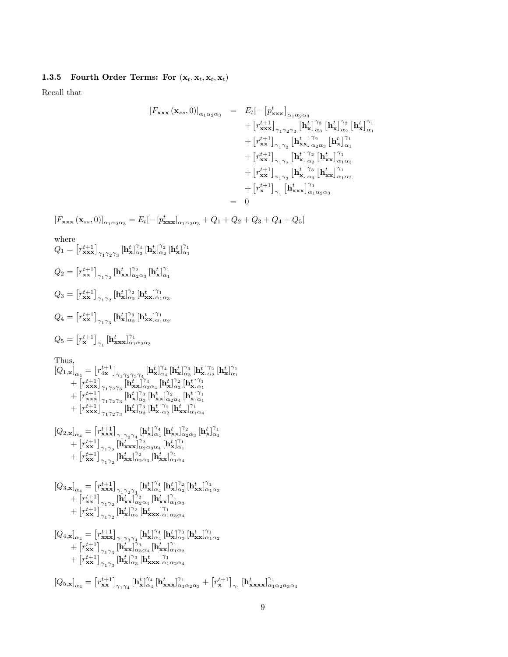#### 1.3.5 Fourth Order Terms: For  $(\mathbf{x}_t, \mathbf{x}_t, \mathbf{x}_t, \mathbf{x}_t)$

Recall that

$$
[F_{\mathbf{x}\mathbf{x}\mathbf{x}}(\mathbf{x}_{ss},0)]_{\alpha_1\alpha_2\alpha_3} = E_t[-[p^t_{\mathbf{x}\mathbf{x}\mathbf{x}}]_{\alpha_1\alpha_2\alpha_3} + [r^{t+1}_{\mathbf{x}\mathbf{x}\mathbf{x}}]_{\gamma_1\gamma_2\gamma_3} [\mathbf{h}^t_{\mathbf{x}}]_{\alpha_3}^{\gamma_3} [\mathbf{h}^t_{\mathbf{x}}]_{\alpha_2}^{\gamma_2} [\mathbf{h}^t_{\mathbf{x}}]_{\alpha_1}^{\gamma_1} + [r^{t+1}_{\mathbf{x}\mathbf{x}}]_{\gamma_1\gamma_2} [\mathbf{h}^t_{\mathbf{x}\mathbf{x}}]_{\alpha_2\alpha_3}^{\gamma_2} [\mathbf{h}^t_{\mathbf{x}}]_{\alpha_1}^{\gamma_1} + [r^{t+1}_{\mathbf{x}\mathbf{x}}]_{\gamma_1\gamma_2} [\mathbf{h}^t_{\mathbf{x}}]_{\alpha_2}^{\gamma_2} [\mathbf{h}^t_{\mathbf{x}\mathbf{x}}]_{\alpha_1\alpha_3}^{\gamma_1} + [r^{t+1}_{\mathbf{x}\mathbf{x}}]_{\gamma_1\gamma_3} [\mathbf{h}^t_{\mathbf{x}}]_{\alpha_3}^{\gamma_3} [\mathbf{h}^t_{\mathbf{x}\mathbf{x}}]_{\alpha_1\alpha_2}^{\gamma_1} + [r^{t+1}_{\mathbf{x}}]_{\gamma_1} [\mathbf{h}^t_{\mathbf{x}\mathbf{x}\mathbf{x}}]_{\alpha_1\alpha_2\alpha_3}^{\gamma_1}
$$
  
= 0

 $[F_{\bf xx}{\bf x}\left({\bf x}_{ss},0\right)]_{\alpha_1\alpha_2\alpha_3} = E_t[-[p^t_{\bf xx}{\bf x}]_{\alpha_1\alpha_2\alpha_3} + Q_1 + Q_2 + Q_3 + Q_4 + Q_5]$ 

where  
\n
$$
Q_{1} = [r_{\mathbf{x}\mathbf{x}\mathbf{x}}^{t+1}]_{\gamma_{1}\gamma_{2}\gamma_{3}} [\mathbf{h}_{\mathbf{x}}^{t}]_{\alpha_{3}}^{\gamma_{3}} [\mathbf{h}_{\mathbf{x}}^{t}]_{\alpha_{2}}^{\gamma_{2}} [\mathbf{h}_{\mathbf{x}}^{t}]_{\alpha_{1}}^{\gamma_{1}}
$$
\n
$$
Q_{2} = [r_{\mathbf{x}\mathbf{x}}^{t+1}]_{\gamma_{1}\gamma_{2}} [\mathbf{h}_{\mathbf{x}\mathbf{x}}^{t}]_{\alpha_{2}\alpha_{3}}^{\gamma_{2}} [\mathbf{h}_{\mathbf{x}}^{t}]_{\alpha_{1}}^{\gamma_{1}}
$$
\n
$$
Q_{3} = [r_{\mathbf{x}\mathbf{x}}^{t+1}]_{\gamma_{1}\gamma_{2}} [\mathbf{h}_{\mathbf{x}}^{t}]_{\alpha_{2}}^{\gamma_{2}} [\mathbf{h}_{\mathbf{x}\mathbf{x}}^{t}]_{\alpha_{1}\alpha_{3}}^{\gamma_{1}}
$$
\n
$$
Q_{4} = [r_{\mathbf{x}\mathbf{x}}^{t+1}]_{\gamma_{1}\gamma_{3}} [\mathbf{h}_{\mathbf{x}\mathbf{x}}^{t}]_{\alpha_{3}}^{\gamma_{3}} [\mathbf{h}_{\mathbf{x}\mathbf{x}}^{t}]_{\alpha_{1}\alpha_{2}}^{\gamma_{1}}
$$
\n
$$
Q_{5} = [r_{\mathbf{x}}^{t+1}]_{\gamma_{1}} [\mathbf{h}_{\mathbf{x}\mathbf{x}\mathbf{x}}^{t}]_{\alpha_{1}\alpha_{2}\alpha_{3}}^{\gamma_{1}}
$$

Thus,

$$
\begin{aligned}[t] \left[Q_{1,\mathbf{x}}\right]_{\alpha_4} &= \left[r_{4\mathbf{x}}^{t+1}\right]_{\gamma_1\gamma_2\gamma_3\gamma_4} [\mathbf{h}^t_{\mathbf{x}}]_{\alpha_4}^{\gamma_4} [\mathbf{h}^t_{\mathbf{x}}]_{\alpha_3}^{\gamma_3} [\mathbf{h}^t_{\mathbf{x}}]_{\alpha_2}^{\gamma_2} [\mathbf{h}^t_{\mathbf{x}}]_{\alpha_1}^{\gamma_1} \\ &+ \left[r_{\mathbf{x}\mathbf{x}\mathbf{x}}^{t+1}\right]_{\gamma_1\gamma_2\gamma_3} [\mathbf{h}^t_{\mathbf{x}\mathbf{x}}]_{\alpha_3\alpha_4}^{\gamma_3} [\mathbf{h}^t_{\mathbf{x}}]_{\alpha_2}^{\gamma_2} [\mathbf{h}^t_{\mathbf{x}}]_{\alpha_1}^{\gamma_1} \\ &+ \left[r_{\mathbf{x}\mathbf{x}\mathbf{x}}^{t+1}\right]_{\gamma_1\gamma_2\gamma_3} [\mathbf{h}^t_{\mathbf{x}}]_{\alpha_3}^{\gamma_3} [\mathbf{h}^t_{\mathbf{x}\mathbf{x}}]_{\alpha_2\alpha_4}^{\gamma_2} [\mathbf{h}^t_{\mathbf{x}}]_{\alpha_1}^{\gamma_1} \\ &+ \left[r_{\mathbf{x}\mathbf{x}\mathbf{x}}^{t+1}\right]_{\gamma_1\gamma_2\gamma_3} [\mathbf{h}^t_{\mathbf{x}}]_{\alpha_3}^{\gamma_3} [\mathbf{h}^t_{\mathbf{x}}]_{\alpha_2}^{\gamma_2} [\mathbf{h}^t_{\mathbf{x}\mathbf{x}}]_{\alpha_1\alpha_4}^{\gamma_1} \\ & [Q_{2,\mathbf{x}}]_{\alpha_4} &= \left[r_{\mathbf{x}\mathbf{x}\mathbf{x}}^{t+1}\right]_{\gamma_1\gamma_2\gamma_4} [\mathbf{h}^t_{\mathbf{x}\mathbf{x}}]_{\alpha_4}^{\gamma_4} [\mathbf{h}^t_{\mathbf{x}\mathbf{x}}]_{\alpha_2\alpha_3}^{\gamma_2} [\mathbf{h}^t_{\mathbf{x}\mathbf{x}}]_{\alpha_1}^{\gamma_1} \end{aligned}
$$

$$
[Q_{2,\mathbf{x}}]_{\alpha_4} = \left[ r_{\mathbf{x}\mathbf{x}\mathbf{x}}^{t+1} \right]_{\gamma_1 \gamma_2 \gamma_4} [\mathbf{h}_{\mathbf{x}}^t]_{\alpha_4}^{\gamma_4} [\mathbf{h}_{\mathbf{x}\mathbf{x}}^t]_{\alpha_2 \alpha_3}^{\gamma_2} [\mathbf{h}_{\mathbf{x}}^t]_+^{\gamma_2} + \left[ r_{\mathbf{x}\mathbf{x}}^{t+1} \right]_{\gamma_1 \gamma_2} [\mathbf{h}_{\mathbf{x}\mathbf{x}\mathbf{x}}^t]_{\alpha_2 \alpha_3 \alpha_4}^{\gamma_2} [\mathbf{h}_{\mathbf{x}}^t]_{\alpha_1}^{\gamma_1} + \left[ r_{\mathbf{x}\mathbf{x}}^{t+1} \right]_{\gamma_1 \gamma_2} [\mathbf{h}_{\mathbf{x}\mathbf{x}}^t]_{\alpha_2 \alpha_3}^{\gamma_2} [\mathbf{h}_{\mathbf{x}\mathbf{x}}^t]_{\alpha_1 \alpha_4}^{\gamma_1}
$$

$$
\begin{array}{c} {\left[ {Q_{3,\mathbf{x}}} \right]_{\alpha_4}} = {\left[ {r_{\mathbf{xx}}^{t + 1}} \right]_{\gamma _1 \gamma _2 \gamma _4}} \!\!\!{{\left[ {h_\mathbf{x}^t} \right]}_{\alpha_4 }^{\gamma _4}} \!\!\left[ {h_\mathbf{x}^t} \right]_{\alpha_2 }^{\gamma _2}} \left[ {h_\mathbf{xx}^t} \right]_{\alpha_1 \alpha_3 }^{\gamma _1} \\ + {\left[ {r_{\mathbf{xx}}^{t + 1}} \right]_{\gamma _1 \gamma _2}} \!\!\left[ {h_\mathbf{xx}^t} \right]_{\alpha_2 \alpha_4 }^{\gamma _2}\left[ {h_\mathbf{xx}^t} \right]_{\alpha_1 \alpha_3 }^{\gamma _1} \\ + {\left[ {r_{\mathbf{xx}}^{t + 1}} \right]_{\gamma _1 \gamma _2}} \left[ {h_\mathbf{x}^t} \right]_{\alpha_2 }^{\gamma _2}\left[ {h_\mathbf{xx}^t} \right]_{\alpha_1 \alpha_3 \alpha_4 }^{\gamma _1} \end{array}
$$

$$
\begin{array}{l} {\left[ {Q_{4,\mathbf{x}} } \right]_{\alpha_4} = \left[ {r_{\mathbf{xx}}^{t + 1} } \right]_{\gamma_1 \gamma_3 \gamma_4} [ {{\mathbf{h}}_{\mathbf{x}}^t } ]_{\alpha_4}^{\gamma_4} \left[ {{\mathbf{h}}_{\mathbf{x}}^t } \right]_{\alpha_3}^{\gamma_3} \left[ {{\mathbf{h}}_{\mathbf{xx}}^t } \right]_{\alpha_1 \alpha_2}^{\gamma_1} } \\ + \left[ {r_{\mathbf{xx}}^{t + 1} } \right]_{\gamma_1 \gamma_3} [ {{\mathbf{h}}_{\mathbf{xx}}^t } ]_{\alpha_3 \alpha_4}^{\gamma_3} \left[ {{\mathbf{h}}_{\mathbf{xx}}^t } \right]_{\alpha_1 \alpha_2}^{\gamma_1} } \\ + \left[ {r_{\mathbf{xx}}^{t + 1} } \right]_{\gamma_1 \gamma_3} [ {{\mathbf{h}}_{\mathbf{x}}^t } ]_{\alpha_3}^{\gamma_3} \left[ {{\mathbf{h}}_{\mathbf{xx}}^t } \right]_{\alpha_1 \alpha_2 \alpha_4}^{\gamma_1} } \end{array}
$$

 $\left[Q_{5,\mathbf{x}}\right]_{\alpha_4} = \left[r_{\mathbf{xx}}^{t+1}\right]_{\gamma_1\gamma_4} \left[\mathbf{h}^t_{\mathbf{x}}\right]_{\alpha_4}^{\gamma_4} \left[\mathbf{h}^t_{\mathbf{xxx}}\right]_{\alpha_1\alpha_2\alpha_3}^{\gamma_1} + \left[r_{\mathbf{x}}^{t+1}\right]_{\gamma_1} \left[\mathbf{h}^t_{\mathbf{xxxx}}\right]_{\alpha_1\alpha_2\alpha_3\alpha_4}^{\gamma_1}$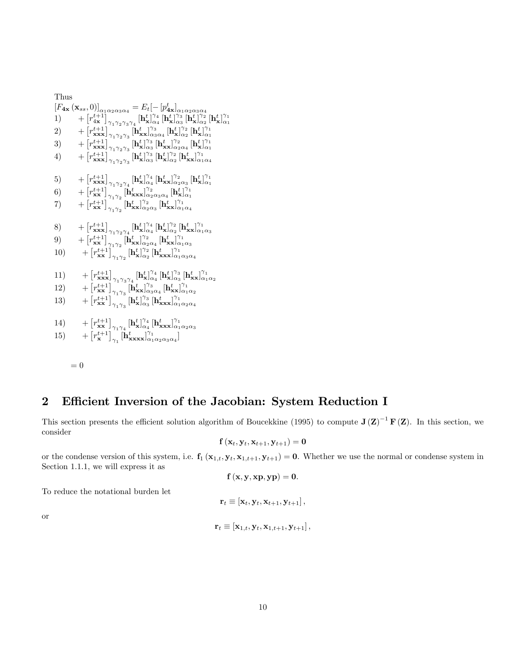Thus  $[F_{4x}(\mathbf{x}_{ss},0)]_{\alpha_1\alpha_2\alpha_3\alpha_4} = E_t[-[p^t_{4x}]_{\alpha_1\alpha_2\alpha_3\alpha_4}]$  $\hspace{1.5cm}1) \qquad +\left[r^{t+1}_{4\mathbf{x}}\right]_{\gamma_1\gamma_2\gamma_3\gamma_4}^{\gamma_2\gamma_3\gamma_4}[\mathbf{h}^t_{\mathbf{x}}]_{\alpha_4}^{\gamma_4}[\mathbf{h}^t_{\mathbf{x}}]_{\alpha_3}^{\gamma_3}[\mathbf{h}^t_{\mathbf{x}}]_{\alpha_2}^{\gamma_2}[\mathbf{h}^t_{\mathbf{x}}]_{\alpha_1}^{\gamma_1} \nonumber$ 2) + - r t+1 xxx <sup>1</sup> <sup>2</sup> <sup>3</sup> [h t xx] 3 <sup>3</sup><sup>4</sup> [h t x ] 2 <sup>2</sup> [h t x ] 1 <sup>1</sup>  $\hspace{1.5cm}=\left[r^{t+1}_{xxx}\right]_{\gamma_1\gamma_2\gamma_3}^{\gamma_1\gamma_2\gamma_3}[\mathbf{h}^t_{\mathbf{x}}]_{\alpha_3}^{\gamma_3}[\mathbf{h}^t_{\mathbf{x}\mathbf{x}}]_{\alpha_2\alpha_4}^{\gamma_2}[\mathbf{h}^t_{\mathbf{x}}]_{\alpha_1}^{\gamma_1}$ 4)  $+ \left[ r^{t+1}_{xxx} \right]_{\gamma_1 \gamma_2 \gamma_3}^{\gamma_1 \gamma_2 \gamma_3} \left[ \mathbf{h}^t_{\mathbf{x}} \right]_{\alpha_3}^{\gamma_3} \left[ \mathbf{h}^t_{\mathbf{x}} \right]_{\alpha_2}^{\gamma_2} \left[ \mathbf{h}^t_{\mathbf{x} \mathbf{x}} \right]_{\alpha_1 \alpha_4}^{\gamma_1}$  $\hspace{1cm}5)\ \ \ \ \ \ \ \ +\left[r^{t+1}_{\bf xxx}\right]_{\gamma_1\gamma_2\gamma_4}\left[{\bf h}^t_{\bf x}\right]_{\alpha_4}^{\gamma_4}\left[{\bf h}^t_{\bf xx}\right]_{\alpha_2\alpha_3}^{\gamma_2}\left[{\bf h}^t_{\bf x}\right]_{\alpha_1}^{\gamma_1}$ 6)  $+ \left[ r^{t+1}_{xx} \right]_{\gamma_1 \gamma_2}^{\gamma_1 \gamma_2} \left[ \mathbf{h}^t_{\mathbf{x} \mathbf{x} \mathbf{x}} \right]_{\alpha_2 \alpha_3 \alpha_4}^{\gamma_2} \left[ \mathbf{h}^t_{\mathbf{x}} \right]_{\alpha_1}^{\gamma_1}$  $\left[T^{t+1}_{\textbf{xx}}\right]_{\gamma_1\gamma_2}^{\gamma_1\gamma_2} [\textbf{h}^t_{\textbf{xx}}]_{\alpha_2\alpha_3}^{\gamma_2} \, [\textbf{h}^t_{\textbf{xx}}]_{\alpha_1\alpha_4}^{\gamma_1}$ 8)  $+ \left[ r^{t+1}_{xxx} \right]_{\gamma_1 \gamma_2 \gamma_4} \left[ h^{t}_{x} \right]_{\alpha_4}^{\gamma_4} \left[ h^{t}_{x} \right]_{\alpha_2}^{\gamma_2} \left[ h^{t}_{xx} \right]_{\alpha_1 \alpha_3}^{\gamma_1}$ <br>9)  $+ \left[ r^{t+1}_{xx} \right]_{\gamma_1 \gamma_2} \left[ h^{t}_{xx} \right]_{\alpha_2 \alpha_4}^{\gamma_2} \left[ h^{t}_{xx} \right]_{\alpha_1 \alpha_3}^{\gamma_1}$ 9) + 10)  $+ \left[r_{\mathbf{x}\mathbf{x}}^{t+1}\right]_{\gamma_1\gamma_2}^{\gamma_1\gamma_2} \left[\mathbf{h}^t_{\mathbf{x}}\right]_{\alpha_2}^{\gamma_2} \left[\mathbf{h}^t_{\mathbf{x}\mathbf{x}\mathbf{x}}\right]_{\alpha_1\alpha_3\alpha_4}^{\gamma_1}$ 11) +  $\left[r_{\bf xx}^{t+1}\right]_{\gamma_1\gamma_3\gamma_4} \left[{\bf h}_{\bf x}^{t}\right]_{\alpha_4}^{\gamma_4} \left[{\bf h}_{\bf x}^{t}\right]_{\alpha_3}^{\gamma_3} \left[{\bf h}_{\bf xx}^{t}\right]_{\alpha_1\alpha_2}^{\gamma_1\gamma_3} \nonumber \\ \left[r_{\bf xx}^{t+1}\right]_{\gamma_1\gamma_3} \left[{\bf h}_{\bf xx}^{t}\right]_{\alpha_3\alpha_4}^{\gamma_3} \left[{\bf h}_{\bf xx}^{t}\right]_{\alpha_1\alpha_2}^{\gamma_1\gamma_3} \non$ 12) + 13) + 14) +  $\begin{bmatrix} r_{\mathbf{x}\mathbf{x}}^{t+1} \end{bmatrix}_{\gamma_1 \gamma_4} [\mathbf{h}^t_{\mathbf{x}}]^{\gamma_4}_{\alpha_4} [\mathbf{h}^t_{\mathbf{x}\mathbf{x}\mathbf{x}}]^{\gamma_1}_{\alpha_1 \alpha_2 \alpha_3} \\ \begin{bmatrix} r_{\mathbf{x}}^{t+1} \end{bmatrix}_{\gamma_1} [\mathbf{h}^t_{\mathbf{x}\mathbf{x}\mathbf{x}}]^{\gamma_1}_{\alpha_1 \alpha_2 \alpha_3 \alpha_4}]$ 15) +

$$
= 0
$$

# 2 Efficient Inversion of the Jacobian: System Reduction I

This section presents the efficient solution algorithm of Boucekkine (1995) to compute  $J(Z)^{-1}F(Z)$ . In this section, we consider

$$
\mathbf{f}\left(\mathbf{x}_{t}, \mathbf{y}_{t}, \mathbf{x}_{t+1}, \mathbf{y}_{t+1}\right) = \mathbf{0}
$$

or the condense version of this system, i.e.  $f_1(x_{1,t}, y_t, x_{1,t+1}, y_{t+1}) = 0$ . Whether we use the normal or condense system in Section 1.1.1, we will express it as

$$
\mathbf{f}\left(\mathbf{x},\mathbf{y},\mathbf{x}\mathbf{p},\mathbf{y}\mathbf{p}\right)=\mathbf{0}.
$$

To reduce the notational burden let

$$
\mathbf{r}_t \equiv [\mathbf{x}_t, \mathbf{y}_t, \mathbf{x}_{t+1}, \mathbf{y}_{t+1}],
$$

or

$$
\mathbf{r}_t \equiv [\mathbf{x}_{1,t}, \mathbf{y}_t, \mathbf{x}_{1,t+1}, \mathbf{y}_{t+1}],
$$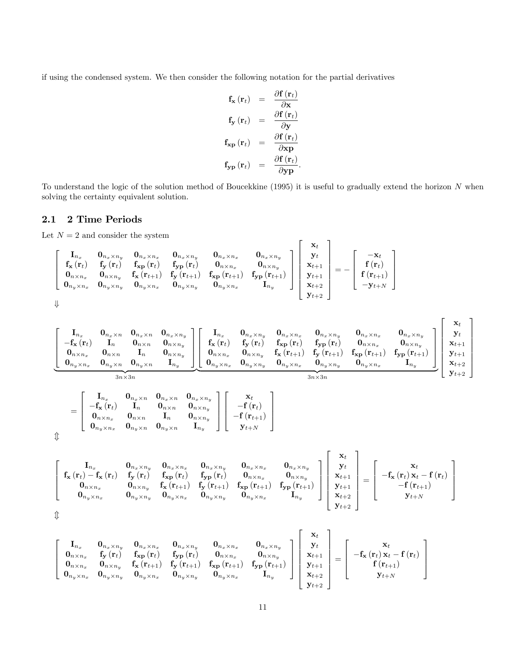if using the condensed system. We then consider the following notation for the partial derivatives

$$
\mathbf{f}_{\mathbf{x}}(\mathbf{r}_t) = \frac{\partial \mathbf{f}(\mathbf{r}_t)}{\partial \mathbf{x}} \n\mathbf{f}_{\mathbf{y}}(\mathbf{r}_t) = \frac{\partial \mathbf{f}(\mathbf{r}_t)}{\partial \mathbf{y}} \n\mathbf{f}_{\mathbf{x}\mathbf{p}}(\mathbf{r}_t) = \frac{\partial \mathbf{f}(\mathbf{r}_t)}{\partial \mathbf{x}\mathbf{p}} \n\mathbf{f}_{\mathbf{y}\mathbf{p}}(\mathbf{r}_t) = \frac{\partial \mathbf{f}(\mathbf{r}_t)}{\partial \mathbf{y}\mathbf{p}}.
$$

To understand the logic of the solution method of Boucekkine (1995) it is useful to gradually extend the horizon  $N$  when solving the certainty equivalent solution.

# 2.1 2 Time Periods

Let  $N = 2$  and consider the system

$$
\left[\begin{array}{cccc} \mathbf{I}_{n_x} & \mathbf{0}_{n_x \times n_y} & \mathbf{0}_{n_x \times n_x} & \mathbf{0}_{n_x \times n_y} & \mathbf{0}_{n_x \times n_x} & \mathbf{0}_{n_x \times n_x} \\ \mathbf{f}_{\mathbf{x}}(\mathbf{r}_t) & \mathbf{f}_{\mathbf{y}}(\mathbf{r}_t) & \mathbf{f}_{\mathbf{x} \mathbf{p}}(\mathbf{r}_t) & \mathbf{f}_{\mathbf{y} \mathbf{p}}(\mathbf{r}_t) & \mathbf{0}_{n \times n_x} & \mathbf{0}_{n \times n_y} \\ \mathbf{0}_{n \times n_x} & \mathbf{0}_{n \times n_y} & \mathbf{f}_{\mathbf{x}}(\mathbf{r}_{t+1}) & \mathbf{f}_{\mathbf{y}}(\mathbf{r}_{t+1}) & \mathbf{f}_{\mathbf{x} \mathbf{p}}(\mathbf{r}_{t+1}) & \mathbf{f}_{\mathbf{y} \mathbf{p}}(\mathbf{r}_{t+1}) \\ \mathbf{0}_{n_y \times n_x} & \mathbf{0}_{n_y \times n_y} & \mathbf{0}_{n_y \times n_x} & \mathbf{0}_{n_y \times n_y} & \mathbf{0}_{n_y \times n_x} & \mathbf{0}_{n_y \times n_x} \end{array}\right]\left[\begin{array}{c} \mathbf{x}_t \\ \mathbf{y}_t \\ \mathbf{x}_{t+1} \\ \mathbf{y}_{t+1} \\ \mathbf{y}_{t+1} \\ \mathbf{x}_{t+2} \\ \mathbf{y}_{t+2} \end{array}\right]=-\left[\begin{array}{c} -\mathbf{x}_t \\ \mathbf{f}(\mathbf{r}_t) \\ \mathbf{f}(\mathbf{r}_t) \\ \mathbf{f}(\mathbf{r}_{t+1}) \\ -\mathbf{y}_{t+N} \end{array}\right]
$$

 $\Downarrow$ 

 $\updownarrow$ 

$$
\left[\begin{array}{cccccc} \mathbf{I}_{n_{x}}&\mathbf{0}_{n_{x}\times n_{y}}&\mathbf{0}_{n_{x}\times n_{y}}&\mathbf{0}_{n_{x}\times n_{y}}\\ -\mathbf{f_{x}}\left(\mathbf{r}_{t}\right)&\mathbf{I}_{n}&\mathbf{0}_{n\times n}&\mathbf{0}_{n\times n_{y}}\\ \mathbf{0}_{n\times n_{x}}&\mathbf{0}_{n\times n}&\mathbf{I}_{n}&\mathbf{0}_{n\times n_{y}}\\ \mathbf{0}_{n_{y}\times n_{x}}&\mathbf{0}_{n_{y}\times n}&\mathbf{I}_{n_{y}} \end{array}\right]\left[\begin{array}{cccc} \mathbf{I}_{n_{x}}&\mathbf{0}_{n_{x}\times n_{y}}&\mathbf{0}_{n_{x}\times n_{x}}&\mathbf{0}_{n_{x}\times n_{y}}&\mathbf{0}_{n_{x}\times n_{y}}\\ \mathbf{f_{x}}\left(\mathbf{r}_{t}\right)&\mathbf{f_{y}}\left(\mathbf{r}_{t}\right)&\mathbf{f_{y}}\left(\mathbf{r}_{t}\right)&\mathbf{0}_{n\times n_{x}}\\ \mathbf{0}_{n\times n_{x}}&\mathbf{0}_{n\times n_{y}}&\mathbf{0}_{n\times n_{y}}\\ \mathbf{0}_{n_{y}\times n_{x}}&\mathbf{0}_{n_{y}\times n}&\mathbf{I}_{n_{y}} \end{array}\right]\left[\begin{array}{cccc} \mathbf{I}_{n_{x}}&\mathbf{0}_{n_{x}\times n_{y}}&\mathbf{0}_{n_{x}\times n_{y}}&\mathbf{0}_{n_{x}\times n_{y}}&\mathbf{0}_{n_{x}\times n_{z}}\\ \mathbf{f_{x}}\left(\mathbf{r}_{t}\right)&\mathbf{f_{y}}\left(\mathbf{r}_{t}\right)&\mathbf{f_{y}}\left(\mathbf{r}_{t}\right)&\mathbf{f_{y}}\left(\mathbf{r}_{t+1}\right)&\mathbf{f_{y}}\left(\mathbf{r}_{t+1}\right)&\mathbf{f_{y}}\left(\mathbf{r}_{t+1}\right)\\ \mathbf{f_{y}}\left(\mathbf{r}_{t+1}\right)&\mathbf{f_{y}}\left(\mathbf{r}_{t+1}\right)&\mathbf{f_{y}}\left(\mathbf{r}_{t+1}\right)&\mathbf{f_{y}}\left(\mathbf{r}_{t+1}\right)\\
$$

 $3n \times 3n$ 

$$
=\left[\begin{array}{cccc} \mathbf{I}_{n_x} & \mathbf{0}_{n_x \times n} & \mathbf{0}_{n_x \times n} & \mathbf{0}_{n_x \times n_y} \\ -\mathbf{f}_{\mathbf{x}}\left(\mathbf{r}_t\right) & \mathbf{I}_n & \mathbf{0}_{n \times n} & \mathbf{0}_{n \times n_y} \\ \mathbf{0}_{n \times n_x} & \mathbf{0}_{n \times n} & \mathbf{I}_n & \mathbf{0}_{n \times n_y} \\ \mathbf{0}_{n_y \times n_x} & \mathbf{0}_{n_y \times n} & \mathbf{0}_{n_y \times n} & \mathbf{I}_{n_y} \end{array}\right]\left[\begin{array}{c} \mathbf{x}_t \\ -\mathbf{f}\left(\mathbf{r}_t\right) \\ -\mathbf{f}\left(\mathbf{r}_{t+1}\right) \\ \mathbf{y}_{t+N} \end{array}\right]
$$

$$
\left[\begin{array}{cccc} \mathbf{I}_{n_{x}} & \mathbf{0}_{n_{x}\times n_{y}} & \mathbf{0}_{n_{x}\times n_{y}} & \mathbf{0}_{n_{x}\times n_{y}} & \mathbf{0}_{n_{x}\times n_{y}} & \mathbf{0}_{n_{x}\times n_{y}} & \mathbf{0}_{n_{x}\times n_{y}} & \mathbf{0}_{n_{x}\times n_{y}} \\ \mathbf{f}_{\mathbf{x}}\left(\mathbf{r}_{t}\right)-\mathbf{f}_{\mathbf{x}}\left(\mathbf{r}_{t}\right) & \mathbf{f}_{\mathbf{y}}\left(\mathbf{r}_{t}\right) & \mathbf{f}_{\mathbf{y}\mathbf{p}}\left(\mathbf{r}_{t}\right) & \mathbf{0}_{n_{x}\times n_{x}} & \mathbf{0}_{n_{x}\times n_{y}} & \mathbf{0}_{n_{x}\times n_{y}} \\ \mathbf{0}_{n_{x}\times n_{x}} & \mathbf{0}_{n_{x}\times n_{y}} & \mathbf{f}_{\mathbf{x}}\left(\mathbf{r}_{t+1}\right) & \mathbf{f}_{\mathbf{y}}\left(\mathbf{r}_{t+1}\right) & \mathbf{f}_{\mathbf{x}\mathbf{p}}\left(\mathbf{r}_{t+1}\right) & \mathbf{f}_{\mathbf{y}\mathbf{p}}\left(\mathbf{r}_{t+1}\right) \\ \mathbf{0}_{n_{y}\times n_{x}} & \mathbf{0}_{n_{y}\times n_{y}} & \mathbf{0}_{n_{y}\times n_{x}} & \mathbf{0}_{n_{y}\times n_{y}} & \mathbf{0}_{n_{y}\times n_{x}} & \mathbf{I}_{n_{y}} \end{array}\right]\left[\begin{array}{c} \mathbf{x}_{t} \\ \mathbf{y}_{t} \\ \mathbf{x}_{t+1} \\ \mathbf{y}_{t+1} \\ \mathbf{y}_{t+2} \end{array}\right]=\left[\begin{array}{c} \mathbf{x}_{t} \\ -\mathbf{f}_{\mathbf{x}}\left(\mathbf{r}_{t}\right)\mathbf{x}_{t} - \mathbf{f}\left(\mathbf{r}_{t}\right) \\ -\mathbf{f}\left(\mathbf{r}_{t+1}\right) \\ \mathbf{y}_{t+1} \\ \mathbf{y}_{t+2} \end{array}\right]
$$

$$
\left[\begin{array}{cccc} \mathbf{I}_{n_x} & \mathbf{0}_{n_x \times n_y} & \mathbf{0}_{n_x \times n_y} & \mathbf{0}_{n_x \times n_y} & \mathbf{0}_{n_x \times n_y} & \mathbf{0}_{n_x \times n_x} & \mathbf{0}_{n_x \times n_y} \\ \mathbf{0}_{n \times n_x} & \mathbf{f}_{\mathbf{y}}(\mathbf{r}_t) & \mathbf{f}_{\mathbf{xp}}(\mathbf{r}_t) & \mathbf{f}_{\mathbf{yp}}(\mathbf{r}_t) & \mathbf{0}_{n \times n_x} & \mathbf{0}_{n \times n_y} \\ \mathbf{0}_{n \times n_x} & \mathbf{0}_{n \times n_y} & \mathbf{f}_{\mathbf{x}}(\mathbf{r}_{t+1}) & \mathbf{f}_{\mathbf{y}}(\mathbf{r}_{t+1}) & \mathbf{f}_{\mathbf{x}\mathbf{p}}(\mathbf{r}_{t+1}) & \mathbf{f}_{\mathbf{y}\mathbf{p}}(\mathbf{r}_{t+1}) \\ \mathbf{0}_{n_y \times n_x} & \mathbf{0}_{n_y \times n_y} & \mathbf{0}_{n_y \times n_x} & \mathbf{0}_{n_y \times n_y} & \mathbf{0}_{n_y \times n_x} & \mathbf{I}_{n_y} \end{array}\right]\left[\begin{array}{c} \mathbf{x}_t \\ \mathbf{y}_t \\ \mathbf{x}_{t+1} \\ \mathbf{y}_{t+1} \\ \mathbf{y}_{t+2} \\ \mathbf{y}_{t+2} \end{array}\right]=\left[\begin{array}{c} \mathbf{x}_t \\ -\mathbf{f}_{\mathbf{x}}(\mathbf{r}_t)\mathbf{x}_t - \mathbf{f}(\mathbf{r}_t) \\ \mathbf{f}(\mathbf{r}_{t+1}) \\ \mathbf{f}(\mathbf{r}_{t+1}) \\ \mathbf{y}_{t+1} \\ \mathbf{y}_{t+2} \end{array}\right]
$$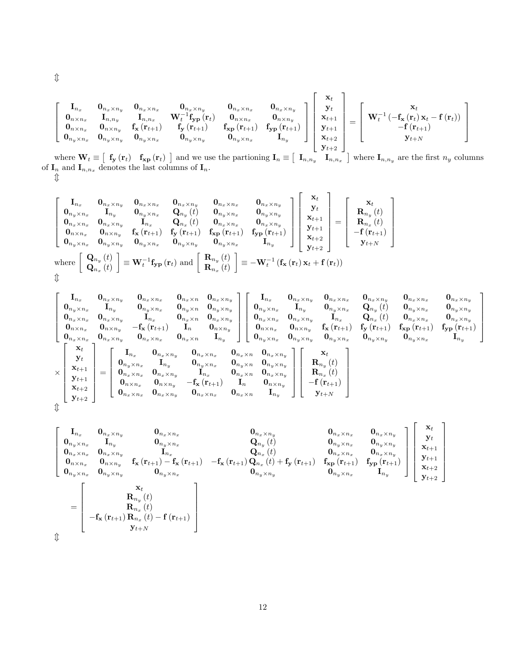$$
\left[ \begin{array}{cccc} {\bf I}_{n_x} & {\bf 0}_{n_x \times n_y} & {\bf 0}_{n_x \times n_x} & {\bf 0}_{n_x \times n_x} & {\bf 0}_{n_x \times n_y} \\ {\bf 0}_{n \times n_x} & {\bf I}_{n,n_y} & {\bf I}_{n,n_x} & {\bf W}_t^{-1} {\bf f}_{\bf yp} \left( {\bf r}_t \right) & {\bf 0}_{n \times n_x} & {\bf 0}_{n \times n_y} \\ {\bf 0}_{n \times n_x} & {\bf 0}_{n \times n_y} & {\bf f}_{\bf x} \left( {\bf r}_{t+1} \right) & {\bf f}_{\bf y} \left( {\bf r}_{t+1} \right) & {\bf f}_{\bf xp} \left( {\bf r}_{t+1} \right) & {\bf f}_{\bf yp} \left( {\bf r}_{t+1} \right) \\ {\bf 0}_{n_y \times n_x} & {\bf 0}_{n_y \times n_y} & {\bf 0}_{n_y \times n_x} & {\bf 0}_{n_y \times n_y} & {\bf 0}_{n_y \times n_x} & {\bf I}_{n_y} \end{array} \right] \left[ \begin{array}{c} {\bf x}_t \\ {\bf y}_t \\ {\bf x}_{t+1} \\ {\bf y}_{t+1} \\ {\bf y}_{t+2} \\ {\bf y}_{t+2} \end{array} \right] = \left[ \begin{array}{c} {\bf x}_t \\ {\bf W}_t^{-1} \left( -{\bf f}_{\bf x} \left( {\bf r}_t \right) {\bf x}_t - {\bf f} \left( {\bf r}_t \right) \right) \\ -{\bf f} \left( {\bf r}_{t+1} \right) & -{\bf f} \left( {\bf r}_{t+1} \right) \\ {\bf y}_{t+1} \\ {\bf y}_{t+2} \end{array} \right]
$$

where  $\mathbf{W}_t \equiv \begin{bmatrix} \mathbf{f_y}(\mathbf{r}_t) & \mathbf{f_{xp}}(\mathbf{r}_t) \end{bmatrix}$  and we use the partioning  $\mathbf{I}_n \equiv \begin{bmatrix} \mathbf{I}_{n,n_y} & \mathbf{I}_{n,n_x} \end{bmatrix}$  where  $\mathbf{I}_{n,n_y}$  are the first  $n_y$  columns of  $I_n$  and  $I_{n,n_x}$  denotes the last columns of  $I_n$ .  $\downarrow$ 

$$
\begin{bmatrix}\n\mathbf{I}_{n_x} & \mathbf{0}_{n_x \times n_y} & \mathbf{0}_{n_x \times n_x} & \mathbf{0}_{n_x \times n_y} & \mathbf{0}_{n_x \times n_x} & \mathbf{0}_{n_x \times n_y} \\
\mathbf{0}_{n_y \times n_x} & \mathbf{I}_{n_y} & \mathbf{0}_{n_y \times n_x} & \mathbf{Q}_{n_y}(t) & \mathbf{0}_{n_y \times n_x} & \mathbf{0}_{n_y \times n_y} \\
\mathbf{0}_{n_x \times n_x} & \mathbf{0}_{n_x \times n_y} & \mathbf{I}_{n_x} & \mathbf{Q}_{n_x}(t) & \mathbf{0}_{n_x \times n_x} & \mathbf{0}_{n_x \times n_y} \\
\mathbf{0}_{n \times n_x} & \mathbf{0}_{n \times n_y} & \mathbf{f}_{\mathbf{x}}(\mathbf{r}_{t+1}) & \mathbf{f}_{\mathbf{y}}(\mathbf{r}_{t+1}) & \mathbf{f}_{\mathbf{x} \mathbf{p}}(\mathbf{r}_{t+1}) & \mathbf{f}_{\mathbf{y} \mathbf{p}}(\mathbf{r}_{t+1}) \\
\mathbf{0}_{n_y \times n_x} & \mathbf{0}_{n_y \times n_y} & \mathbf{0}_{n_y \times n_x} & \mathbf{0}_{n_y \times n_y} & \mathbf{0}_{n_y \times n_y} \\
\mathbf{0}_{n_y \times n_x} & \mathbf{0}_{n_y \times n_y} & \mathbf{0}_{n_y \times n_y} & \mathbf{0}_{n_y \times n_y} & \mathbf{0}_{n_y \times n_x} \\
\mathbf{f}_{\mathbf{x}}(\mathbf{r}_{t+1}) & \mathbf{f}_{\mathbf{x}}(\mathbf{r}_{t+1}) & \mathbf{f}_{\mathbf{x}}(\mathbf{r}_{t+1}) & \mathbf{f}_{\mathbf{y} \mathbf{p}}(\mathbf{r}_{t+1}) \\
\mathbf{f}_{\mathbf{y}}(\mathbf{r}_{t+1}) & \mathbf{f}_{\mathbf{y} \mathbf{p}}(\mathbf{r}_{t+1}) & \mathbf{f}_{\mathbf{y} \mathbf{p}}(\mathbf{r}_{t+1}) \\
\mathbf{f}_{\mathbf{y}}(\mathbf{r}_{t+1}) & \mathbf{f}_{\mathbf{y}}(\mathbf{r}_{t+1}) & \mathbf{f}_{\mathbf{y}}(\mathbf{r}_{t+1}) \\
\mathbf{
$$

$$
\left[ \begin{matrix} {\bf I}_{n_x} & {\bf 0}_{n_x \times n_y} & {\bf 0}_{n_x \times n_x} & {\bf 0}_{n_x \times n_x} & {\bf 0}_{n_x \times n_y} & {\bf 0}_{n_x \times n_y} & {\bf 0}_{n_y \times n_x} & {\bf 0}_{n_y \times n_y} \\ {\bf 0}_{n_y \times n_x} & {\bf I}_{n_y} & {\bf 0}_{n_y \times n_x} & {\bf 0}_{n_y \times n_y} & {\bf 0}_{n_y \times n_y} & {\bf 0}_{n_y \times n_y} \\ {\bf 0}_{n_x \times n_x} & {\bf 0}_{n_x \times n_y} & {\bf I}_{n_x} & {\bf 0}_{n_x \times n_y} & {\bf 0}_{n_x \times n_y} & {\bf 0}_{n_x \times n_y} \\ {\bf 0}_{n_x \times n_x} & {\bf 0}_{n_x \times n_y} & -{\bf f}_{\bf x}({\bf r}_{t+1}) & {\bf I}_n & {\bf 0}_{n \times n_y} & {\bf 0}_{n_x \times n_y} \\ {\bf 0}_{n_x \times n_x} & {\bf 0}_{n_x \times n_y} & {\bf 0}_{n_x \times n_x} & {\bf 0}_{n_x \times n_y} & {\bf 0}_{n_x \times n_y} \\ {\bf 0}_{n_x \times n_x} & {\bf 0}_{n_x \times n_y} & {\bf 0}_{n_x \times n_x} & {\bf 0}_{n_x \times n_y} & {\bf 0}_{n_x \times n_y} \\ {\bf 0}_{n_x \times n_x} & {\bf 0}_{n_x \times n_y} & {\bf 0}_{n_x \times n_x} & {\bf 0}_{n_x \times n_y} & {\bf 0}_{n_y \times n_x} & {\bf 0}_{n_y \times n_y} & {\bf 0}_{n_y \times n_y} \\ {\bf 0}_{n_x \times n_x} & {\bf 0}_{n_x \times n_x} & {\bf 0}_{n_x \times n_y} & {\bf 0}_{n_x \times n_x} & {\bf 0}_{n_x \times n_y} & {\bf 0}_{n_x \times n_y} \\ {\bf 0}_{n_x \times n_x} & {\bf 0}_{n_x \times n_y} & {\bf 0}_{n_x \times n_y} & {\bf 0}_{n_x \times n_y} & {\bf 0}_{n_x \times n_y} \\ {\bf 0}_{n_x \times n_x} & {\bf 0}_{n_x \times n_y} & {\bf 0}_{n_x \times n_y} & {\bf 0}_{n_x \times n_y} & {\bf 0}_{n_x \times n_y} \\ {\bf
$$

$$
\left[ \begin{matrix} {\bf I}_{n_x} & {\bf 0}_{n_x \times n_y} & {\bf 0}_{n_x \times n_x} & {\bf 0}_{n_x \times n_y} & {\bf 0}_{n_x \times n_y} \\ {\bf 0}_{n_y \times n_x} & {\bf I}_{n_y} & {\bf 0}_{n_y \times n_x} & {\bf Q}_{n_y}(t) & {\bf 0}_{n_y \times n_x} & {\bf 0}_{n_y \times n_y} \\ {\bf 0}_{n_x \times n_x} & {\bf 0}_{n_x \times n_y} & {\bf f}_{\bf x} \left( {\bf r}_{t+1} \right) - {\bf f}_{\bf x} \left( {\bf r}_{t+1} \right) & - {\bf f}_{\bf x} \left( {\bf r}_{t+1} \right) \left. {\bf Q}_{n_x} \left( t \right) & {\bf f}_{\bf y} \left( {\bf r}_{t+1} \right) & {\bf f}_{\bf xy} \left( {\bf r}_{t+1} \right) \\ {\bf 0}_{n_y \times n_x} & {\bf 0}_{n_y \times n_y} & {\bf f}_{\bf x} \left( {\bf r}_{t+1} \right) - {\bf f}_{\bf x} \left( {\bf r}_{t+1} \right) & - {\bf f}_{\bf x} \left( {\bf r}_{t+1} \right) \left. {\bf Q}_{n_x} \left( t \right) + {\bf f}_{\bf y} \left( {\bf r}_{t+1} \right) & {\bf f}_{\bf xy} \left( {\bf r}_{t+1} \right) & {\bf f}_{\bf y} \left( {\bf r}_{t+1} \right) \\ {\bf Q}_{n_y \times n_x} & {\bf 0}_{n_y \times n_x} & {\bf 0}_{n_y \times n_y} & {\bf 0}_{n_y \times n_y} \\ {\bf R}_{n_y}(t) \\ - {\bf f}_{\bf x} \left( {\bf r}_{t+1} \right) {\bf R}_{n_x}(t) \\ {\bf J}_{t+N} \end{matrix} \right]
$$

 $\mathbb{O}$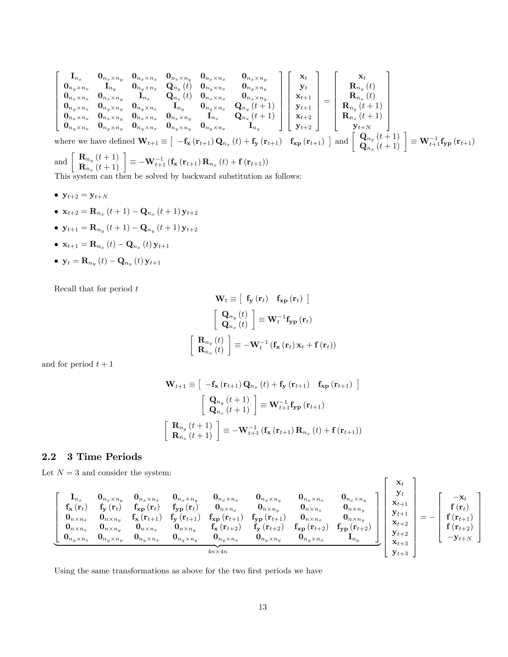$$
\begin{bmatrix}\n\mathbf{I}_{n_x} & \mathbf{0}_{n_x \times n_x} & \mathbf{0}_{n_x \times n_y} & \mathbf{0}_{n_x \times n_x} & \mathbf{0}_{n_x \times n_y} & \mathbf{0}_{n_y \times n_x} & \mathbf{0}_{n_y \times n_x} \\
\mathbf{0}_{n_y \times n_x} & \mathbf{I}_{n_y} & \mathbf{0}_{n_y \times n_x} & \mathbf{I}_{n_x} & \mathbf{Q}_{n_y}(t) & \mathbf{0}_{n_y \times n_x} & \mathbf{0}_{n_y \times n_y} \\
\mathbf{0}_{n_x \times n_x} & \mathbf{0}_{n_x \times n_y} & \mathbf{I}_{n_x} & \mathbf{Q}_{n_x}(t) & \mathbf{0}_{n_x \times n_x} & \mathbf{0}_{n_x \times n_y} \\
\mathbf{0}_{n_y \times n_x} & \mathbf{0}_{n_y \times n_y} & \mathbf{0}_{n_y \times n_x} & \mathbf{I}_{n_y} & \mathbf{0}_{n_y \times n_x} & \mathbf{Q}_{n_y}(t+1) \\
\mathbf{0}_{n_x \times n_x} & \mathbf{0}_{n_x \times n_y} & \mathbf{0}_{n_x \times n_y} & \mathbf{0}_{n_x \times n_y} & \mathbf{I}_{n_x} & \mathbf{Q}_{n_y}(t+1) \\
\mathbf{0}_{n_y \times n_x} & \mathbf{0}_{n_y \times n_y} & \mathbf{0}_{n_y \times n_x} & \mathbf{0}_{n_y \times n_y} & \mathbf{0}_{n_y \times n_x} & \mathbf{I}_{n_y}\n\end{bmatrix}\n\begin{bmatrix}\n\mathbf{x}_t \\
\mathbf{y}_t \\
\mathbf{x}_t \\
\mathbf{x}_{t+1} \\
\mathbf{y}_t \\
\mathbf{y}_t \\
\mathbf{y}_t + 1 \\
\mathbf{y}_{t+2}\n\end{bmatrix} = \begin{bmatrix}\n\mathbf{x}_t \\
\mathbf{R}_{n_y}(t) \\
\mathbf{R}_{n_y}(t) \\
\mathbf{R}_{n_y}(t+1) \\
\mathbf{R}_{n_y}(t+1) \\
\mathbf{R}_{n_y}(t+1) \\
\mathbf{R}_{n_x}(t+1)\n\end{bmatrix}
$$
\nwhere we have defined  $\mathbf{W}_{t+1} \equiv \begin{bmatrix}\n-f_x(r_{t+1})\mathbf{Q}_{n_x}(t) + f_y(r_{t+1}) & f_{xp}(r$ 

 $\left. \begin{array}{c} \mathbf{Q}_{n_y}\left(t + 1\right) \ \mathbf{Q}_{n_x}\left(t + 1\right) \end{array} \right] \equiv \mathbf{W}_{t+1}^{-1}\mathbf{f_{yp}}\left(\mathbf{r}_{t+1}\right)$ 

and 
$$
\begin{bmatrix} \mathbf{R}_{n_y} (t+1) \\ \mathbf{R}_{n_x} (t+1) \end{bmatrix} \equiv -\mathbf{W}_{t+1}^{-1} (\mathbf{f}_{\mathbf{x}} (\mathbf{r}_{t+1}) \mathbf{R}_{n_x} (t) + \mathbf{f} (\mathbf{r}_{t+1}))
$$

This system can then be solved by backward substitution as follows:

- $y_{t+2} = y_{t+N}$
- $\mathbf{x}_{t+2} = \mathbf{R}_{n_x} (t+1) \mathbf{Q}_{n_x} (t+1) \mathbf{y}_{t+2}$
- $y_{t+1} = \mathbf{R}_{n_y}(t+1) \mathbf{Q}_{n_y}(t+1) y_{t+2}$
- ${\bf x}_{t+1} = {\bf R}_{n_x} (t) {\bf Q}_{n_x} (t) {\bf y}_{t+1}$
- $\bullet \ \mathbf{y}_{t}=\mathbf{R}_{n_{y}}\left(t\right)-\mathbf{Q}_{n_{y}}\left(t\right)\mathbf{y}_{t+1}$

Recall that for period  $t$ 

$$
\mathbf{W}_{t} \equiv \left[ \begin{array}{cc} \mathbf{f}_{\mathbf{y}} \left( \mathbf{r}_{t} \right) & \mathbf{f}_{\mathbf{x}\mathbf{p}} \left( \mathbf{r}_{t} \right) \end{array} \right]
$$

$$
\left[ \begin{array}{c} \mathbf{Q}_{n_{y}} \left( t \right) \\ \mathbf{Q}_{n_{x}} \left( t \right) \end{array} \right] \equiv \mathbf{W}_{t}^{-1} \mathbf{f}_{\mathbf{y}\mathbf{p}} \left( \mathbf{r}_{t} \right)
$$

$$
\left[ \begin{array}{c} \mathbf{R}_{n_{y}} \left( t \right) \\ \mathbf{R}_{n_{x}} \left( t \right) \end{array} \right] \equiv -\mathbf{W}_{t}^{-1} \left( \mathbf{f}_{\mathbf{x}} \left( \mathbf{r}_{t} \right) \mathbf{x}_{t} + \mathbf{f} \left( \mathbf{r}_{t} \right) \right)
$$

and for period  $t + 1$ 

$$
\mathbf{W}_{t+1} \equiv \left[ \begin{array}{c} -\mathbf{f}_{\mathbf{x}} \left( \mathbf{r}_{t+1} \right) \mathbf{Q}_{n_x} \left( t \right) + \mathbf{f}_{\mathbf{y}} \left( \mathbf{r}_{t+1} \right) & \mathbf{f}_{\mathbf{x} \mathbf{p}} \left( \mathbf{r}_{t+1} \right) \end{array} \right]
$$
\n
$$
\left[ \begin{array}{c} \mathbf{Q}_{n_y} \left( t + 1 \right) \\ \mathbf{Q}_{n_x} \left( t + 1 \right) \end{array} \right] \equiv \mathbf{W}_{t+1}^{-1} \mathbf{f}_{\mathbf{y} \mathbf{p}} \left( \mathbf{r}_{t+1} \right)
$$
\n
$$
\left[ \begin{array}{c} \mathbf{R}_{n_y} \left( t + 1 \right) \\ \mathbf{R}_{n_x} \left( t + 1 \right) \end{array} \right] \equiv -\mathbf{W}_{t+1}^{-1} \left( \mathbf{f}_{\mathbf{x}} \left( \mathbf{r}_{t+1} \right) \mathbf{R}_{n_x} \left( t \right) + \mathbf{f} \left( \mathbf{r}_{t+1} \right) \right)
$$

## 2.2 3 Time Periods

Let  $N = 3$  and consider the system:

$$
\left[ \begin{array}{cccccc} \mathbf{I}_{n_x} & \mathbf{0}_{n_x \times n_y} & \mathbf{0}_{n_x \times n_x} & \mathbf{0}_{n_x \times n_y} & \mathbf{0}_{n_x \times n_x} & \mathbf{0}_{n_x \times n_y} & \mathbf{0}_{n_x \times n_y} & \mathbf{0}_{n_x \times n_y} & \mathbf{0}_{n_x \times n_y} & \mathbf{0}_{n_x \times n_y} \\ \mathbf{f}_{\mathbf{x}}(\mathbf{r}_t) & \mathbf{f}_{\mathbf{y}}(\mathbf{r}_t) & \mathbf{f}_{\mathbf{x} \mathbf{p}}(\mathbf{r}_t) & \mathbf{f}_{\mathbf{y} \mathbf{p}}(\mathbf{r}_t) & \mathbf{0}_{n \times n_x} & \mathbf{0}_{n \times n_y} & \mathbf{0}_{n \times n_x} & \mathbf{0}_{n \times n_y} \\ \mathbf{0}_{n \times n_x} & \mathbf{0}_{n \times n_y} & \mathbf{f}_{\mathbf{x}}(\mathbf{r}_{t+1}) & \mathbf{f}_{\mathbf{y}}(\mathbf{r}_{t+1}) & \mathbf{f}_{\mathbf{x} \mathbf{p}}(\mathbf{r}_{t+1}) & \mathbf{f}_{\mathbf{x} \mathbf{p}}(\mathbf{r}_{t+1}) & \mathbf{f}_{\mathbf{y} \mathbf{p}}(\mathbf{r}_{t+1}) & \mathbf{f}_{\mathbf{y} \mathbf{p}}(\mathbf{r}_{t+1}) & \mathbf{f}_{\mathbf{y} \mathbf{p}}(\mathbf{r}_{t+1}) & \mathbf{f}_{\mathbf{y} \mathbf{p}}(\mathbf{r}_{t+1}) & \mathbf{0}_{n \times n_x} & \mathbf{0}_{n \times n_y} \\ \mathbf{0}_{n \times n_x} & \mathbf{0}_{n \times n_y} & \mathbf{0}_{n \times n_x} & \mathbf{0}_{n \times n_y} & \mathbf{0}_{n_y \times n_y} & \mathbf{0}_{n_y \times n_x} & \mathbf{0}_{n_y \times n_y} \\ \mathbf{0}_{n_y \times n_x} & \mathbf{0}_{n_y \times n_x} & \mathbf{0}_{n_y \times n_y} & \mathbf{0}_{n_y \times n_x} & \mathbf{0}_{n_y \times n_x} & \mathbf{0}_{n_y \times n_y} & \mathbf{0}_{n_y \times n_x} \\ \end{array} \
$$

Using the same transformations as above for the two first periods we have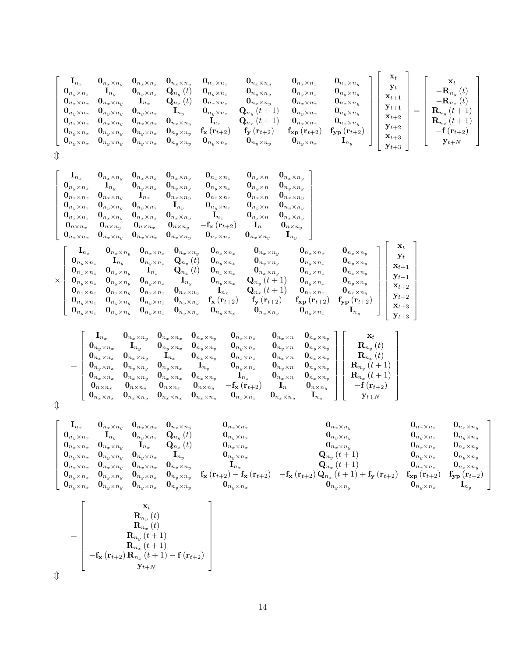| $\mathbf{I}_{n_x}$<br>$\mathbf{0}_{n_y \times n_x}$<br>$\mathbf{0}_{n_x \times n_x}$<br>$\mathbf{0}_{n_u \times n_x}$<br>$\mathbf{0}_{n_x \times n_x}$<br>$\mathbf{0}_{n_y \times n_x}$<br>$\mathbf{0}_{n_y \times n_x}$ | $\mathbf{0}_{n_x \times n_y}$<br>$\mathbf{I}_{n_y}$<br>$\mathbf{0}_{n_x \times n_y}$<br>$\mathbf{0}_{n_u \times n_u}$<br>$\mathbf{0}_{n_{x}\times n_{y}}$<br>$\mathbf{0}_{n_u \times n_u}$<br>$\mathbf{0}_{n_y \times n_y}$ | $\mathbf{0}_{n_x \times n_x}$<br>$\mathbf{0}_{n_y \times n_x}$<br>$\mathbf{I}_{n_x}$<br>$\mathbf{0}_{n_y \times n_x}$<br>$\mathbf{0}_{n_x \times n_x}$<br>$\mathbf{0}_{n_y \times n_x}$<br>$\mathbf{0}_{n_y \times n_x}$ | $\mathbf{0}_{n_{x}\times n_{y}}$<br>$\mathbf{Q}_{n_y}\left(t\right)$<br>$\left( t\right)$<br>$\mathbf{Q}_{n_x}$<br>$\mathbf{I}_{n_y}$<br>$\mathbf{0}_{n_{x}\times n_{y}}$<br>$\mathbf{0}_{n_u \times n_u}$<br>$\mathbf{0}_{n_y \times n_y}$ | $\mathbf{0}_{n_{x}\times n_{x}}$<br>$\mathbf{0}_{n_y \times n_x}$<br>$\mathbf{0}_{n_x \times n_x}$<br>$\mathbf{0}_{n_y \times n_x}$<br>$\mathbf{I}_{n_x}$<br>$\mathbf{f}_{\mathbf{x}}\left(\mathbf{r}_{t+2}\right)$<br>$\mathbf{0}_{n_y \times n_x}$ | $\mathbf{0}_{n_x \times n_y}$<br>$\mathbf{0}_{n_u \times n_u}$<br>$\mathbf{0}_{n_x \times n_y}$<br>$\mathbf{Q}_{n_y}\left(t+1\right)$<br>$(t + 1)$<br>$\mathbf{Q}_{n_x}$<br>$f_{y}$ $(r_{t+2})$<br>$\mathbf{0}_{n_y \times n_y}$ | $\mathbf{0}_{n_x \times n_x}$<br>$\mathbf{0}_{n_y \times n_x}$<br>$\mathbf{0}_{n_x \times n_x}$<br>$\mathbf{0}_{n_u \times n_x}$<br>$\mathbf{0}_{n_x \times n_x}$<br>$f_{\mathbf{xp}}\left( \mathbf{r}_{t+2} \right)$<br>$\mathbf{0}_{n_y \times n_x}$ | $\mathbf{0}_{n_x \times n_y}$<br>$\mathbf{0}_{n_u \times n_u}$<br>$\mathbf{0}_{n_x \times n_y}$<br>$\mathbf{0}_{n_u \times n_u}$<br>$\mathbf{0}_{n_x \times n_y}$<br>$f_{\mathbf{yp}}\left(\mathbf{r}_{t+2}\right)$<br>$\mathbf{I}_{n_y}$ | $\mathbf{x}_t$<br>$\mathbf{y}_t$<br>$\mathbf{x}_{t+1}$<br>$y_{t+1}$<br>$\mathbf{x}_{t+2}$<br>$\mathbf{y}_{t+2}$<br>$\mathbf{x}_{t+3}$<br>$\mathbf{y}_{t+3}$ | _<br>_ | $\mathbf{x}_t$<br>$-\mathbf{R}_{n_y}(t)$<br>$-\mathbf{R}_{n_x}(t)$<br>$\mathbf{R}_{n_y}(t+1)$<br>$\mathbf{R}_{n_x}\left(t+1\right)$<br>$-{\bf f}\left({\bf r}_{t+2}\right)$<br>$\mathbf{y}_{t+N}$ |
|--------------------------------------------------------------------------------------------------------------------------------------------------------------------------------------------------------------------------|-----------------------------------------------------------------------------------------------------------------------------------------------------------------------------------------------------------------------------|--------------------------------------------------------------------------------------------------------------------------------------------------------------------------------------------------------------------------|---------------------------------------------------------------------------------------------------------------------------------------------------------------------------------------------------------------------------------------------|------------------------------------------------------------------------------------------------------------------------------------------------------------------------------------------------------------------------------------------------------|----------------------------------------------------------------------------------------------------------------------------------------------------------------------------------------------------------------------------------|--------------------------------------------------------------------------------------------------------------------------------------------------------------------------------------------------------------------------------------------------------|-------------------------------------------------------------------------------------------------------------------------------------------------------------------------------------------------------------------------------------------|-------------------------------------------------------------------------------------------------------------------------------------------------------------|--------|---------------------------------------------------------------------------------------------------------------------------------------------------------------------------------------------------|
|--------------------------------------------------------------------------------------------------------------------------------------------------------------------------------------------------------------------------|-----------------------------------------------------------------------------------------------------------------------------------------------------------------------------------------------------------------------------|--------------------------------------------------------------------------------------------------------------------------------------------------------------------------------------------------------------------------|---------------------------------------------------------------------------------------------------------------------------------------------------------------------------------------------------------------------------------------------|------------------------------------------------------------------------------------------------------------------------------------------------------------------------------------------------------------------------------------------------------|----------------------------------------------------------------------------------------------------------------------------------------------------------------------------------------------------------------------------------|--------------------------------------------------------------------------------------------------------------------------------------------------------------------------------------------------------------------------------------------------------|-------------------------------------------------------------------------------------------------------------------------------------------------------------------------------------------------------------------------------------------|-------------------------------------------------------------------------------------------------------------------------------------------------------------|--------|---------------------------------------------------------------------------------------------------------------------------------------------------------------------------------------------------|

 $\updownarrow$ 

|          | $\mathbf{l}_{n_x}$<br>$\mathbf{0}_{n_y \times n_x}$<br>$\mathbf{0}_{n_x \times n_x}$<br>$\mathbf{0}_{n_y \times n_x}$<br>$\mathbf{0}_{n_x \times n_x}$<br>$\mathbf{0}_{n\times n_x}$                                                                            | $\mathbf{I}_{n_y}$<br>$\mathbf{0}_{n_x \times n_y}$<br>$\mathbf{0}_{n_y \times n_y}$<br>$\mathbf{0}_{n_x \times n_y}$<br>$\mathbf{0}_{n\times n_y}$                                                                         | $\mathbf{0}_{n_x \times n_y}$ $\mathbf{0}_{n_x \times n_x}$ $\mathbf{0}_{n_x \times n_y}$<br>$\mathbf{0}_{n_y \times n_x}$<br>$\mathbf{I}_{n_x}$<br>$\mathbf{0}_{n_y \times n_x}$<br>$\mathbf{0}_{n_x \times n_x}$<br>$\mathbf{0}_{n\times n_x}$       | $\mathbf{0}_{n_y \times n_y}$<br>$\mathbf{0}_{n_x \times n_y}$<br>$\mathbf{I}_{n_y}$<br>$\mathbf{0}_{n_x \times n_y}$<br>$\mathbf{0}_{n\times n_y}$                                                                                                                                | $\mathbf{0}_{n_x \times n_x}$<br>$\mathbf{0}_{n_y \times n_x}$<br>$\mathbf{0}_{n_x \times n_x}$<br>$\mathbf{0}_{n_y \times n_x}$<br>$\mathbf{I}_{n_x}$<br>$-\mathbf{f}_{\mathbf{x}}\left(\mathbf{r}_{t+2}\right)$                                                                  | $\mathbf{0}_{n_x \times n}$<br>$\mathbf{0}_{n_y \times n}$<br>$\mathbf{0}_{n_x \times n}$<br>$\mathbf{0}_{n_y \times n}$<br>$\mathbf{0}_{n_x \times n}$<br>$\mathbf{I}_n$                                                                                                                         | $\mathbf{0}_{n_x \times n_y}$<br>$\mathbf{0}_{n_y \times n_y}$<br>$\mathbf{0}_{n_x \times n_y}$<br>$\mathbf{0}_{n_y \times n_y}$<br>$\mathbf{0}_{n_x \times n_y}$<br>$\mathbf{0}_{n\times n_y}$                                                                               |                                                                                                                                                                                                                                        |                                                                                                                                                                      |
|----------|-----------------------------------------------------------------------------------------------------------------------------------------------------------------------------------------------------------------------------------------------------------------|-----------------------------------------------------------------------------------------------------------------------------------------------------------------------------------------------------------------------------|--------------------------------------------------------------------------------------------------------------------------------------------------------------------------------------------------------------------------------------------------------|------------------------------------------------------------------------------------------------------------------------------------------------------------------------------------------------------------------------------------------------------------------------------------|------------------------------------------------------------------------------------------------------------------------------------------------------------------------------------------------------------------------------------------------------------------------------------|---------------------------------------------------------------------------------------------------------------------------------------------------------------------------------------------------------------------------------------------------------------------------------------------------|-------------------------------------------------------------------------------------------------------------------------------------------------------------------------------------------------------------------------------------------------------------------------------|----------------------------------------------------------------------------------------------------------------------------------------------------------------------------------------------------------------------------------------|----------------------------------------------------------------------------------------------------------------------------------------------------------------------|
| $\times$ | $\mathbf{0}_{n_x \times n_x}$<br>$\mathbf{I}_{n_x}$<br>$\mathbf{0}_{n_{y}\times n_{x}}$<br>$\mathbf{0}_{n_x \times n_x}$<br>$\mathbf{0}_{n_{y}\times n_{x}}$<br>$\mathbf{0}_{n_x \times n_x}$<br>$\mathbf{0}_{n_y \times n_x}$<br>$\mathbf{0}_{n_y \times n_x}$ | $\mathbf{0}_{n_{x}\times n_{y}}$<br>$\mathbf{I}_{n_y}$<br>$\mathbf{0}_{n_x \times n_y}$<br>$\mathbf{0}_{n_y \times n_y}$<br>$\mathbf{0}_{n_x \times n_y}$<br>$\mathbf{0}_{n_y \times n_y}$<br>$\mathbf{0}_{n_y \times n_y}$ | $\mathbf{0}_{n_x \times n_x}$<br>$\mathbf{0}_{n_x \times n_y}$ $\mathbf{0}_{n_x \times n_x}$<br>$\mathbf{I}_{n_x}$<br>$\mathbf{0}_{n_y \times n_x}$<br>$\mathbf{0}_{n_x \times n_x}$<br>$\mathbf{0}_{n_y \times n_x}$<br>$\mathbf{0}_{n_y \times n_x}$ | $\mathbf{0}_{n_x \times n_y}$<br>$\mathbf{0}_{n_x \times n_y}$<br>$\mathbf{0}_{n_y \times n_x}$ $\mathbf{Q}_{n_y}(t)$<br>$\mathbf{Q}_{n_x}\left(t\right)$<br>$\mathbf{I}_{n_y}$<br>$\mathbf{0}_{n_x \times n_y}$<br>$\mathbf{0}_{n_y \times n_y}$<br>$\mathbf{0}_{n_y \times n_y}$ | $\mathbf{0}_{n_x \times n_x}$<br>$\mathbf{0}_{n_x \times n_x}$<br>$\mathbf{0}_{n_y \times n_x}$<br>$\mathbf{0}_{n_x \times n_x}$<br>$\mathbf{0}_{n_y \times n_x}$<br>$\mathbf{I}_{n_x}$<br>$\mathbf{f}_{\mathbf{x}}\left(\mathbf{r}_{t+2}\right)$<br>$\mathbf{0}_{n_y \times n_x}$ | $\mathbf{0}_{n_x \times n_y}$<br>$\mathbf{0}_{n_x \times n_y}$<br>$\mathbf{0}_{n_y \times n_y}$<br>$\mathbf{0}_{n_x \times n_y}$<br>${\bf Q}_{n_y}\left(t+1\right)$<br>${\bf Q}_{n_x}\left(t+1\right)$<br>$\mathbf{f}_{\mathbf{y}}\left(\mathbf{r}_{t+2}\right)$<br>$\mathbf{0}_{n_y \times n_y}$ | $\mathbf{I}_{n_y}$<br>$\mathbf{0}_{n_x \times n_x}$<br>$\mathbf{0}_{n_y \times n_x}$<br>$\mathbf{0}_{n_x \times n_x}$<br>$\mathbf{0}_{n_y \times n_x}$<br>$\mathbf{0}_{n_x \times n_x}$<br>$\mathbf{f_{xp}}\left(\mathbf{r}_{t+2}\right)$<br>$\mathbf{0}_{n_{y}\times n_{x}}$ | $\mathbf{0}_{n_x \times n_y}$<br>$\mathbf{0}_{n_y \times n_y}$<br>$\mathbf{0}_{n_x \times n_y}$<br>$\mathbf{0}_{n_y \times n_y}$<br>$\mathbf{0}_{n_x \times n_y}$<br>$\mathbf{f_{yp}}\left(\mathbf{r}_{t+2}\right)$<br>${\bf I}_{n_y}$ | $\mathbf{x}_t$<br>$\mathbf{y}_t$<br>$\mathbf{x}_{t+1}$<br>$\mathbf{y}_{t+1}$<br>$\mathbf{x}_{t+2}$<br>$\mathbf{y}_{t+2}$<br>$\mathbf{x}_{t+3}$<br>$\mathbf{y}_{t+3}$ |

| $\mathbf{I}_{n_{x}}$ |                                                                                                              | $\mathbf{0}_{n_x \times n_y}$ $\mathbf{0}_{n_x \times n_x}$ $\mathbf{0}_{n_x \times n_y}$                                                      | $\mathbf{0}_{n_{x}\times n_{x}}$                                                                                                                                                             |                                                  | $\mathbf{0}_{n_x \times n}$ $\mathbf{0}_{n_x \times n_y}$ | $\mathbf{x}_t$                       |
|----------------------|--------------------------------------------------------------------------------------------------------------|------------------------------------------------------------------------------------------------------------------------------------------------|----------------------------------------------------------------------------------------------------------------------------------------------------------------------------------------------|--------------------------------------------------|-----------------------------------------------------------|--------------------------------------|
|                      | $\mathbf{0}_{n_y \times n_x}$ $\mathbf{I}_{n_y}$ $\mathbf{0}_{n_y \times n_x}$ $\mathbf{0}_{n_y \times n_y}$ |                                                                                                                                                | $\mathbf{0}_{n_y \times n_x}$                                                                                                                                                                |                                                  | $\mathbf{0}_{n_y \times n}$ $\mathbf{0}_{n_y \times n_y}$ | $\mathbf{R}_{n_y}\left(t\right)$     |
|                      | $\mathbf{0}_{n_x \times n_x}$ $\mathbf{0}_{n_x \times n_y}$ $\mathbf{I}_{n_x}$ $\mathbf{0}_{n_x \times n_y}$ |                                                                                                                                                | $\mathbf{0}_{n_x \times n_x}$                                                                                                                                                                |                                                  | $\mathbf{0}_{n_x \times n}$ $\mathbf{0}_{n_x \times n_y}$ | $\mathbf{R}_{n_x}\left(t\right)$     |
|                      |                                                                                                              | $\begin{array}{cccccc} \mathbf{0}_{n_y \times n_x} & \mathbf{0}_{n_y \times n_y} & \mathbf{0}_{n_y \times n_x} & \mathbf{I}_{n_y} \end{array}$ | $\mathbf{0}_{n_y \times n_x}$                                                                                                                                                                |                                                  | $\mathbf{0}_{n_y \times n}$ $\mathbf{0}_{n_y \times n_y}$ | $\mathbf{R}_{n_y}(t+1)$              |
|                      |                                                                                                              |                                                                                                                                                | $\begin{array}{ccccccccc} \mathbf{0}_{n_x \times n_x} & \mathbf{0}_{n_x \times n_y} & \mathbf{0}_{n_x \times n_x} & \mathbf{0}_{n_x \times n_y} & & \mathbf{I}_{n_x} \end{array}$            |                                                  | $\mathbf{0}_{n_x \times n}$ $\mathbf{0}_{n_x \times n_y}$ | $\mathbf{R}_{n_x}(t+1)$              |
|                      |                                                                                                              |                                                                                                                                                | $\mathbf{0}_{n \times n_x}$ $\mathbf{0}_{n \times n_y}$ $\mathbf{0}_{n \times n_x}$ $\mathbf{0}_{n \times n_y}$ $-\mathbf{f_x}(\mathbf{r}_{t+2})$ $\mathbf{I}_n$ $\mathbf{0}_{n \times n_y}$ |                                                  |                                                           | $-{\bf f}\left({\bf r}_{t+2}\right)$ |
|                      |                                                                                                              |                                                                                                                                                | $\mathbf{0}_{n_x \times n_x}$ $\mathbf{0}_{n_x \times n_y}$ $\mathbf{0}_{n_x \times n_x}$ $\mathbf{0}_{n_x \times n_y}$ $\mathbf{0}_{n_x \times n_x}$                                        | $\mathbf{0}_{n_x \times n_y}$ $\mathbf{I}_{n_y}$ |                                                           | $\mathbf{y}_{t+N}$                   |

3

 $\updownarrow$ 

| $\mathbf{I}_{n_x}$               |                                                                                                                       | $\mathbf{0}_{n_x \times n_y}$ $\mathbf{0}_{n_x \times n_x}$ | $\mathbf{0}_{n_{x}\times n_{y}}$              | $\mathbf{0}_{n_x \times n_x}$                                                                               | $\mathbf{0}_{n_x \times n_y}$                                                                                                                | $\mathbf{0}_{n_{x}\times n_{x}}$               | $\mathbf{0}_{n_x \times n_y}$                    |
|----------------------------------|-----------------------------------------------------------------------------------------------------------------------|-------------------------------------------------------------|-----------------------------------------------|-------------------------------------------------------------------------------------------------------------|----------------------------------------------------------------------------------------------------------------------------------------------|------------------------------------------------|--------------------------------------------------|
| $\mathbf{0}_{n_u \times n_x}$    | $\mathbf{I}_{n_n}$                                                                                                    | $\mathbf{0}_{n_y \times n_x}$                               | $\mathbf{Q}_{n_{u}}(t)$                       | $\mathbf{0}_{n_{u}\times n_{x}}$                                                                            | $\mathbf{0}_{n_u \times n_u}$                                                                                                                | $\mathbf{0}_{n_y \times n_x}$                  | $\mathbf{0}_{n_u \times n_u}$                    |
| $\mathbf{0}_{n_{x}\times n_{x}}$ | $\mathbf{0}_{n_{x}\times n_{y}}$                                                                                      | $\mathbf{I}_{n_x}$                                          | $\mathbf{Q}_{n_x}\left(t\right)$              | $\mathbf{U}_{n_x \times n_x}$                                                                               | $\mathbf{0}_{n_x \times n_y}$                                                                                                                | $\mathbf{0}_{n_{x}\times n_{x}}$               | $\mathbf{0}_{n_{x}\times n_{y}}$                 |
| $\mathbf{0}_{n_y \times n_x}$    | $\mathbf{0}_{n_{y}\times n_{y}}$ $\mathbf{0}_{n_{y}\times n_{x}}$                                                     |                                                             | $\mathbf{I}_{n_u}$                            | $\mathbf{U}_{n_y \times n_x}$                                                                               | ${\bf Q}_{n_{u}}(t+1)$                                                                                                                       | $\mathbf{0}_{n_y \times n_x}$                  | $\mathbf{0}_{n_u \times n_u}$                    |
| $\mathbf{0}_{n_x \times n_x}$    | $\mathbf{0}_{n_x \times n_y}$ $\mathbf{0}_{n_x \times n_x}$                                                           |                                                             | $\mathbf{0}_{n_{x}\times n_{u}}$              | $\mathbf{1}_{n_x}$                                                                                          | ${\bf Q}_{n_r} (t+1)$                                                                                                                        | $\mathbf{0}_{n_{x}\times n_{x}}$               | $\mathbf{0}_{n_{x}\times n_{u}}$                 |
| $\mathbf{0}_{n_y \times n_x}$    | $\mathbf{0}_{n_y \times n_y}$                                                                                         | $\mathbf{0}_{n_y \times n_x}$ .                             | $\mathbf{0}_{n_y \times n_u}$                 | $\mathbf{f}_{\mathbf{x}}\left(\mathbf{r}_{t+2}\right)-\mathbf{f}_{\mathbf{x}}\left(\mathbf{r}_{t+2}\right)$ | $-\mathbf{f}_{\mathbf{x}}\left(\mathbf{r}_{t+2}\right)\mathbf{Q}_{n_x}\left(t+1\right)+\mathbf{f}_{\mathbf{y}}\left(\mathbf{r}_{t+2}\right)$ | $f_{\mathbf{xp}}\left(\mathbf{r}_{t+2}\right)$ | $f_{\mathbf{yp}}\left( \mathbf{r}_{t+2} \right)$ |
|                                  | $\begin{matrix} \mathbf{0}_{n_y \times n_x} & \mathbf{0}_{n_y \times n_y} & \mathbf{0}_{n_y \times n_x} \end{matrix}$ |                                                             | $\cdot$ $\cdot$ $\mathbf{0}_{n_y \times n_u}$ | $\mathbf{0}_{n_u \times n_x}$                                                                               | $\mathbf{0}_{n_u \times n_u}$                                                                                                                | $\mathbf{0}_{n_u \times n_x}$                  | $\mathbf{I}_{n_{u}}$                             |

=  $\sqrt{2}$  $\begin{array}{c|c} \hline \textbf{1} & \textbf{1} \\ \hline \textbf{2} & \textbf{1} \\ \hline \textbf{3} & \textbf{1} \\ \hline \textbf{4} & \textbf{1} \\ \hline \textbf{5} & \textbf{1} \\ \hline \textbf{6} & \textbf{1} \\ \hline \textbf{7} & \textbf{1} \\ \hline \textbf{8} & \textbf{1} \\ \hline \textbf{9} & \textbf{1} \\ \hline \textbf{10} & \textbf{1} \\ \hline \textbf{11} & \textbf{1} \\ \hline \textbf{12} & \textbf{1} \\ \hline \$  $\mathbf{x}_t$  $\mathbf{R}_{n_y}\left(t\right)$  $\mathbf{R}_{n_{x}}\left(t\right)$  $\mathbf{R}_{n_y}\left(t+1\right)$  $\mathbf{R}_{n_x}\left(t+1\right)$  $-{\bf f_x}\left( {\bf r}_{t+2} \right) {\bf R}_{n_x}\left( {t+1} \right) - {\bf f}\left( {\bf r}_{t+2} \right)$  $y_{t+N}$ 

 $\updownarrow$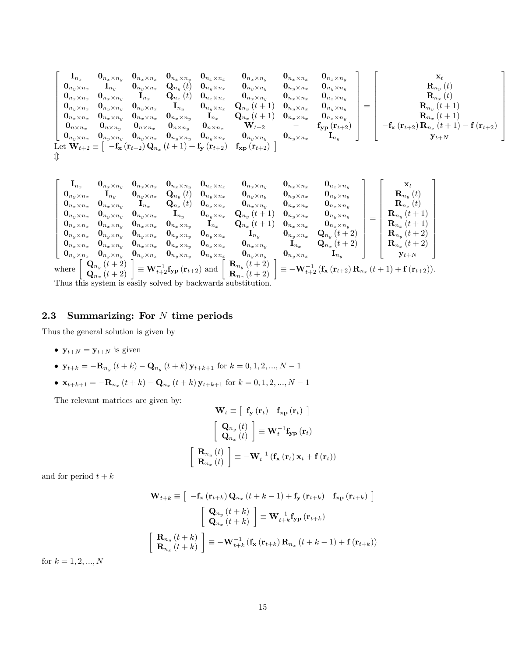$$
\left[ \begin{matrix} {\bf I}_{n_x} & {\bf 0}_{n_x \times n_x} & {\bf 0}_{n_x \times n_x} & {\bf 0}_{n_x \times n_x} & {\bf 0}_{n_x \times n_y} & {\bf 0}_{n_x \times n_y} & {\bf 0}_{n_x \times n_y} & {\bf 0}_{n_x \times n_y} & {\bf 0}_{n_y \times n_x} \\ {\bf 0}_{n_y \times n_x} & {\bf I}_{n_y} & {\bf 0}_{n_y \times n_x} & {\bf I}_{n_x} & {\bf Q}_{n_y}(t) & {\bf 0}_{n_y \times n_x} & {\bf 0}_{n_y \times n_y} & {\bf 0}_{n_y \times n_y} & {\bf 0}_{n_y \times n_y} \\ {\bf 0}_{n_x \times n_x} & {\bf 0}_{n_y \times n_y} & {\bf I}_{n_x} & {\bf Q}_{n_x}(t) & {\bf 0}_{n_x \times n_x} & {\bf 0}_{n_x \times n_y} & {\bf 0}_{n_x \times n_y} & {\bf 0}_{n_x \times n_y} \\ {\bf 0}_{n_x \times n_x} & {\bf 0}_{n_y \times n_y} & {\bf 0}_{n_y \times n_x} & {\bf 0}_{n_x \times n_y} & {\bf 0}_{n_x \times n_y} & {\bf 0}_{n_x \times n_x} & {\bf 0}_{n_y \times n_x} \\ {\bf 0}_{n_x \times n_x} & {\bf 0}_{n_x \times n_y} & {\bf 0}_{n_x \times n_y} & {\bf 0}_{n_x \times n_y} & {\bf 0}_{n_x \times n_y} & {\bf 0}_{n_x \times n_y} \\ {\bf 0}_{n_x \times n_x} & {\bf 0}_{n_y \times n_y} & {\bf 0}_{n_x \times n_x} & {\bf 0}_{n_y \times n_y} & {\bf 0}_{n_y \times n_x} & {\bf 0}_{n_y \times n_x} \\ {\bf 0}_{n_y \times n_x} & {\bf 0}_{n_y \times n_y} & {\bf 0}_{n_y \times n_y} & {\bf 0}_{n_y \times n_x} & {\bf 0}_{n_y \times n_y} & {\bf 0}_{n_y \times n_y} & {\bf 0}_{n_y \times n_x} \\ {\bf 0}_{n_y \times n_x} & {\bf 0}_{n_y \times n_y} & {\bf 0}_{n_y \times n_y} & {\bf 0}_{n_y \times n_y} & {\bf 0}_{n_y \times n_x} & {\bf 0}_{n_y \times n_x} \\ {\bf 0}_{n_y \times n_x} & {\bf 0}_{n_y \times n_y
$$

$$
\begin{bmatrix}\n\mathbf{I}_{n_{x}} & \mathbf{0}_{n_{x}\times n_{x}} & \mathbf{0}_{n_{x}\times n_{x}} & \mathbf{0}_{n_{x}\times n_{x}} & \mathbf{0}_{n_{x}\times n_{x}} & \mathbf{0}_{n_{x}\times n_{y}} & \mathbf{0}_{n_{x}\times n_{x}} & \mathbf{0}_{n_{x}\times n_{y}} & \mathbf{0}_{n_{x}\times n_{y}} & \mathbf{0}_{n_{x}\times n_{y}} \\
\mathbf{0}_{n_{x}\times n_{x}} & \mathbf{I}_{n_{y}} & \mathbf{0}_{n_{y}\times n_{x}} & \mathbf{I}_{n_{x}} & \mathbf{Q}_{n_{y}}(t) & \mathbf{0}_{n_{y}\times n_{x}} & \mathbf{0}_{n_{y}\times n_{y}} & \mathbf{0}_{n_{y}\times n_{y}} & \mathbf{0}_{n_{y}\times n_{y}} \\
\mathbf{0}_{n_{x}\times n_{x}} & \mathbf{0}_{n_{y}\times n_{y}} & \mathbf{0}_{n_{y}\times n_{x}} & \mathbf{I}_{n_{y}} & \mathbf{0}_{n_{y}\times n_{x}} & \mathbf{Q}_{n_{y}}(t+1) & \mathbf{0}_{n_{y}\times n_{x}} & \mathbf{0}_{n_{x}\times n_{y}} \\
\mathbf{0}_{n_{x}\times n_{x}} & \mathbf{0}_{n_{x}\times n_{y}} & \mathbf{0}_{n_{x}\times n_{x}} & \mathbf{0}_{n_{x}\times n_{y}} & \mathbf{I}_{n_{x}} & \mathbf{Q}_{n_{y}}(t+1) & \mathbf{0}_{n_{y}\times n_{x}} & \mathbf{0}_{n_{x}\times n_{y}} \\
\mathbf{0}_{n_{y}\times n_{x}} & \mathbf{0}_{n_{y}\times n_{y}} & \mathbf{0}_{n_{y}\times n_{x}} & \mathbf{0}_{n_{y}\times n_{y}} & \mathbf{0}_{n_{y}\times n_{y}} & \mathbf{I}_{n_{x}} & \mathbf{Q}_{n_{x}}(t+1) & \mathbf{0}_{n_{y}\times n_{x}} & \mathbf{Q}_{n_{y}}(t+2) \\
\mathbf{0}_{n_{y}\times n_{x}} & \mathbf{0}_{n_{y}\times n_{y}} & \mathbf{0}_{n_{y}\times n_{x}} & \mathbf{0}_{n_{y}\times n_{y}} & \mathbf{0}_{n_{y}\times n_{y}} & \
$$

Thus this system is easily solved by backwards substitution.

# 2.3 Summarizing: For  $N$  time periods

Thus the general solution is given by

•  $y_{t+N} = y_{t+N}$  is given

• 
$$
\mathbf{y}_{t+k} = -\mathbf{R}_{n_y}(t+k) - \mathbf{Q}_{n_y}(t+k)\mathbf{y}_{t+k+1}
$$
 for  $k = 0, 1, 2, ..., N-1$ 

•  $\mathbf{x}_{t+k+1} = -\mathbf{R}_{n_x}(t+k) - \mathbf{Q}_{n_x}(t+k) \mathbf{y}_{t+k+1}$  for  $k = 0, 1, 2, ..., N-1$ 

The relevant matrices are given by:

$$
\mathbf{W}_{t} \equiv \left[ \begin{array}{cc} \mathbf{f}_{\mathbf{y}} \left( \mathbf{r}_{t} \right) & \mathbf{f}_{\mathbf{x}\mathbf{p}} \left( \mathbf{r}_{t} \right) \end{array} \right]
$$

$$
\left[ \begin{array}{c} \mathbf{Q}_{n_{y}} \left( t \right) \\ \mathbf{Q}_{n_{x}} \left( t \right) \end{array} \right] \equiv \mathbf{W}_{t}^{-1} \mathbf{f}_{\mathbf{y}\mathbf{p}} \left( \mathbf{r}_{t} \right)
$$

$$
\left[ \begin{array}{c} \mathbf{R}_{n_{y}} \left( t \right) \\ \mathbf{R}_{n_{x}} \left( t \right) \end{array} \right] \equiv -\mathbf{W}_{t}^{-1} \left( \mathbf{f}_{\mathbf{x}} \left( \mathbf{r}_{t} \right) \mathbf{x}_{t} + \mathbf{f} \left( \mathbf{r}_{t} \right) \right)
$$

and for period  $t + k$ 

$$
\mathbf{W}_{t+k} \equiv \left[ \begin{array}{c} -\mathbf{f}_{\mathbf{x}} \left( \mathbf{r}_{t+k} \right) \mathbf{Q}_{n_x} \left( t+k-1 \right) + \mathbf{f}_{\mathbf{y}} \left( \mathbf{r}_{t+k} \right) & \mathbf{f}_{\mathbf{x} \mathbf{p}} \left( \mathbf{r}_{t+k} \right) \end{array} \right]
$$

$$
\left[ \begin{array}{c} \mathbf{Q}_{n_y} \left( t+k \right) \\ \mathbf{Q}_{n_x} \left( t+k \right) \end{array} \right] \equiv \mathbf{W}_{t+k}^{-1} \mathbf{f}_{\mathbf{y} \mathbf{p}} \left( \mathbf{r}_{t+k} \right)
$$

$$
\left[ \begin{array}{c} \mathbf{R}_{n_y} \left( t+k \right) \\ \mathbf{R}_{n_x} \left( t+k \right) \end{array} \right] \equiv -\mathbf{W}_{t+k}^{-1} \left( \mathbf{f}_{\mathbf{x}} \left( \mathbf{r}_{t+k} \right) \mathbf{R}_{n_x} \left( t+k-1 \right) + \mathbf{f} \left( \mathbf{r}_{t+k} \right) \right)
$$

for  $k = 1, 2, ..., N$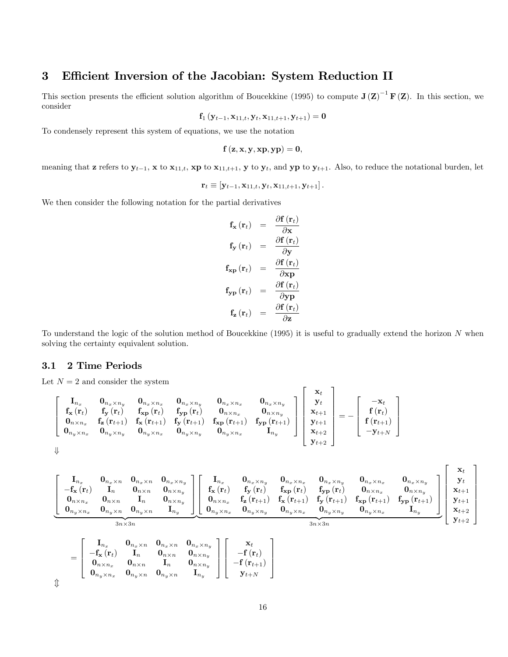# 3 Efficient Inversion of the Jacobian: System Reduction II

This section presents the efficient solution algorithm of Boucekkine (1995) to compute  $J(Z)^{-1}F(Z)$ . In this section, we consider

$$
\mathbf{f}_1\left(\mathbf{y}_{t-1},\mathbf{x}_{11,t},\mathbf{y}_t,\mathbf{x}_{11,t+1},\mathbf{y}_{t+1}\right)=\mathbf{0}
$$

To condensely represent this system of equations, we use the notation

$$
f(z,x,y,xp,yp)=0,
$$

meaning that **z** refers to  $y_{t-1}$ , **x** to  $x_{11,t}$ , **xp** to  $x_{11,t+1}$ , **y** to  $y_t$ , and **yp** to  $y_{t+1}$ . Also, to reduce the notational burden, let

$$
\mathbf{r}_t \equiv [\mathbf{y}_{t-1}, \mathbf{x}_{11,t}, \mathbf{y}_t, \mathbf{x}_{11,t+1}, \mathbf{y}_{t+1}].
$$

We then consider the following notation for the partial derivatives

$$
\mathbf{f}_{\mathbf{x}}(\mathbf{r}_{t}) = \frac{\partial \mathbf{f}(\mathbf{r}_{t})}{\partial \mathbf{x}} \n\mathbf{f}_{\mathbf{y}}(\mathbf{r}_{t}) = \frac{\partial \mathbf{f}(\mathbf{r}_{t})}{\partial \mathbf{y}} \n\mathbf{f}_{\mathbf{x}\mathbf{p}}(\mathbf{r}_{t}) = \frac{\partial \mathbf{f}(\mathbf{r}_{t})}{\partial \mathbf{x}\mathbf{p}} \n\mathbf{f}_{\mathbf{y}\mathbf{p}}(\mathbf{r}_{t}) = \frac{\partial \mathbf{f}(\mathbf{r}_{t})}{\partial \mathbf{y}\mathbf{p}} \n\mathbf{f}_{\mathbf{z}}(\mathbf{r}_{t}) = \frac{\partial \mathbf{f}(\mathbf{r}_{t})}{\partial \mathbf{z}}
$$

To understand the logic of the solution method of Boucekkine (1995) it is useful to gradually extend the horizon N when solving the certainty equivalent solution.

#### 3.1 2 Time Periods

Let  $N = 2$  and consider the system

$$
\left[\begin{array}{cccc} {\bf I}_{n_x} & {\bf 0}_{n_x \times n_y} & {\bf 0}_{n_x \times n_x} & {\bf 0}_{n_x \times n_y} & {\bf 0}_{n_x \times n_x} & {\bf 0}_{n_x \times n_y} \\ {\bf f}_{\bf x}({\bf r}_t) & {\bf f}_{\bf y}({\bf r}_t) & {\bf f}_{\bf x {\bf p}}({\bf r}_t) & {\bf f}_{\bf y {\bf p}}({\bf r}_t) & {\bf 0}_{n \times n_x} & {\bf 0}_{n \times n_y} \\ {\bf 0}_{n \times n_x} & {\bf f}_{\bf z}({\bf r}_{t+1}) & {\bf f}_{\bf x}({\bf r}_{t+1}) & {\bf f}_{\bf y}({\bf r}_{t+1}) & {\bf f}_{\bf x {\bf p}}({\bf r}_{t+1}) \\ {\bf 0}_{n_y \times n_x} & {\bf 0}_{n_y \times n_y} & {\bf 0}_{n_y \times n_x} & {\bf 0}_{n_y \times n_y} & {\bf 0}_{n_y \times n_x} & {\bf I}_{n_y} \end{array}\right] \left[\begin{array}{c} {\bf x}_t \\ {\bf y}_t \\ {\bf x}_{t+1} \\ {\bf y}_{t+1} \\ {\bf y}_{t+2} \\ {\bf y}_{t+2} \end{array}\right] = - \left[\begin{array}{c} -{\bf x}_t \\ {\bf f}({\bf r}_t) \\ {\bf f}({\bf r}_t) \\ -{\bf y}_{t+N} \end{array}\right]
$$

$$
\left[ \begin{array}{cccc} {\bf I}_{n_x} & {\bf 0}_{n_x \times n} & {\bf 0}_{n_x \times n} & {\bf 0}_{n_x \times n_y} \\ -{\bf f}_{\bf x}({\bf r}_t) & {\bf I}_n & {\bf 0}_{n \times n} & {\bf 0}_{n \times n_y} \\ {\bf 0}_{n \times n_x} & {\bf I}_n & {\bf 0}_{n \times n} & {\bf I}_n & {\bf 0}_{n \times n_y} \\ {\bf 0}_{n_y \times n_x} & {\bf 0}_{n_y \times n} & {\bf I}_n & {\bf 0}_{n \times n_y} \\ {\bf 0}_{n_y \times n_x} & {\bf 0}_{n_y \times n} & {\bf 0}_{n_y \times n} & {\bf I}_{n_y} \end{array} \right] \left[ \begin{array}{cccc} {\bf I}_{n_x} & {\bf 0}_{n_x \times n_y} & {\bf 0}_{n_x \times n_x} & {\bf 0}_{n_x \times n_y} & {\bf 0}_{n_x \times n_x} & {\bf 0}_{n_x \times n_y} \\ {\bf f}_{\bf x}({\bf r}_t) & {\bf f}_{\bf y}({\bf r}_t) & {\bf f}_{\bf x {\bf p}}({\bf r}_t) & {\bf 0}_{n \times n_x} & {\bf 0}_{n \times n_y} \\ {\bf 0}_{n_x \times n_x} & {\bf 0}_{n_y \times n_x} & {\bf 0}_{n_y \times n_x} & {\bf 0}_{n_y \times n_x} & {\bf 0}_{n_y \times n_y} & {\bf 0}_{n_y \times n_y} & {\bf 0}_{n_y \times n_y} \\ {\bf 0}_{n_y \times n_x} & {\bf 0}_{n_y \times n_y} & {\bf 0}_{n_y \times n_y} & {\bf 0}_{n_y \times n_y} & {\bf 0}_{n_y \times n_y} \\ {\bf 0}_{n \times n_y} & {\bf 0}_{n \times n_y} & {\bf 0}_{n \times n_y} \\ {\bf 0}_{n \times n_y} & {\bf 0}_{n \times n_y} & {\bf 0}_{n \times n_y} \\ {\bf 0}_{n \times n_y} & {\bf 0}_{n \times n_y} & {\bf I}_n & {\bf 0}_{n \times n_y} \\ {\bf 0}_{n \times n_y} & {\bf I}_n & {\bf 0}_{n \times n_y} \\ {\bf 0}_{n \times n_y} & {\bf I}_n & {\bf 0}_{n \times n_y} \\ {\bf 0}_{n \times n_y} & {\bf I}_n & {\bf 0}_{n \times n_y}
$$

$$
= \left[\begin{array}{cccc} -\mathbf{f}_{\mathbf{x}}(\mathbf{r}_t) & \mathbf{I}_n & \mathbf{0}_{n \times n} & \mathbf{0}_{n \times n_y} \\ \mathbf{0}_{n \times n_x} & \mathbf{0}_{n \times n} & \mathbf{I}_n & \mathbf{0}_{n \times n_y} \\ \mathbf{0}_{n_y \times n_x} & \mathbf{0}_{n_y \times n} & \mathbf{0}_{n_y \times n} & \mathbf{I}_{n_y} \end{array}\right] \left[\begin{array}{c} -\mathbf{f}(\mathbf{r}_t) \\ -\mathbf{f}(\mathbf{r}_{t+1}) \\ \mathbf{f}(\mathbf{r}_{t+1}) \\ \mathbf{y}_{t+N} \end{array}\right]
$$

 $\hat{\mathbb{I}}$ 

 $\overline{1}$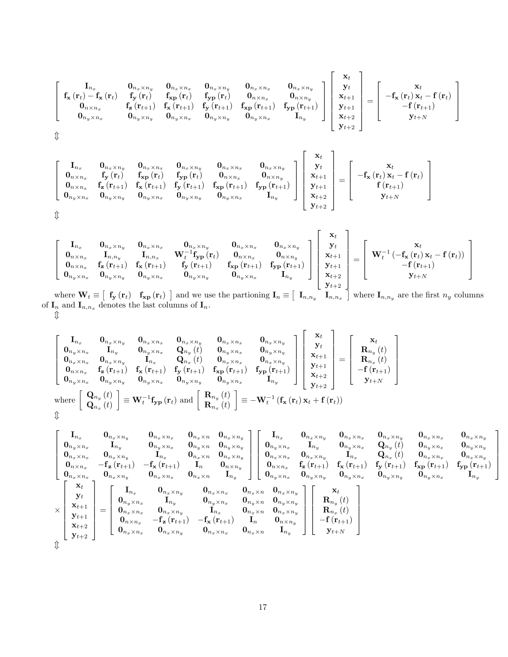$$
\left[\begin{array}{cccc} \mathbf{I}_{n_{x}} & \mathbf{0}_{n_{x}\times n_{y}} & \mathbf{0}_{n_{x}\times n_{y}} & \mathbf{0}_{n_{x}\times n_{y}} & \mathbf{0}_{n_{x}\times n_{y}} & \mathbf{0}_{n_{x}\times n_{x}} & \mathbf{0}_{n_{x}\times n_{y}} \\ \mathbf{f}_{\mathbf{x}}\left(\mathbf{r}_{t}\right)-\mathbf{f}_{\mathbf{x}}\left(\mathbf{r}_{t}\right) & \mathbf{f}_{\mathbf{y}}\left(\mathbf{r}_{t}\right) & \mathbf{f}_{\mathbf{x}\mathbf{p}}\left(\mathbf{r}_{t}\right) & \mathbf{f}_{\mathbf{y}\mathbf{p}}\left(\mathbf{r}_{t}\right) & \mathbf{0}_{n\times n_{x}} & \mathbf{0}_{n\times n_{y}} \\ \mathbf{0}_{n\times n_{x}} & \mathbf{f}_{\mathbf{z}}\left(\mathbf{r}_{t+1}\right) & \mathbf{f}_{\mathbf{x}}\left(\mathbf{r}_{t+1}\right) & \mathbf{f}_{\mathbf{y}}\left(\mathbf{r}_{t+1}\right) & \mathbf{f}_{\mathbf{x}\mathbf{p}}\left(\mathbf{r}_{t+1}\right) & \mathbf{f}_{\mathbf{y}\mathbf{p}}\left(\mathbf{r}_{t+1}\right) & \mathbf{f}_{\mathbf{y}\mathbf{p}}\left(\mathbf{r}_{t+1}\right) \\ \mathbf{0}_{n_{y}\times n_{x}} & \mathbf{0}_{n_{y}\times n_{y}} & \mathbf{0}_{n_{y}\times n_{x}} & \mathbf{0}_{n_{y}\times n_{y}} & \mathbf{0}_{n_{y}\times n_{x}} & \mathbf{I}_{n_{y}} \end{array}\right]\left[\begin{array}{c} \mathbf{x}_{t} \\ \mathbf{y}_{t} \\ \mathbf{x}_{t+1} \\ \mathbf{y}_{t+1} \\ \mathbf{y}_{t+2} \\ \mathbf{y}_{t+2} \end{array}\right]=\left[\begin{array}{c} \mathbf{x}_{t} \\ -\mathbf{f}_{\mathbf{x}}\left(\mathbf{r}_{t}\right) \\ -\mathbf{f}_{\mathbf{x}}\left(\mathbf{r}_{t+1}\right) \\ \mathbf{y}_{t+1} \\ \mathbf{y}_{t+1} \\ \mathbf{y}_{t+2} \end{array}\right]
$$

 $\hat{\psi}$ 

$$
\left[ \begin{array}{cccc} {\bf I}_{n_x} & {\bf 0}_{n_x \times n_y} & {\bf 0}_{n_x \times n_y} & {\bf 0}_{n_x \times n_x} & {\bf 0}_{n_x \times n_y} & {\bf 0}_{n_x \times n_y} \\ {\bf 0}_{n \times n_x} & {\bf f}_{\bf y} \left( {\bf r}_t \right) & {\bf f}_{\bf xp} \left( {\bf r}_t \right) & {\bf f}_{\bf y p} \left( {\bf r}_t \right) & {\bf 0}_{n \times n_x} & {\bf 0}_{n \times n_y} \\ {\bf 0}_{n \times n_x} & {\bf f}_{\bf z} \left( {\bf r}_{t+1} \right) & {\bf f}_{\bf x} \left( {\bf r}_{t+1} \right) & {\bf f}_{\bf y} \left( {\bf r}_{t+1} \right) & {\bf f}_{\bf x p} \left( {\bf r}_{t+1} \right) & {\bf f}_{\bf x p} \left( {\bf r}_{t+1} \right) \\ {\bf 0}_{n_y \times n_x} & {\bf 0}_{n_y \times n_y} & {\bf 0}_{n_y \times n_x} & {\bf 0}_{n_y \times n_y} & {\bf 0}_{n_y \times n_x} & {\bf I}_{n_y} \end{array} \right] \left[ \begin{array}{c} {\bf x}_t \\ {\bf y}_t \\ {\bf x}_{t+1} \\ {\bf y}_t+1 \\ {\bf x}_{t+2} \\ {\bf x}_{t+2} \\ {\bf y}_{t+2} \end{array} \right] = \left[ \begin{array}{c} {\bf x}_t \\ -{\bf f}_{\bf x} \left( {\bf r}_t \right) {\bf x}_t \\ -{\bf f}_{\bf x} \left( {\bf r}_t \right) {\bf x}_t \\ {\bf f} \left( {\bf r}_{t+1} \right) \\ {\bf y}_{t+1} \\ {\bf y}_{t+2} \end{array} \right]
$$

$$
\left[ \begin{array}{cccc} {\bf I}_{n_x} & {\bf 0}_{n_x \times n_y} & {\bf 0}_{n_x \times n_y} & {\bf 0}_{n_x \times n_x} & {\bf 0}_{n_x \times n_y} \\ {\bf 0}_{n \times n_x} & {\bf I}_{n,n_y} & {\bf I}_{n,n_x} & {\bf W}_t^{-1} {\bf f}_{{\bf y} {\bf p}} \left( {\bf r}_t \right) & {\bf 0}_{n \times n_x} & {\bf 0}_{n \times n_y} \\ {\bf 0}_{n \times n_x} & {\bf f}_{{\bf z}} \left( {\bf r}_{t+1} \right) & {\bf f}_{{\bf x}} \left( {\bf r}_{t+1} \right) & {\bf f}_{{\bf y}} \left( {\bf r}_{t+1} \right) & {\bf f}_{{\bf x} {\bf p}} \left( {\bf r}_{t+1} \right) & {\bf f}_{{\bf x} {\bf p}} \left( {\bf r}_{t+1} \right) & {\bf f}_{{\bf y} {\bf p}} \left( {\bf r}_{t+1} \right) \\ {\bf 0}_{n_y \times n_x} & {\bf 0}_{n_y \times n_y} & {\bf 0}_{n_y \times n_x} & {\bf 0}_{n_y \times n_y} & {\bf 0}_{n_y \times n_x} & {\bf I}_{n_y} \end{array} \right] \left[ \begin{array}{c} {\bf x}_t \\ {\bf y}_t \\ {\bf x}_{t+1} \\ {\bf x}_{t+1} \\ {\bf y}_{t+1} \\ {\bf x}_{t+2} \\ {\bf y}_{t+2} \end{array} \right] = \left[ \begin{array}{c} {\bf x}_t \\ {\bf W}_t^{-1} \left( -{\bf f}_{{\bf x}} \left( {\bf r}_t \right) {\bf x}_t - {\bf f} \left( {\bf r}_t \right) \right) \\ -{\bf f} \left( {\bf r}_{t+1} \right) & {\bf f}_{{\bf x} {\bf p}} \left( {\bf r}_{t+1} \right) & {\bf f}_{{\bf x} {\bf p}} \left( {\bf r}_{t+1} \right) & {\bf f}_{{\bf x} {\bf p}} \left( {\bf r}_{t+1} \right) \\ {\bf x}_t + {\bf x} \\ {\bf y}_{t+2} \end{array} \right]
$$

where  $\mathbf{W}_t \equiv \begin{bmatrix} \mathbf{f_y}(\mathbf{r}_t) & \mathbf{f_{xp}}(\mathbf{r}_t) \end{bmatrix}$  and we use the partioning  $\mathbf{I}_n \equiv \begin{bmatrix} \mathbf{I}_{n,n_y} & \mathbf{I}_{n,n_x} \end{bmatrix}$  where  $\mathbf{I}_{n,n_y}$  are the first  $n_y$  columns of  $I_n$  and  $I_{n,n_x}$  denotes the last columns of  $I_n$ .  $\downarrow$ 

$$
\left[\begin{matrix} \mathbf{I}_{n_x} & \mathbf{0}_{n_x \times n_y} & \mathbf{0}_{n_x \times n_x} & \mathbf{0}_{n_x \times n_y} & \mathbf{0}_{n_x \times n_x} & \mathbf{0}_{n_x \times n_y} \\ \mathbf{0}_{n_y \times n_x} & \mathbf{I}_{n_y} & \mathbf{0}_{n_y \times n_x} & \mathbf{Q}_{n_y}(t) & \mathbf{0}_{n_y \times n_x} & \mathbf{0}_{n_y \times n_y} \\ \mathbf{0}_{n_x \times n_x} & \mathbf{0}_{n_x \times n_y} & \mathbf{I}_{n_x} & \mathbf{Q}_{n_x}(t) & \mathbf{0}_{n_x \times n_x} & \mathbf{0}_{n_x \times n_y} \\ \mathbf{0}_{n \times n_x} & \mathbf{f}_{\mathbf{z}}(\mathbf{r}_{t+1}) & \mathbf{f}_{\mathbf{x}}(\mathbf{r}_{t+1}) & \mathbf{f}_{\mathbf{y}}(\mathbf{r}_{t+1}) & \mathbf{f}_{\mathbf{x}}(\mathbf{r}_{t+1}) & \mathbf{f}_{\mathbf{y}}(\mathbf{r}_{t+1}) \\ \mathbf{0}_{n_y \times n_x} & \mathbf{0}_{n_y \times n_y} & \mathbf{0}_{n_y \times n_x} & \mathbf{0}_{n_y \times n_y} & \mathbf{0}_{n_y \times n_x} \\ \mathbf{Q}_{n_x}(t) & \mathbf{Q}_{n_y \times n_y} & \mathbf{Q}_{n_y \times n_y} & \mathbf{Q}_{n_y \times n_y} & \mathbf{Q}_{n_y \times n_x} \\ \mathbf{Q}_{n_x}(t) & \mathbf{Q}_{n_x}(t) & \mathbf{Q}_{n_x}(t) & \mathbf{Q}_{n_x}(t) \end{matrix}\right] \equiv -\mathbf{W}_t^{-1}(\mathbf{f}_{\mathbf{x}}(\mathbf{r}_t)\mathbf{x}_t + \mathbf{f}(\mathbf{r}_t))
$$

$$
\left[\begin{matrix} {\bf I}_{n_{x}}& {\bf 0}_{n_{x}\times n_{y}}& {\bf 0}_{n_{x}\times n_{x}}& {\bf 0}_{n_{x}\times n_{x}}& {\bf 0}_{n_{x}\times n_{x}}& {\bf 0}_{n_{x}\times n_{y}}& {\bf 0}_{n_{x}\times n_{y}}& {\bf 0}_{n_{x}\times n_{y}}& {\bf 0}_{n_{x}\times n_{y}}& {\bf 0}_{n_{x}\times n_{y}}& {\bf 0}_{n_{x}\times n_{y}}& {\bf 0}_{n_{y}\times n_{x}}& {\bf 0}_{n_{y}\times n_{x}}& {\bf 0}_{n_{y}\times n_{y}}& {\bf 0}_{n_{y}\times n_{x}}& {\bf 0}_{n_{y}\times n_{y}}& {\bf 0}_{n_{y}\times n_{y}}& {\bf 0}_{n_{y}\times n_{y}}& {\bf 0}_{n_{x}\times n_{y}}& {\bf 0}_{n_{x}\times n_{y}}& {\bf 0}_{n_{x}\times n_{y}}& {\bf 0}_{n_{x}\times n_{y}}& {\bf 0}_{n_{x}\times n_{y}}& {\bf 0}_{n_{x}\times n_{y}}& {\bf 0}_{n_{x}\times n_{y}}& {\bf 0}_{n_{x}\times n_{y}}& {\bf 0}_{n_{x}\times n_{y}}& {\bf 0}_{n_{x}\times n_{y}}& {\bf 0}_{n_{x}\times n_{y}}& {\bf 0}_{n_{x}\times n_{y}}& {\bf 0}_{n_{x}\times n_{y}}& {\bf 0}_{n_{y}\times n_{y}}& {\bf 0}_{n_{y}\times n_{y}}& {\bf 0}_{n_{y}\times n_{y}}& {\bf 0}_{n_{y}\times n_{y}}& {\bf 0}_{n_{y}\times n_{y}}& {\bf 0}_{n_{y}\times n_{y}}& {\bf 0}_{n_{y}\times n_{y}}& {\bf 0}_{n_{y}\times n_{y}}& {\bf 0}_{n_{y}\times n_{y}}& {\bf 0}_{n_{y}\times n_{y}}& {\bf 0}_{n_{y}\times n_{y}}& {\bf 0}_{n_{y}\times n_{y}}& {\bf 0}_{n_{y}\times n_{y}}& {\bf 0}_{n_{y}\times n_{y}}& {\bf 0}_{n_{y}\times n_{y}}& {\bf 0}_{n_{y}\times n_{y}}& {\bf 0}_{n_{y}\times n_{y}}& {\bf 0}_{n_{y}\times n_{y}}& {\bf 0}_{n_{y}\times n_{y}}& {\bf 0}_{n_{y}\
$$

3  $\overline{1}$  $\overline{1}$  $\overline{1}$  $\overline{1}$  $\overline{1}$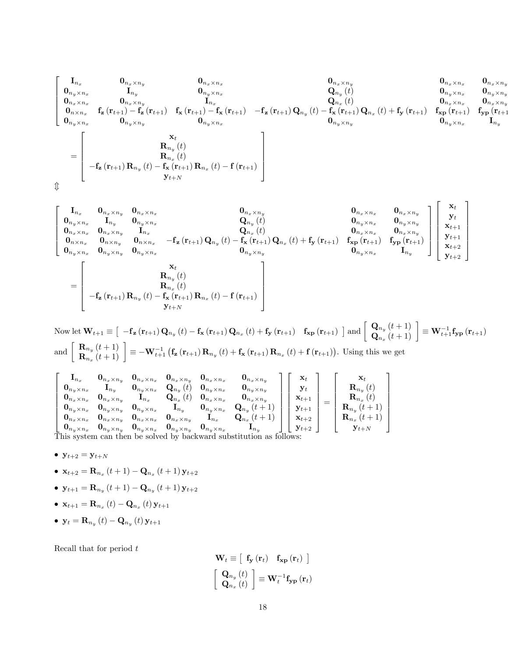2 6 6 6 6 4 I<sup>n</sup><sup>x</sup> 0<sup>n</sup>x<sup>n</sup><sup>y</sup> 0<sup>n</sup>x<sup>n</sup><sup>x</sup> 0<sup>n</sup>x<sup>n</sup><sup>y</sup> 0<sup>n</sup>x<sup>n</sup><sup>x</sup> 0<sup>n</sup>xn<sup>y</sup> 0<sup>n</sup>yn<sup>x</sup> I<sup>n</sup><sup>y</sup> 0<sup>n</sup>y<sup>n</sup><sup>x</sup> Q<sup>n</sup><sup>y</sup> (t) 0<sup>n</sup>y<sup>n</sup><sup>x</sup> 0<sup>n</sup>yn<sup>y</sup> 0<sup>n</sup>x<sup>n</sup><sup>x</sup> 0<sup>n</sup>xn<sup>y</sup> I<sup>n</sup><sup>x</sup> Q<sup>n</sup><sup>x</sup> (t) 0<sup>n</sup>x<sup>n</sup><sup>x</sup> 0<sup>n</sup>xn<sup>y</sup> 0<sup>n</sup>n<sup>x</sup> f<sup>z</sup> (r<sup>t</sup>+1) f<sup>z</sup> (r<sup>t</sup>+1) f<sup>x</sup> (r<sup>t</sup>+1) f<sup>x</sup> (r<sup>t</sup>+1) f <sup>z</sup> (r<sup>t</sup>+1) Q<sup>n</sup><sup>y</sup> (t) f<sup>x</sup> (r<sup>t</sup>+1) Q<sup>n</sup><sup>x</sup> (t) + f<sup>y</sup> (r<sup>t</sup>+1) fxp (r<sup>t</sup>+1) fyp (r<sup>t</sup>+1) 0<sup>n</sup>y<sup>n</sup><sup>x</sup> 0<sup>n</sup>y<sup>n</sup><sup>y</sup> 0<sup>n</sup>y<sup>n</sup><sup>x</sup> 0<sup>n</sup>y<sup>n</sup><sup>y</sup> 0<sup>n</sup>yn<sup>x</sup> I<sup>n</sup><sup>y</sup> = 2 6 6 6 6 4 xt R<sup>n</sup><sup>y</sup> (t) R<sup>n</sup><sup>x</sup> (t) f<sup>z</sup> (r<sup>t</sup>+1) R<sup>n</sup><sup>y</sup> (t) f<sup>x</sup> (r<sup>t</sup>+1) R<sup>n</sup><sup>x</sup> (t) f (r<sup>t</sup>+1) y<sup>t</sup>+<sup>N</sup> 3 7 7 7 7 5 m

$$
\begin{bmatrix} \mathbf{I}_{n_x} & \mathbf{0}_{n_x \times n_y} & \mathbf{0}_{n_x \times n_x} & \mathbf{0}_{n_x \times n_y} & \mathbf{0}_{n_x \times n_y} & \mathbf{0}_{n_x \times n_y} & \mathbf{0}_{n_x \times n_y} \\ \mathbf{0}_{n_y \times n_x} & \mathbf{I}_{n_y} & \mathbf{0}_{n_y \times n_x} & \mathbf{I}_{n_x} & \mathbf{Q}_{n_y}(t) & \mathbf{0}_{n_y \times n_x} & \mathbf{0}_{n_y \times n_y} \\ \mathbf{0}_{n_x \times n_x} & \mathbf{0}_{n_x \times n_y} & \mathbf{I}_{n_x} & \mathbf{Q}_{n_x}(t) & \mathbf{Q}_{n_x}(t) & \mathbf{Q}_{n_x \times n_y} & \mathbf{Q}_{n_x \times n_x} & \mathbf{Q}_{n_x \times n_y} \\ \mathbf{0}_{n_x \times n_x} & \mathbf{0}_{n_x \times n_y} & \mathbf{0}_{n_x \times n_x} & \mathbf{Q}_{n_y \times n_y} & \mathbf{Q}_{n_y \times n_y} \\ \mathbf{0}_{n_y \times n_x} & \mathbf{0}_{n_y \times n_y} & \mathbf{0}_{n_y \times n_x} & \mathbf{Q}_{n_y \times n_y} \\ \mathbf{X}_{t+1} & \mathbf{X}_{t+2} & \mathbf{X}_{t+1} \\ \mathbf{X}_{t+2} & \mathbf{X}_{t+2} & \mathbf{X}_{t+2} \\ \mathbf{X}_{t+1} & \mathbf{X}_{t+2} & \mathbf{X}_{t+2} \\ \mathbf{X}_{t+1} & \mathbf{X}_{t+1} & \mathbf{X}_{t+1} & \mathbf{X}_{t+1} \end{bmatrix}
$$

Now let 
$$
\mathbf{W}_{t+1} \equiv \begin{bmatrix} -\mathbf{f}_{\mathbf{z}}(\mathbf{r}_{t+1})\mathbf{Q}_{n_y}(t) - \mathbf{f}_{\mathbf{x}}(\mathbf{r}_{t+1})\mathbf{Q}_{n_x}(t) + \mathbf{f}_{\mathbf{y}}(\mathbf{r}_{t+1}) & \mathbf{f}_{\mathbf{x}\mathbf{p}}(\mathbf{r}_{t+1}) \end{bmatrix}
$$
 and  $\begin{bmatrix} \mathbf{Q}_{n_y}(t+1) \\ \mathbf{Q}_{n_x}(t+1) \end{bmatrix} \equiv \mathbf{W}_{t+1}^{-1} \mathbf{f}_{\mathbf{y}\mathbf{p}}(\mathbf{r}_{t+1})$   
and  $\begin{bmatrix} \mathbf{R}_{n_y}(t+1) \\ \mathbf{R}_{n_x}(t+1) \end{bmatrix} \equiv -\mathbf{W}_{t+1}^{-1} (\mathbf{f}_{\mathbf{z}}(\mathbf{r}_{t+1}) \mathbf{R}_{n_y}(t) + \mathbf{f}_{\mathbf{x}}(\mathbf{r}_{t+1}) \mathbf{R}_{n_x}(t) + \mathbf{f}(\mathbf{r}_{t+1})).$  Using this we get

$$
\begin{bmatrix}\n\mathbf{I}_{n_x} & \mathbf{0}_{n_x \times n_x} & \mathbf{0}_{n_x \times n_y} & \mathbf{0}_{n_x \times n_y} & \mathbf{0}_{n_x \times n_x} & \mathbf{0}_{n_x \times n_y} \\
\mathbf{0}_{n_y \times n_x} & \mathbf{I}_{n_y} & \mathbf{0}_{n_y \times n_x} & \mathbf{Q}_{n_y}(t) & \mathbf{0}_{n_y \times n_x} & \mathbf{0}_{n_y \times n_y} \\
\mathbf{0}_{n_x \times n_x} & \mathbf{0}_{n_x \times n_y} & \mathbf{I}_{n_x} & \mathbf{Q}_{n_x}(t) & \mathbf{0}_{n_x \times n_x} & \mathbf{0}_{n_x \times n_y} \\
\mathbf{0}_{n_y \times n_x} & \mathbf{0}_{n_y \times n_y} & \mathbf{0}_{n_y \times n_x} & \mathbf{I}_{n_y} & \mathbf{0}_{n_y \times n_x} & \mathbf{Q}_{n_y}(t+1) \\
\mathbf{0}_{n_x \times n_x} & \mathbf{0}_{n_x \times n_y} & \mathbf{0}_{n_x \times n_y} & \mathbf{0}_{n_x \times n_y} & \mathbf{I}_{n_x} & \mathbf{Q}_{n_x}(t+1) \\
\mathbf{0}_{n_y \times n_x} & \mathbf{0}_{n_y \times n_y} & \mathbf{0}_{n_y \times n_x} & \mathbf{0}_{n_y \times n_y} & \mathbf{0}_{n_y \times n_x} & \mathbf{I}_{n_y}\n\end{bmatrix}\n\begin{bmatrix}\n\mathbf{x}_t \\
\mathbf{y}_t \\
\mathbf{x}_{t+1} \\
\mathbf{x}_{t+1} \\
\mathbf{y}_{t+1} \\
\mathbf{y}_{t+2} \\
\mathbf{y}_{t+2}\n\end{bmatrix} = \begin{bmatrix}\n\mathbf{x}_t \\
\mathbf{R}_{n_y}(t) \\
\mathbf{R}_{n_y}(t) \\
\mathbf{R}_{n_x}(t) \\
\mathbf{R}_{n_y}(t+1) \\
\mathbf{R}_{n_y}(t+1) \\
\mathbf{R}_{n_x}(t+1)\n\end{bmatrix}
$$

- $y_{t+2} = y_{t+N}$
- $\mathbf{x}_{t+2} = \mathbf{R}_{n_x} (t+1) \mathbf{Q}_{n_x} (t+1) \mathbf{y}_{t+2}$
- $y_{t+1} = \mathbf{R}_{n_y}(t+1) \mathbf{Q}_{n_y}(t+1) y_{t+2}$
- ${\bf x}_{t+1} = {\bf R}_{n_x} (t) {\bf Q}_{n_x} (t) {\bf y}_{t+1}$
- $y_t = \mathbf{R}_{n_y}(t) \mathbf{Q}_{n_y}(t) y_{t+1}$

Recall that for period  $t$ 

$$
\mathbf{W}_{t} \equiv \left[ \begin{array}{cc} \mathbf{f}_{\mathbf{y}} \left( \mathbf{r}_{t} \right) & \mathbf{f}_{\mathbf{x} \mathbf{p}} \left( \mathbf{r}_{t} \right) \end{array} \right]
$$

$$
\left[ \begin{array}{c} \mathbf{Q}_{n_{y}} \left( t \right) \\ \mathbf{Q}_{n_{x}} \left( t \right) \end{array} \right] \equiv \mathbf{W}_{t}^{-1} \mathbf{f}_{\mathbf{y} \mathbf{p}} \left( \mathbf{r}_{t} \right)
$$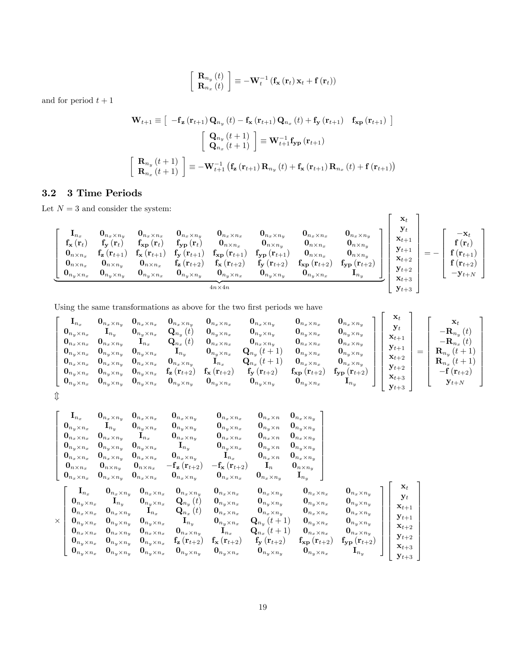$$
\begin{bmatrix} \mathbf{R}_{n_y} (t) \\ \mathbf{R}_{n_x} (t) \end{bmatrix} \equiv -\mathbf{W}_t^{-1} \left( \mathbf{f}_\mathbf{x} \left( \mathbf{r}_t \right) \mathbf{x}_t + \mathbf{f} \left( \mathbf{r}_t \right) \right)
$$

and for period  $t + 1$ 

$$
\mathbf{W}_{t+1} \equiv \begin{bmatrix} -\mathbf{f}_{\mathbf{z}} \left( \mathbf{r}_{t+1} \right) \mathbf{Q}_{n_y} \left( t \right) - \mathbf{f}_{\mathbf{x}} \left( \mathbf{r}_{t+1} \right) \mathbf{Q}_{n_x} \left( t \right) + \mathbf{f}_{\mathbf{y}} \left( \mathbf{r}_{t+1} \right) \end{bmatrix} \begin{bmatrix} \mathbf{G}_{n_y} \left( t + 1 \right) \\ \mathbf{Q}_{n_x} \left( t + 1 \right) \end{bmatrix} \equiv \mathbf{W}_{t+1}^{-1} \mathbf{f}_{\mathbf{y} \mathbf{p}} \left( \mathbf{r}_{t+1} \right) \\ \mathbf{R}_{n_y} \left( t + 1 \right) \end{bmatrix} \equiv -\mathbf{W}_{t+1}^{-1} \left( \mathbf{f}_{\mathbf{z}} \left( \mathbf{r}_{t+1} \right) \mathbf{R}_{n_y} \left( t \right) + \mathbf{f}_{\mathbf{x}} \left( \mathbf{r}_{t+1} \right) \mathbf{R}_{n_x} \left( t \right) + \mathbf{f} \left( \mathbf{r}_{t+1} \right) \right)
$$

# 3.2 3 Time Periods

Let  ${\cal N}=3$  and consider the system:

$$
\left[\begin{array}{cccccc} \mathbf{I}_{n_{x}}&\mathbf{0}_{n_{x}\times n_{y}}&\mathbf{0}_{n_{x}\times n_{y}}&\mathbf{0}_{n_{x}\times n_{y}}&\mathbf{0}_{n_{x}\times n_{y}}&\mathbf{0}_{n_{x}\times n_{y}}&\mathbf{0}_{n_{x}\times n_{y}}&\mathbf{0}_{n_{x}\times n_{y}}&\mathbf{0}_{n_{x}\times n_{y}}&\mathbf{0}_{n_{x}\times n_{y}}&\mathbf{0}_{n_{x}\times n_{y}}&\mathbf{0}_{n_{x}\times n_{y}}&\mathbf{0}_{n_{x}\times n_{y}}&\mathbf{0}_{n_{x}\times n_{y}}&\mathbf{0}_{n_{x}\times n_{y}}&\mathbf{0}_{n_{x}\times n_{y}}&\mathbf{0}_{n_{x}\times n_{y}}&\mathbf{0}_{n_{x}\times n_{y}}&\mathbf{0}_{n_{x}\times n_{y}}&\mathbf{0}_{n_{x}\times n_{y}}&\mathbf{0}_{n_{x}\times n_{y}}&\mathbf{0}_{n_{x}\times n_{y}}&\mathbf{0}_{n_{x}\times n_{y}}&\mathbf{0}_{n_{x}\times n_{y}}&\mathbf{0}_{n_{x}\times n_{y}}&\mathbf{0}_{n_{x}\times n_{y}}&\mathbf{0}_{n_{x}\times n_{y}}&\mathbf{0}_{n_{x}\times n_{y}}&\mathbf{0}_{n_{x}\times n_{y}}&\mathbf{0}_{n_{x}\times n_{y}}&\mathbf{0}_{n_{x}\times n_{y}}&\mathbf{0}_{n_{x}\times n_{y}}&\mathbf{0}_{n_{y}\times n_{y}}&\mathbf{0}_{n_{y}\times n_{y}}&\mathbf{0}_{n_{y}\times n_{y}}&\mathbf{0}_{n_{y}\times n_{y}}&\mathbf{0}_{n_{y}\times n_{y}}&\mathbf{0}_{n_{y}\times n_{y}}&\mathbf{0}_{n_{y}\times n_{y}}&\mathbf{0}_{n_{y}\times n_{y}}&\mathbf{0}_{n_{y}\times n_{y}}&\mathbf{0}_{n_{y}\times n_{y}}&\mathbf{0}_{n_{y}\times n_{y}}&\mathbf{0}_{n_{y}\times n_{y}}&\mathbf{0}_{n_{y}\times n_{y}}&\mathbf{0}_{n_{y}\times n_{z}}&\mathbf{0}_{n_{y}\times n_{z}}&\mathbf
$$

Using the same transformations as above for the two first periods we have

$$
\left[ \begin{matrix} {\bf I}_{n_x} & {\bf 0}_{n_x \times n_x} & {\bf 0}_{n_x \times n_y} & {\bf 0}_{n_x \times n_x} & {\bf 0}_{n_x \times n_y} & {\bf 0}_{n_x \times n_x} & {\bf 0}_{n_y \times n_x} & {\bf 0}_{n_y \times n_x} & {\bf 0}_{n_y \times n_x} \\ {\bf 0}_{n_y \times n_x} & {\bf I}_{n_y} & {\bf 0}_{n_y \times n_x} & {\bf I}_{n_x} & {\bf Q}_{n_x}(t) & {\bf 0}_{n_y \times n_x} & {\bf 0}_{n_y \times n_y} & {\bf 0}_{n_x \times n_y} & {\bf 0}_{n_x \times n_y} \\ {\bf 0}_{n_y \times n_x} & {\bf 0}_{n_y \times n_y} & {\bf 0}_{n_y \times n_x} & {\bf I}_{n_y} & {\bf 0}_{n_y \times n_x} & {\bf 0}_{n_y \times n_x} & {\bf 0}_{n_y \times n_x} \\ {\bf 0}_{n_x \times n_x} & {\bf 0}_{n_x \times n_y} & {\bf 0}_{n_x \times n_y} & {\bf 0}_{n_x \times n_y} & {\bf I}_{n_x} & {\bf 0}_{n_y \times n_x} & {\bf 0}_{n_x} (t+1) & {\bf 0}_{n_y \times n_x} & {\bf 0}_{n_x \times n_y} \\ {\bf 0}_{n_y \times n_x} & {\bf 0}_{n_y \times n_y} & {\bf 0}_{n_y \times n_x} & {\bf 0}_{n_x \times n_y} & {\bf I}_{n_x} & {\bf Q}_{n_x}(t+1) & {\bf 0}_{n_x \times n_x} & {\bf 0}_{n_x \times n_y} \\ {\bf 0}_{n_y \times n_x} & {\bf 0}_{n_y \times n_y} & {\bf 0}_{n_y \times n_x} & {\bf 0}_{n_y \times n_y} & {\bf 0}_{n_y \times n_x} & {\bf 0}_{n_y \times n_y} & {\bf 0}_{n_y \times n_y} \end{matrix} \right] \left[ \begin{matrix} {\bf x}_t \\ {\bf y}_t \\ {\bf x}_{t+1} \\ {\bf x}_{t+2} \\ {\bf x}_{t+2} \\ {\bf x}_{t+2} \\ {\bf x}_{t+3} \\ {\bf x}_{t+4} \\ {\bf x}_{t+5} \\ {\bf x}_{t+6} \end{matrix} \right] = \left[ \begin{matrix} {\bf x}_t \\ -{\bf R}_{n_x}(t) \\ -{\bf R}_{n_x}(t) \\ {\bf R}_{n
$$

$$
\Downarrow
$$

$$
\begin{bmatrix} \mathbf{I}_{n_{x}}&\mathbf{0}_{n_{x}\times n_{y}}&\mathbf{0}_{n_{x}\times n_{x}}&\mathbf{0}_{n_{x}\times n_{y}}&\mathbf{0}_{n_{x}\times n_{x}}&\mathbf{0}_{n_{x}\times n_{x}}&\mathbf{0}_{n_{x}\times n_{y}}\\ \mathbf{0}_{n_{y}\times n_{x}}&\mathbf{I}_{n_{y}}&\mathbf{0}_{n_{y}\times n_{x}}&\mathbf{0}_{n_{y}\times n_{y}}&\mathbf{0}_{n_{y}\times n_{x}}&\mathbf{0}_{n_{y}\times n_{x}}&\mathbf{0}_{n_{y}\times n_{y}}\\ \mathbf{0}_{n_{x}\times n_{x}}&\mathbf{0}_{n_{y}\times n_{y}}&\mathbf{0}_{n_{y}\times n_{x}}&\mathbf{I}_{n_{y}}&\mathbf{0}_{n_{y}\times n_{x}}&\mathbf{0}_{n_{x}\times n_{y}}&\mathbf{0}_{n_{y}\times n_{y}}\\ \mathbf{0}_{n_{x}\times n_{x}}&\mathbf{0}_{n_{x}\times n_{y}}&\mathbf{0}_{n_{x}\times n_{y}}&\mathbf{I}_{n_{y}}&\mathbf{0}_{n_{y}\times n_{x}}&\mathbf{0}_{n_{y}\times n_{y}}\\ \mathbf{0}_{n_{x}\times n_{x}}&\mathbf{0}_{n_{x}\times n_{y}}&\mathbf{0}_{n_{x}\times n_{y}}&\mathbf{0}_{n_{x}\times n_{y}}&\mathbf{I}_{n_{x}}&\mathbf{0}_{n_{x}\times n_{y}}&\mathbf{0}_{n_{x}\times n_{y}}\\ \mathbf{0}_{n_{x}\times n_{x}}&\mathbf{0}_{n_{x}\times n_{y}}&\mathbf{0}_{n_{x}\times n_{x}}&\mathbf{0}_{n_{x}\times n_{y}}&\mathbf{0}_{n_{x}\times n_{x}}&\mathbf{0}_{n_{x}\times n_{y}}&\mathbf{0}_{n_{x}\times n_{y}}\\ \mathbf{0}_{n_{y}\times n_{x}}&\mathbf{I}_{n_{y}}&\mathbf{0}_{n_{y}\times n_{x}}&\mathbf{Q}_{n_{y}}(t)&\mathbf{0}_{n_{y}\times n_{x}}&\mathbf{0}_{n_{y}\times n_{y}}&\mathbf{0}_{n_{y}\times n_{x}}&\mathbf{0}_{n_{y}\times n_{y}}\\ \mathbf
$$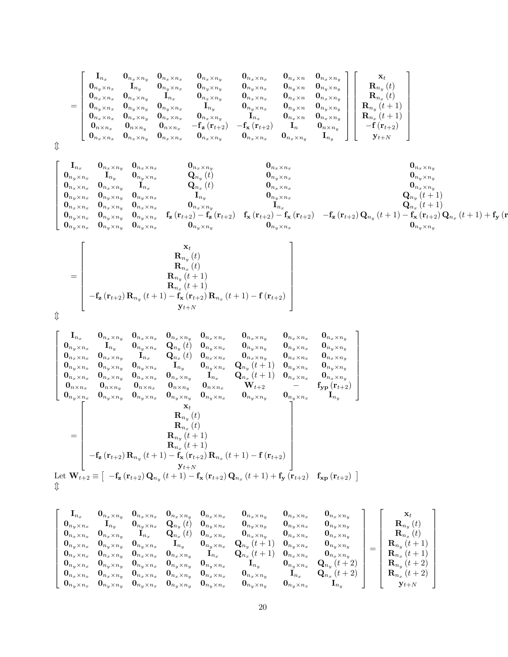$$
=\left[\begin{array}{cccccc} \mathbf{I}_{n_{x}}&\mathbf{0}_{n_{x}\times n_{x}}&\mathbf{0}_{n_{x}\times n_{x}}&\mathbf{0}_{n_{x}\times n_{y}}&\mathbf{0}_{n_{x}\times n_{x}}&\mathbf{0}_{n_{x}\times n_{x}}&\mathbf{0}_{n_{x}\times n_{y}}&\mathbf{0}_{n_{x}\times n_{y}}\\ \mathbf{0}_{n_{y}\times n_{x}}&\mathbf{I}_{n_{y}}&\mathbf{0}_{n_{y}\times n_{x}}&\mathbf{0}_{n_{y}\times n_{y}}&\mathbf{0}_{n_{y}\times n_{x}}&\mathbf{0}_{n_{y}\times n_{x}}&\mathbf{0}_{n_{y}\times n_{y}}\\ \mathbf{0}_{n_{x}\times n_{x}}&\mathbf{0}_{n_{y}\times n_{y}}&\mathbf{0}_{n_{y}\times n_{x}}&\mathbf{I}_{n_{y}}&\mathbf{0}_{n_{x}\times n_{y}}&\mathbf{0}_{n_{x}\times n_{x}}&\mathbf{0}_{n_{y}\times n_{y}}\\ \mathbf{0}_{n_{x}\times n_{x}}&\mathbf{0}_{n_{x}\times n_{y}}&\mathbf{0}_{n_{x}\times n_{x}}&\mathbf{I}_{n_{y}}&\mathbf{0}_{n_{y}\times n_{x}}&\mathbf{I}_{n_{y}}&\mathbf{0}_{n_{y}\times n_{y}}\\ \mathbf{0}_{n_{x}\times n_{x}}&\mathbf{0}_{n_{x}\times n_{y}}&\mathbf{0}_{n_{x}\times n_{x}}&\mathbf{0}_{n_{x}\times n_{y}}&\mathbf{I}_{n_{x}}&\mathbf{0}_{n_{x}\times n_{y}}\\ \mathbf{0}_{n_{x}\times n_{x}}&\mathbf{0}_{n_{x}\times n_{y}}&\mathbf{0}_{n_{x}\times n_{x}}&-\mathbf{f}_{\mathbf{z}}\left(\mathbf{r}_{t+2}\right)&-\mathbf{f}_{\mathbf{x}}\left(\mathbf{r}_{t+2}\right)&\mathbf{I}_{n}&\mathbf{0}_{n_{x}\times n_{y}}\\ \mathbf{0}_{n_{x}\times n_{x}}&\mathbf{0}_{n_{x}\times n_{y}}&\mathbf{0}_{n_{x}\times n_{x}}&\mathbf{0}_{n_{x}\times n_{y}}&\mathbf{0}_{n_{x}\times n_{y}}&\mathbf{I}_{n_{y}}&\mathbf{I
$$

$$
\textcolor{red}{\textcircled{1}}
$$

 $\updownarrow$ 

$$
\left[\begin{matrix} \mathbf{I}_{n_{x}}&\mathbf{0}_{n_{x}\times n_{y}}&\mathbf{0}_{n_{x}\times n_{x}}&\mathbf{0}_{n_{x}\times n_{x}}&\mathbf{0}_{n_{x}\times n_{x}}&\mathbf{0}_{n_{x}\times n_{x}}&\mathbf{0}_{n_{x}\times n_{x}}&\mathbf{0}_{n_{x}\times n_{x}}&\mathbf{0}_{n_{x}\times n_{y}}&\mathbf{0}_{n_{x}\times n_{y}}&\mathbf{0}_{n_{x}\times n_{y}}&\mathbf{0}_{n_{x}\times n_{y}}&\mathbf{0}_{n_{x}\times n_{y}}&\mathbf{0}_{n_{x}\times n_{y}}&\mathbf{0}_{n_{x}\times n_{y}}&\mathbf{0}_{n_{x}\times n_{y}}&\mathbf{0}_{n_{x}\times n_{y}}&\mathbf{0}_{n_{x}\times n_{y}}&\mathbf{0}_{n_{x}\times n_{y}}&\mathbf{0}_{n_{x}\times n_{y}}&\mathbf{0}_{n_{x}\times n_{y}}&\mathbf{0}_{n_{x}\times n_{y}}&\mathbf{0}_{n_{x}\times n_{y}}&\mathbf{0}_{n_{x}\times n_{y}}&\mathbf{0}_{n_{x}\times n_{y}}&\mathbf{0}_{n_{x}\times n_{y}}&\mathbf{0}_{n_{x}\times n_{y}}&\mathbf{0}_{n_{x}\times n_{y}}&\mathbf{0}_{n_{x}\times n_{y}}&\mathbf{0}_{n_{x}\times n_{y}}&\mathbf{0}_{n_{x}\times n_{y}}&\mathbf{0}_{n_{x}\times n_{y}}&\mathbf{0}_{n_{x}\times n_{y}}&\mathbf{0}_{n_{x}\times n_{y}}&\mathbf{0}_{n_{x}\times n_{y}}&\mathbf{0}_{n_{x}\times n_{y}}&\mathbf{0}_{n_{x}\times n_{y}}&\mathbf{0}_{n_{x}\times n_{y}}&\mathbf{0}_{n_{x}\times n_{y}}&\mathbf{0}_{n_{x}\times n_{y}}&\mathbf{0}_{n_{x}\times n_{y}}&\mathbf{0}_{n_{x}\times n_{y}}&\mathbf{0}_{n_{x}\times n_{y}}&\mathbf{0}_{n_{x}\times n_{y}}&\mathbf{0}_{n_{x}\times n_{y}}&\mathbf{0}_{n_{x}\times n_{y}}&\mathbf{0}_{n_{x}\times n_{y}}&\mathbf{0}_{
$$

$$
= \left[\begin{array}{c}\n\mathbf{x}_{t} \\
\mathbf{R}_{n_{y}}(t) \\
\mathbf{R}_{n_{x}}(t) \\
\mathbf{R}_{n_{y}}(t+1) \\
-\mathbf{f}_{z}(\mathbf{r}_{t+2})\mathbf{R}_{n_{y}}(t+1) - \mathbf{f}_{x}(\mathbf{r}_{t+2})\mathbf{R}_{n_{x}}(t+1) - \mathbf{f}(\mathbf{r}_{t+2}) \\
\mathbf{y}_{t+N}\n\end{array}\right]
$$

$$
\begin{bmatrix}\n\mathbf{I}_{n_{x}} & \mathbf{0}_{n_{x}\times n_{y}} & \mathbf{0}_{n_{x}\times n_{x}} & \mathbf{0}_{n_{x}\times n_{x}} & \mathbf{0}_{n_{x}\times n_{x}} & \mathbf{0}_{n_{x}\times n_{y}} & \mathbf{0}_{n_{x}\times n_{x}} & \mathbf{0}_{n_{x}\times n_{y}} \\
\mathbf{0}_{n_{y}\times n_{x}} & \mathbf{I}_{n_{y}} & \mathbf{0}_{n_{y}\times n_{x}} & \mathbf{Q}_{n_{y}}(t) & \mathbf{0}_{n_{y}\times n_{x}} & \mathbf{0}_{n_{y}\times n_{y}} & \mathbf{0}_{n_{y}\times n_{x}} & \mathbf{0}_{n_{y}\times n_{y}} \\
\mathbf{0}_{n_{x}\times n_{x}} & \mathbf{0}_{n_{x}\times n_{y}} & \mathbf{I}_{n_{x}} & \mathbf{Q}_{n_{x}}(t) & \mathbf{0}_{n_{x}\times n_{y}} & \mathbf{0}_{n_{x}\times n_{y}} & \mathbf{0}_{n_{x}\times n_{y}} \\
\mathbf{0}_{n_{y}\times n_{x}} & \mathbf{0}_{n_{y}\times n_{y}} & \mathbf{0}_{n_{y}\times n_{x}} & \mathbf{I}_{n_{y}} & \mathbf{0}_{n_{y}\times n_{x}} & \mathbf{Q}_{n_{y}}(t+1) & \mathbf{0}_{n_{y}\times n_{x}} & \mathbf{0}_{n_{y}\times n_{y}} \\
\mathbf{0}_{n_{x}\times n_{x}} & \mathbf{0}_{n_{x}\times n_{y}} & \mathbf{0}_{n_{x}\times n_{x}} & \mathbf{0}_{n_{x}\times n_{y}} & \mathbf{I}_{n_{x}} & \mathbf{Q}_{n_{x}}(t+1) & \mathbf{0}_{n_{x}\times n_{x}} & \mathbf{0}_{n_{x}\times n_{y}} \\
\mathbf{0}_{n_{y}\times n_{x}} & \mathbf{0}_{n_{y}\times n_{y}} & \mathbf{0}_{n_{y}\times n_{x}} & \mathbf{0}_{n_{y}\times n_{y}} & \mathbf{0}_{n_{y}\times n_{x}} & \mathbf{V}_{t+2} & - & \mathbf{f}_{\mathbf{y}\mathbf{p}}(\mathbf{r}_{t+2}) \\
\mathbf{0}_{n_{y}\times n_{x}} & \mathbf{0}_{n_{y}\times n_{y}} & \mathbf{0
$$

$$
\left[ \begin{array}{cccc} {\bf I}_{n_x} & {\bf 0}_{n_x \times n_x} & {\bf 0}_{n_x \times n_y} & {\bf 0}_{n_x \times n_x} & {\bf 0}_{n_x \times n_x} & {\bf 0}_{n_x \times n_y} & {\bf 0}_{n_x \times n_y} & {\bf 0}_{n_x \times n_y} \\ {\bf 0}_{n_y \times n_x} & {\bf I}_{n_y} & {\bf 0}_{n_y \times n_x} & {\bf I}_{n_x} & {\bf Q}_{n_y} \left( t \right) & {\bf 0}_{n_y \times n_x} & {\bf 0}_{n_y \times n_y} & {\bf 0}_{n_y \times n_y} & {\bf 0}_{n_y \times n_y} \\ {\bf 0}_{n_x \times n_x} & {\bf 0}_{n_y \times n_y} & {\bf I}_{n_x} & {\bf Q}_{n_x} \left( t \right) & {\bf 0}_{n_x \times n_x} & {\bf 0}_{n_x \times n_y} & {\bf 0}_{n_x \times n_y} & {\bf 0}_{n_x \times n_y} \\ {\bf 0}_{n_y \times n_x} & {\bf 0}_{n_y \times n_y} & {\bf 0}_{n_y \times n_x} & {\bf I}_{n_y} & {\bf 0}_{n_y \times n_x} & {\bf Q}_{n_y} \left( t+1 \right) & {\bf 0}_{n_y \times n_x} & {\bf 0}_{n_x \times n_y} \\ {\bf 0}_{n_x \times n_x} & {\bf 0}_{n_x \times n_y} & {\bf 0}_{n_x \times n_x} & {\bf 0}_{n_x \times n_y} & {\bf 0}_{n_x \times n_y} & {\bf I}_{n_x} & {\bf Q}_{n_x} \left( t+1 \right) & {\bf 0}_{n_x \times n_x} & {\bf 0}_{n_x \times n_y} \\ {\bf 0}_{n_x \times n_x} & {\bf 0}_{n_x \times n_y} & {\bf 0}_{n_y \times n_x} & {\bf 0}_{n_x \times n_y} & {\bf 0}_{n_x \times n_y} & {\bf 0}_{n_x \times n_x} & {\bf I}_{n_y} & {\bf 0}_{n_y \times n_x} \\ {\bf 0}_{n_x \times n_x} & {\bf 0}_{n_x \times n_y} & {\bf 0}_{n_x \times n_x} & {\bf 0}_{n_x \times n_y} & {\bf 0}_{n_x \times n_y} & {\bf 0}_{n_x \times n_y} & {\bf I}_{n_x} & {\bf Q}_{n_y} \left( t+2 \right) \\ {\bf 0}_{n_y \times n_x} & {\bf 0}_{n_y
$$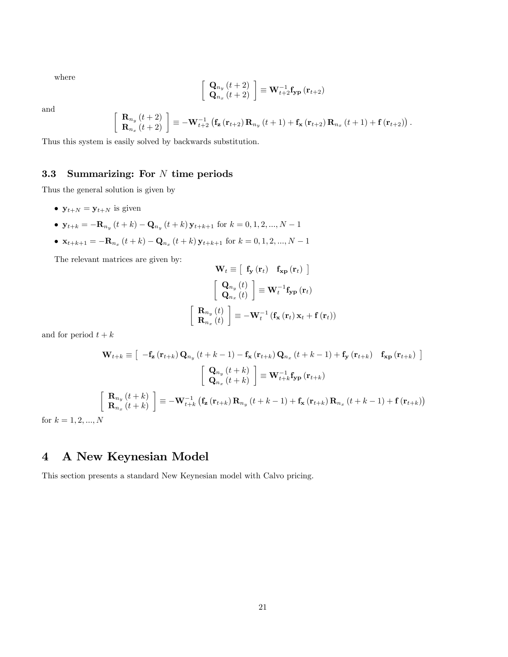where

$$
\left[\begin{array}{c} \mathbf{Q}_{n_y}\left(t+2\right) \\ \mathbf{Q}_{n_x}\left(t+2\right) \end{array}\right] \equiv \mathbf{W}^{-1}_{t+2}\mathbf{f_{yp}}\left(\mathbf{r}_{t+2}\right)
$$

and

$$
\begin{bmatrix} \mathbf{R}_{n_y}\left(t+2\right) \\ \mathbf{R}_{n_x}\left(t+2\right) \end{bmatrix} \equiv -\mathbf{W}_{t+2}^{-1}\left(\mathbf{f}_{\mathbf{z}}\left(\mathbf{r}_{t+2}\right)\mathbf{R}_{n_y}\left(t+1\right)+\mathbf{f}_{\mathbf{x}}\left(\mathbf{r}_{t+2}\right)\mathbf{R}_{n_x}\left(t+1\right)+\mathbf{f}\left(\mathbf{r}_{t+2}\right)\right).
$$

Thus this system is easily solved by backwards substitution.

# 3.3 Summarizing: For  $N$  time periods

Thus the general solution is given by

- $\mathbf{y}_{t+N} = \mathbf{y}_{t+N}$  is given
- $\mathbf{y}_{t+k} = -\mathbf{R}_{n_y}(t+k) \mathbf{Q}_{n_y}(t+k)\mathbf{y}_{t+k+1}$  for  $k = 0, 1, 2, ..., N-1$
- $\mathbf{x}_{t+k+1} = -\mathbf{R}_{n_x}(t+k) \mathbf{Q}_{n_x}(t+k) \mathbf{y}_{t+k+1}$  for  $k = 0, 1, 2, ..., N-1$

The relevant matrices are given by:

$$
\mathbf{W}_{t} \equiv \left[ \begin{array}{cc} \mathbf{f}_{\mathbf{y}} \left( \mathbf{r}_{t} \right) & \mathbf{f}_{\mathbf{x}\mathbf{p}} \left( \mathbf{r}_{t} \right) \end{array} \right]
$$

$$
\left[ \begin{array}{c} \mathbf{Q}_{n_{y}} \left( t \right) \\ \mathbf{Q}_{n_{x}} \left( t \right) \end{array} \right] \equiv \mathbf{W}_{t}^{-1} \mathbf{f}_{\mathbf{y}\mathbf{p}} \left( \mathbf{r}_{t} \right)
$$

$$
\left[ \begin{array}{c} \mathbf{R}_{n_{y}} \left( t \right) \\ \mathbf{R}_{n_{x}} \left( t \right) \end{array} \right] \equiv -\mathbf{W}_{t}^{-1} \left( \mathbf{f}_{\mathbf{x}} \left( \mathbf{r}_{t} \right) \mathbf{x}_{t} + \mathbf{f} \left( \mathbf{r}_{t} \right) \right)
$$

and for period  $t + k$ 

$$
\mathbf{W}_{t+k} \equiv \left[ \begin{array}{c} -\mathbf{f}_{\mathbf{z}} \left( \mathbf{r}_{t+k} \right) \mathbf{Q}_{n_y} \left( t+k-1 \right) - \mathbf{f}_{\mathbf{x}} \left( \mathbf{r}_{t+k} \right) \mathbf{Q}_{n_x} \left( t+k-1 \right) + \mathbf{f}_{\mathbf{y}} \left( \mathbf{r}_{t+k} \right) \end{array} \right] \begin{array}{c} \mathbf{f}_{\mathbf{x} \mathbf{p}} \left( \mathbf{r}_{t+k} \right) \\ \left[ \begin{array}{c} \mathbf{Q}_{n_y} \left( t+k \right) \\ \mathbf{Q}_{n_x} \left( t+k \right) \end{array} \right] \equiv \mathbf{W}_{t+k}^{-1} \mathbf{f}_{\mathbf{y} \mathbf{p}} \left( \mathbf{r}_{t+k} \right) \\ \left[ \begin{array}{c} \mathbf{R}_{n_y} \left( t+k \right) \\ \mathbf{R}_{n_x} \left( t+k \right) \end{array} \right] \equiv -\mathbf{W}_{t+k}^{-1} \left( \mathbf{f}_{\mathbf{z}} \left( \mathbf{r}_{t+k} \right) \mathbf{R}_{n_y} \left( t+k-1 \right) + \mathbf{f}_{\mathbf{x}} \left( \mathbf{r}_{t+k} \right) \mathbf{R}_{n_x} \left( t+k-1 \right) + \mathbf{f} \left( \mathbf{r}_{t+k} \right) \right) \end{array}
$$

for  $k = 1, 2, ..., N$ 

# 4 A New Keynesian Model

This section presents a standard New Keynesian model with Calvo pricing.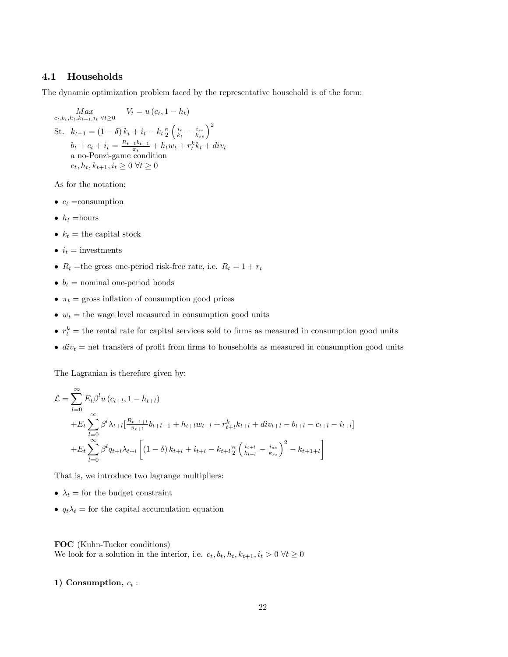#### 4.1 Households

The dynamic optimization problem faced by the representative household is of the form:

$$
\begin{aligned}\n\text{Max} & \quad W_t = u(c_t, 1 - h_t) \\
\text{St.} & \quad k_{t+1} = (1 - \delta) k_t + i_t - k_t \frac{\kappa}{2} \left( \frac{i_t}{k_t} - \frac{i_{ss}}{k_{ss}} \right)^2 \\
& b_t + c_t + i_t = \frac{R_{t-1}b_{t-1}}{\pi_t} + h_t w_t + r_t^k k_t + div_t \\
& \text{a no-Ponzi-game condition} \\
& c_t, h_t, k_{t+1}, i_t \geq 0 \ \forall t \geq 0\n\end{aligned}
$$

As for the notation:

- $c_t = \text{consumption}$
- $\bullet~h_t =$ hours
- $k_t$  = the capital stock
- $\bullet$   $i_t$  = investments
- $R_t$  =the gross one-period risk-free rate, i.e.  $R_t = 1 + r_t$
- $\bullet$   $b_t$  = nominal one-period bonds
- $\pi_t$  = gross inflation of consumption good prices
- $w_t$  = the wage level measured in consumption good units
- $r_t^k$  = the rental rate for capital services sold to firms as measured in consumption good units
- $\bullet$  div<sub>t</sub> = net transfers of profit from firms to households as measured in consumption good units

The Lagranian is therefore given by:

$$
\mathcal{L} = \sum_{l=0}^{\infty} E_t \beta^l u (c_{t+l}, 1 - h_{t+l})
$$
  
+ 
$$
E_t \sum_{l=0}^{\infty} \beta^l \lambda_{t+l} \left[ \frac{R_{t-1+l}}{\pi_{t+l}} b_{t+l-1} + h_{t+l} w_{t+l} + r_{t+l}^k k_{t+l} + div_{t+l} - b_{t+l} - c_{t+l} - i_{t+l} \right]
$$
  
+ 
$$
E_t \sum_{l=0}^{\infty} \beta^l q_{t+l} \lambda_{t+l} \left[ (1 - \delta) k_{t+l} + i_{t+l} - k_{t+l} \frac{\kappa}{2} \left( \frac{i_{t+l}}{k_{t+l}} - \frac{i_{ss}}{k_{ss}} \right)^2 - k_{t+1+l} \right]
$$

That is, we introduce two lagrange multipliers:

- $\lambda_t$  = for the budget constraint
- $q_t\lambda_t =$  for the capital accumulation equation

FOC (Kuhn-Tucker conditions) We look for a solution in the interior, i.e.  $c_t, b_t, h_t, k_{t+1}, i_t > 0 \ \forall t \geq 0$ 

#### 1) Consumption,  $c_t$  :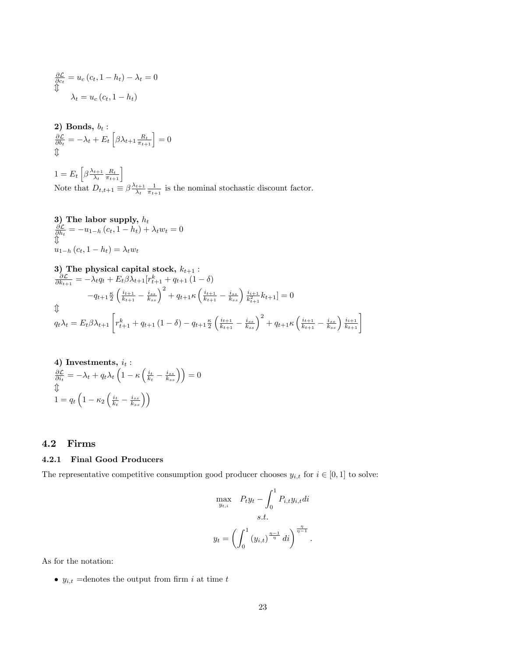$$
\frac{\partial \mathcal{L}}{\partial c_t} = u_c (c_t, 1 - h_t) - \lambda_t = 0
$$
\n
$$
\downarrow^{\text{max}}
$$
\n
$$
\lambda_t = u_c (c_t, 1 - h_t)
$$

**2) Bonds,** 
$$
b_t
$$
:  
\n $\frac{\partial \mathcal{L}}{\partial b_t} = -\lambda_t + E_t \left[ \beta \lambda_{t+1} \frac{R_t}{\pi_{t+1}} \right] = 0$   
\n $\Uparrow$ 

 $1 = E_t \left[ \beta \frac{\lambda_{t+1}}{\lambda_t} \right]$  $\left[\frac{t+1}{\lambda_t} \frac{R_t}{\pi_{t+1}}\right]$ Note that  $D_{t,t+1} \equiv \beta \frac{\lambda_{t+1}}{\lambda_t}$  $\frac{t+1}{\lambda_t} \frac{1}{\pi_{t+1}}$  is the nominal stochastic discount factor.

3) The labor supply, 
$$
h_t
$$
  
\n $\frac{\partial \mathcal{L}}{\partial h_t} = -u_{1-h} (c_t, 1 - h_t) + \lambda_t w_t = 0$   
\n $\mathbb{I}$   
\n $u_{1-h} (c_t, 1 - h_t) = \lambda_t w_t$ 

3) The physical capital stock, 
$$
k_{t+1}
$$
:  
\n
$$
\frac{\partial \mathcal{L}}{\partial k_{t+1}} = -\lambda_t q_t + E_t \beta \lambda_{t+1} [r_{t+1}^k + q_{t+1} (1 - \delta)
$$
\n
$$
-q_{t+1} \frac{\kappa}{2} \left( \frac{i_{t+1}}{k_{t+1}} - \frac{i_{ss}}{k_{ss}} \right)^2 + q_{t+1} \kappa \left( \frac{i_{t+1}}{k_{t+1}} - \frac{i_{ss}}{k_{ss}} \right) \frac{i_{t+1}}{k_{t+1}^2} k_{t+1} ] = 0
$$
\n
$$
\oint
$$
\n
$$
q_t \lambda_t = E_t \beta \lambda_{t+1} \left[ r_{t+1}^k + q_{t+1} (1 - \delta) - q_{t+1} \frac{\kappa}{2} \left( \frac{i_{t+1}}{k_{t+1}} - \frac{i_{ss}}{k_{ss}} \right)^2 + q_{t+1} \kappa \left( \frac{i_{t+1}}{k_{t+1}} - \frac{i_{ss}}{k_{ss}} \right) \frac{i_{t+1}}{k_{t+1}} \right]
$$

4) Investments, 
$$
i_t
$$
:  
\n
$$
\frac{\partial \mathcal{L}}{\partial i_t} = -\lambda_t + q_t \lambda_t \left( 1 - \kappa \left( \frac{i_t}{k_t} - \frac{i_{ss}}{k_{ss}} \right) \right) = 0
$$
\n
$$
\Downarrow
$$
\n
$$
1 = q_t \left( 1 - \kappa_2 \left( \frac{i_t}{k_t} - \frac{i_{ss}}{k_{ss}} \right) \right)
$$

#### 4.2 Firms

#### 4.2.1 Final Good Producers

The representative competitive consumption good producer chooses  $y_{i,t}$  for  $i \in [0, 1]$  to solve:

$$
\max_{y_{t,i}} \quad P_t y_t - \int_0^1 P_{i,t} y_{i,t} dt
$$
  
s.t.  

$$
y_t = \left( \int_0^1 (y_{i,t})^{\frac{\eta - 1}{\eta}} dt \right)^{\frac{\eta}{\eta - 1}}.
$$

As for the notation:

 $\bullet\ y_{i,t}$  =denotes the output from firm  $i$  at time  $t$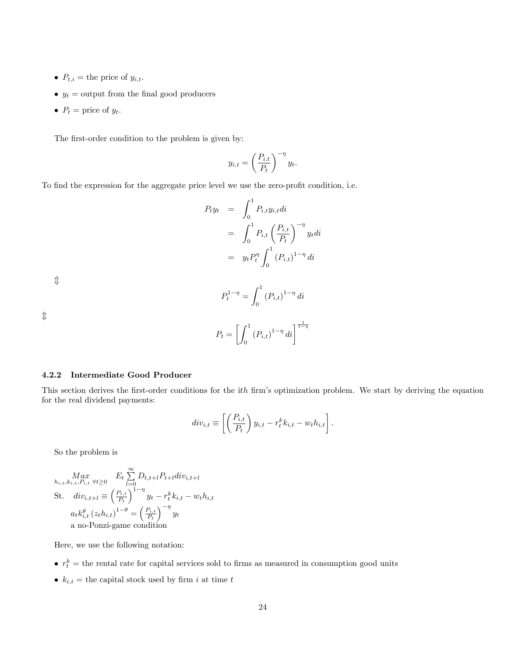- $P_{t,i}$  = the price of  $y_{i,t}$ .
- $y_t$  = output from the final good producers
- $P_t = \text{price of } y_t$ .

The first-order condition to the problem is given by:

$$
y_{i,t} = \left(\frac{P_{i,t}}{P_t}\right)^{-\eta} y_t.
$$

To find the expression for the aggregate price level we use the zero-profit condition, i.e.

$$
P_t y_t = \int_0^1 P_{i,t} y_{i,t} dt
$$
  
= 
$$
\int_0^1 P_{i,t} \left(\frac{P_{i,t}}{P_t}\right)^{-\eta} y_t dt
$$
  
= 
$$
y_t P_t^{\eta} \int_0^1 (P_{i,t})^{1-\eta} dt
$$

 $\hat{\Downarrow}$ 

$$
P_t^{1-\eta} = \int_0^1 (P_{i,t})^{1-\eta} \, di
$$

 $\hat{L}$ 

$$
P_t = \left[ \int_0^1 (P_{i,t})^{1-\eta} dt \right]^{\frac{1}{1-\eta}}
$$

#### 4.2.2 Intermediate Good Producer

This section derives the first-order conditions for the ith firm's optimization problem. We start by deriving the equation for the real dividend payments:

$$
div_{i,t} \equiv \left[ \left( \frac{P_{i,t}}{P_t} \right) y_{i,t} - r_t^k k_{i,t} - w_t h_{i,t} \right].
$$

So the problem is

$$
\begin{aligned}\n\max_{h_{i,t}, k_{i,t}, P_{i,t}} \forall t \geq 0 & E_t \sum_{l=0}^{\infty} D_{t,t+l} P_{t+l} \operatorname{div}_{i,t+l} \\
\text{St.} \quad \operatorname{div}_{i,t+l} &= \left(\frac{P_{i,t}}{P_t}\right)^{1-\eta} y_t - r_t^k k_{i,t} - w_t h_{i,t} \\
a_t k_{i,t}^{\theta} \left(z_t h_{i,t}\right)^{1-\theta} &= \left(\frac{P_{i,t}}{P_t}\right)^{-\eta} y_t \\
\text{a no-Ponzi-game condition}\n\end{aligned}
$$

Here, we use the following notation:

- $r_t^k$  = the rental rate for capital services sold to firms as measured in consumption good units
- $k_{i,t}$  = the capital stock used by firm i at time t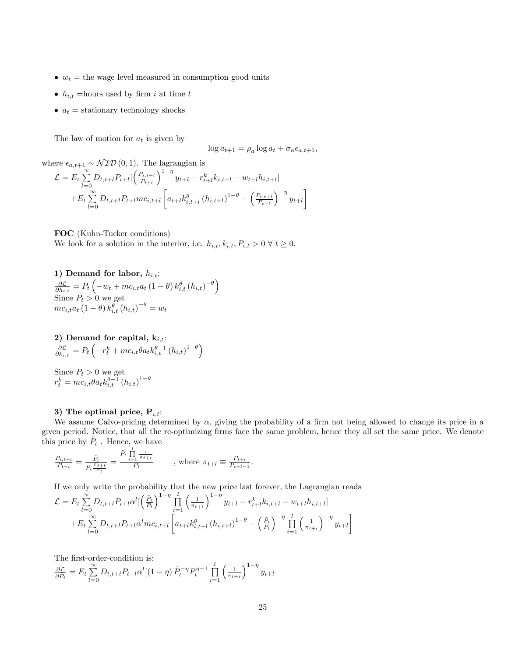- $w_t$  = the wage level measured in consumption good units
- $h_{i,t}$  =hours used by firm i at time t
- $a_t$  = stationary technology shocks

The law of motion for  $a_t$  is given by

$$
\log a_{t+1} = \rho_a \log a_t + \sigma_a \epsilon_{a,t+1},
$$

where  $\epsilon_{a,t+1} \sim \mathcal{NID}(0,1)$ . The lagrangian is

$$
\mathcal{L} = E_t \sum_{l=0}^{\infty} D_{t,t+l} P_{t+l} \left[ \left( \frac{P_{i,t+l}}{P_{t+l}} \right)^{1-\eta} y_{t+l} - r_{t+l}^k k_{i,t+l} - w_{t+l} h_{i,t+l} \right] + E_t \sum_{l=0}^{\infty} D_{t,t+l} P_{t+l} m c_{i,t+l} \left[ a_{t+l} k_{i,t+l}^{\theta} (h_{i,t+l})^{1-\theta} - \left( \frac{P_{i,t+l}}{P_{t+l}} \right)^{-\eta} y_{t+l} \right]
$$

FOC (Kuhn-Tucker conditions) We look for a solution in the interior, i.e.  $h_{i,t}, k_{i,t}, P_{i,t} > 0 \ \forall \ t \geq 0$ .

1) Demand for labor,  $h_{i,t}$ :  $\frac{\partial \mathcal{L}}{\partial h_{i,t}} = P_t \left( -w_t + m c_{i,t} a_t \left( 1 - \theta \right) k_{i,t}^{\theta} \left( h_{i,t} \right)^{-\theta} \right)$ Since  $P_t > 0$  we get  $mc_{i,t}a_t\left(1-\theta\right)k_{i,t}^{\theta}\left(h_{i,t}\right)^{-\theta}=w_t$ 

$$
\begin{array}{l} \textbf{2) \hbox{ Demand for capital, } k_{i,t}: } \\ \frac{\partial \mathcal{L}}{\partial k_{i,t}} = P_t\left(-r_t^k + m c_{i,t}\theta a_t k_{i,t}^{\theta-1} \left(h_{i,t}\right)^{1-\theta}\right) \end{array}
$$

Since 
$$
P_t > 0
$$
 we get  

$$
r_t^k = mc_{i,t} \theta a_t k_{i,t}^{\theta-1} (h_{i,t})^{1-\theta}
$$

#### 3) The optimal price,  $P_{i,t}$ :

We assume Calvo-pricing determined by  $\alpha$ , giving the probability of a firm not being allowed to change its price in a given period. Notice, that all the re-optimizing Örms face the same problem, hence they all set the same price. We denote this price by  $\tilde{P}_t$  . Hence, we have

$$
\frac{P_{i,t+l}}{P_{t+l}} = \frac{\tilde{P}_t}{P_t \frac{P_{t+l}}{P_t}} = \frac{\tilde{P}_t \prod_{i=1}^l \frac{1}{\pi_{t+i}}}{P_t} \qquad , \text{ where } \pi_{t+l} \equiv \frac{P_{t+l}}{P_{t+l-1}}.
$$

If we only write the probability that the new price last forever, the Lagrangian reads

$$
\mathcal{L} = E_t \sum_{l=0}^{\infty} D_{t,t+l} P_{t+l} \alpha^l \left[ \left( \frac{\tilde{P}_t}{P_t} \right)^{1-\eta} \prod_{i=1}^l \left( \frac{1}{\pi_{t+i}} \right)^{1-\eta} y_{t+l} - r_{t+l}^k k_{i,t+l} - w_{t+l} h_{i,t+l} \right] + E_t \sum_{l=0}^{\infty} D_{t,t+l} P_{t+l} \alpha^l m c_{i,t+l} \left[ a_{t+l} k_{i,t+l}^{\theta} \left( h_{i,t+l} \right)^{1-\theta} - \left( \frac{\tilde{P}_t}{P_t} \right)^{-\eta} \prod_{i=1}^l \left( \frac{1}{\pi_{t+i}} \right)^{-\eta} y_{t+l} \right]
$$

The first-order-condition is:

 $\frac{\partial \mathcal{L}}{\partial \tilde{P}_{t}} = E_{t} \sum_{l=0}^{\infty}$  $\sum_{l=0}^{\infty} D_{t,t+l} P_{t+l} \alpha^l [(1-\eta) \tilde{P}_t^{-\eta} P_t^{\eta-1} \prod_{i=1}^l$  $i=1$  $\left(\frac{1}{\pi_{t+i}}\right)$  $\int_0^{1-\eta} y_{t+l}$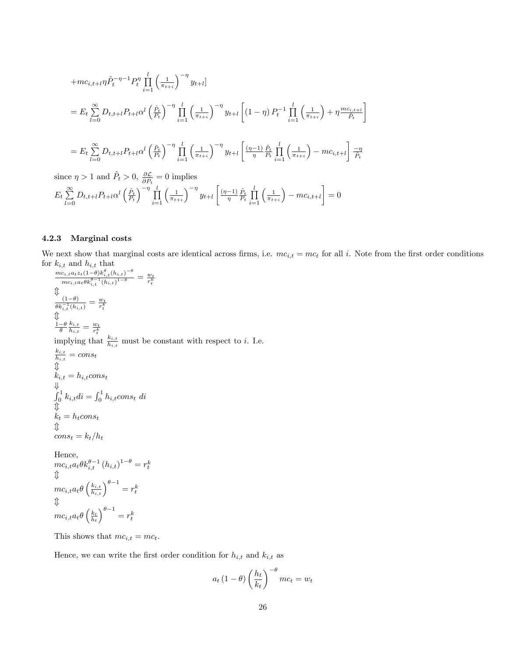$$
+mc_{i,t+l}\eta\tilde{P}_{t}^{-\eta-1}P_{t}^{\eta}\prod_{i=1}^{l}\left(\frac{1}{\pi_{t+i}}\right)^{-\eta}y_{t+l}]
$$
  
\n
$$
=E_{t}\sum_{l=0}^{\infty}D_{t,t+l}P_{t+l}\alpha^{l}\left(\frac{\tilde{P}_{t}}{P_{t}}\right)^{-\eta}\prod_{i=1}^{l}\left(\frac{1}{\pi_{t+i}}\right)^{-\eta}y_{t+l}\left[(1-\eta)P_{t}^{-1}\prod_{i=1}^{l}\left(\frac{1}{\pi_{t+i}}\right)+\eta\frac{mc_{i,t+l}}{\tilde{P}_{t}}\right]
$$
  
\n
$$
=E_{t}\sum_{l=0}^{\infty}D_{t,t+l}P_{t+l}\alpha^{l}\left(\frac{\tilde{P}_{t}}{P_{t}}\right)^{-\eta}\prod_{i=1}^{l}\left(\frac{1}{\pi_{t+i}}\right)^{-\eta}y_{t+l}\left[\frac{(\eta-1)}{\eta}\prod_{l=1}^{\tilde{P}_{t}}\prod_{i=1}^{l}\left(\frac{1}{\pi_{t+i}}\right)-mc_{i,t+l}\right]\frac{-\eta}{\tilde{P}_{t}}
$$

since  $\eta > 1$  and  $\tilde{P}_t > 0$ ,  $\frac{\partial \mathcal{L}}{\partial \tilde{P}_t} = 0$  implies

$$
E_{t} \sum_{l=0}^{\infty} D_{t,t+l} P_{t+l} \alpha^{l} \left(\frac{\tilde{P}_{t}}{P_{t}}\right)^{-\eta} \prod_{i=1}^{l} \left(\frac{1}{\pi_{t+i}}\right)^{-\eta} y_{t+l} \left[\frac{(\eta-1)}{\eta} \frac{\tilde{P}_{t}}{P_{t}} \prod_{i=1}^{l} \left(\frac{1}{\pi_{t+i}}\right) - mc_{i,t+l}\right] = 0
$$

#### 4.2.3 Marginal costs

We next show that marginal costs are identical across firms, i.e.  $mc_{i,t} = mc_t$  for all i. Note from the first order conditions for  $k_{i,t}$  and  $h_{i,t}$  that

Ĭ.

$$
\frac{mc_{i,t}a_t z_t(1-\theta)k_{i,t}^{\theta}(h_{i,t})^{-\theta}}{mc_{i,t}a_t \theta k_{i,t}^{\theta-1}(h_{i,t})^{1-\theta}} = \frac{w_t}{r_t^k}
$$
\n
$$
\Downarrow
$$
\n
$$
\frac{(1-\theta)}{\theta k_{i,t}^{-1}(h_{i,t})} = \frac{w_t}{r_t^k}
$$
\n
$$
\frac{1-\theta}{\theta} \frac{k_{i,t}}{h_{i,t}} = \frac{w_t}{r_t^k}
$$
\n
$$
\text{implying that } \frac{k_{i,t}}{h_{i,t}} \text{ must be constant with respect to } i. \text{ I.e.}
$$
\n
$$
\frac{k_{i,t}}{h_{i,t}} = const
$$
\n
$$
\Downarrow
$$
\n
$$
k_{i,t} = h_{i,t} \text{const}
$$
\n
$$
\Downarrow
$$
\n
$$
k_{i,t} = h_t \text{const}
$$
\n
$$
\Downarrow
$$
\n
$$
k_t = h_t \text{const}
$$
\n
$$
\Downarrow
$$
\n
$$
cons_t = k_t/h_t
$$
\nHence,\n
$$
mc_{i,t}a_t \theta k_{i,t}^{\theta-1} (h_{i,t})^{1-\theta} = r_t^k
$$
\n
$$
\Downarrow
$$

# $mc_{i,t}a_{t}\theta\left(\frac{k_{i,t}}{h_{i,t}}\right)^{\theta-1}=r_{t}^{k}% \mathbf{\boldsymbol{\hat{\theta}}}_{\mathbf{\boldsymbol{\hat{\theta}}}_{\mathbf{\boldsymbol{\hat{\theta}}}_{\mathbf{\boldsymbol{\hat{\theta}}}_{\mathbf{\boldsymbol{\hat{\theta}}}_{\mathbf{\boldsymbol{\hat{\theta}}}_{\mathbf{\boldsymbol{hat}}}_{\mathbf{\boldsymbol{hat}}}_{\mathbf{\boldsymbol{hat}}}_{\mathbf{\boldsymbol{hat}}}_{\mathbf{\boldsymbol{hat}}}_{\mathbf{\boldsymbol{hat}}}_{\mathbf{\boldsymbol{hat}}}_{\mathbf{\boldsymbol{hat}}}_{\mathbf{\boldsymbol{hat}}}_{\mathbf{\boldsymbol{hat}}}_{\mathbf{\boldsymbol{hat$  $\downarrow$  $mc_{i,t}a_{t}\theta\left(\frac{k_{t}}{h_{t}}\right)$  $\Big)^{\theta-1}=r_{t}^{k}$

This shows that  $mc_{i,t} = mc_t$ .

Hence, we can write the first order condition for  $\mathcal{h}_{i,t}$  and  $\mathcal{k}_{i,t}$  as

$$
a_t \left(1 - \theta\right) \left(\frac{h_t}{k_t}\right)^{-\theta} mc_t = w_t
$$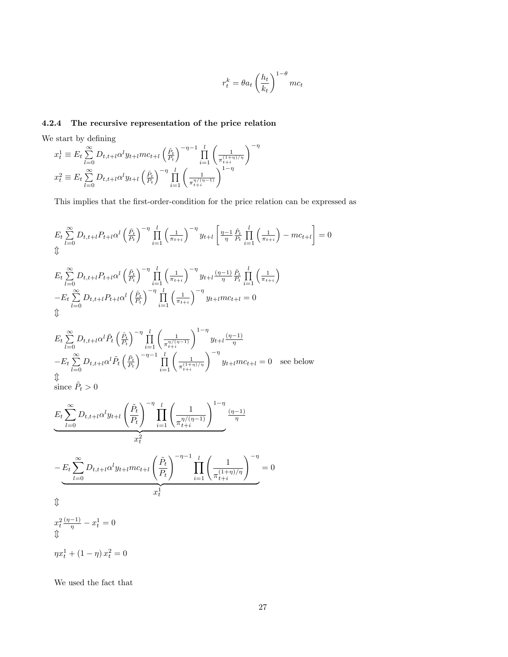$$
r_t^k = \theta a_t \left(\frac{h_t}{k_t}\right)^{1-\theta} mc_t
$$

#### 4.2.4 The recursive representation of the price relation

We start by defining

$$
x_t^1 \equiv E_t \sum_{l=0}^{\infty} D_{t,t+l} \alpha^l y_{t+l} m c_{t+l} \left(\frac{\tilde{P}_t}{P_t}\right)^{-\eta-1} \prod_{i=1}^l \left(\frac{1}{\pi_{t+i}^{(1+\eta)/\eta}}\right)^{-\eta}
$$
  

$$
x_t^2 \equiv E_t \sum_{l=0}^{\infty} D_{t,t+l} \alpha^l y_{t+l} \left(\frac{\tilde{P}_t}{P_t}\right)^{-\eta} \prod_{i=1}^l \left(\frac{1}{\pi_{t+i}^{\eta/(\eta-1)}}\right)^{1-\eta}
$$

This implies that the first-order-condition for the price relation can be expressed as

$$
E_{t} \sum_{l=0}^{\infty} D_{t,t+l} P_{t+l} \alpha^{l} \left(\frac{\tilde{P}_{t}}{P_{t}}\right)^{-\eta} \prod_{i=1}^{l} \left(\frac{1}{\pi_{t+i}}\right)^{-\eta} y_{t+l} \left[\frac{\eta-1}{\eta} \frac{\tilde{P}_{t}}{P_{t}} \prod_{i=1}^{l} \left(\frac{1}{\pi_{t+i}}\right) - mc_{t+l}\right] = 0
$$
  
\n
$$
\Downarrow E_{t} \sum_{l=0}^{\infty} D_{t,t+l} P_{t+l} \alpha^{l} \left(\frac{\tilde{P}_{t}}{P_{t}}\right)^{-\eta} \prod_{i=1}^{l} \left(\frac{1}{\pi_{t+i}}\right)^{-\eta} y_{t+l} \frac{(\eta-1)}{\eta} \frac{\tilde{P}_{t}}{P_{t}} \prod_{i=1}^{l} \left(\frac{1}{\pi_{t+i}}\right)
$$
  
\n
$$
-E_{t} \sum_{l=0}^{\infty} D_{t,t+l} P_{t+l} \alpha^{l} \left(\frac{\tilde{P}_{t}}{P_{t}}\right)^{-\eta} \prod_{i=1}^{l} \left(\frac{1}{\pi_{t+i}}\right)^{-\eta} y_{t+l} mc_{t+l} = 0
$$
  
\n
$$
\Downarrow E_{t} \sum_{l=0}^{\infty} D_{t,t+l} \alpha^{l} \tilde{P}_{t} \left(\frac{\tilde{P}_{t}}{P_{t}}\right)^{-\eta} \prod_{i=1}^{l} \left(\frac{1}{\pi_{t+i}^{(\eta-1)}}\right)^{1-\eta} y_{t+l} \frac{(\eta-1)}{\eta}
$$
  
\n
$$
-E_{t} \sum_{l=0}^{\infty} D_{t,t+l} \alpha^{l} \tilde{P}_{t} \left(\frac{\tilde{P}_{t}}{P_{t}}\right)^{-\eta-1} \prod_{i=1}^{l} \left(\frac{1}{\pi_{t+i}^{(\eta-1)}}\right)^{-\eta} y_{t+l} mc_{t+l} = 0 \text{ see below}
$$
  
\n
$$
\Downarrow \text{since } \tilde{P}_{t} > 0
$$

$$
E_t \sum_{l=0}^{\infty} D_{t,t+l} \alpha^l y_{t+l} \left(\frac{\tilde{P}_t}{P_t}\right)^{-\eta} \prod_{i=1}^l \left(\frac{1}{\pi_{t+i}^{\eta/(\eta-1)}}\right)^{1-\eta} \frac{(\eta-1)}{\eta}
$$

$$
-E_t \sum_{l=0}^{\infty} D_{t,t+l} \alpha^l y_{t+l}mc_{t+l} \left(\frac{\tilde{P}_t}{P_t}\right)^{-\eta-1} \prod_{i=1}^l \left(\frac{1}{\pi_{t+i}^{(1+\eta)/\eta}}\right)^{-\eta} = 0
$$

$$
x_t^1
$$

$$
\updownarrow
$$

 $x_t^2 \frac{(\eta - 1)}{\eta} - x_t^1 = 0$  $\downarrow$ 

 $\eta x_t^1 + (1 - \eta) x_t^2 = 0$ 

We used the fact that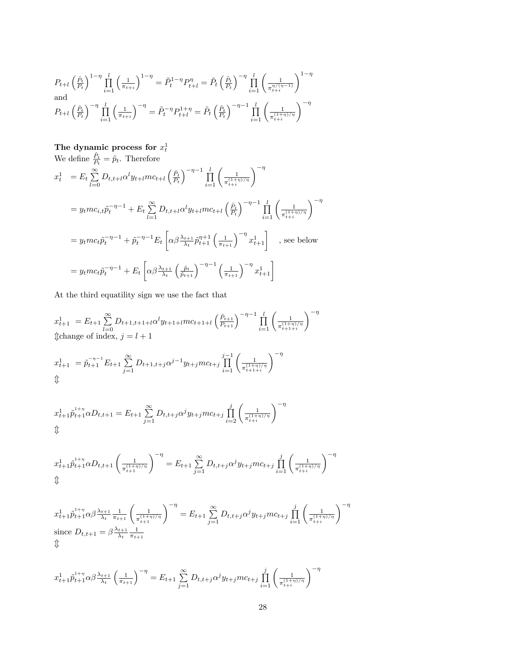$$
P_{t+l} \left(\frac{\tilde{P}_t}{P_t}\right)^{1-\eta} \prod_{i=1}^l \left(\frac{1}{\pi_{t+i}}\right)^{1-\eta} = \tilde{P}_t^{1-\eta} P_{t+l}^{\eta} = \tilde{P}_t \left(\frac{\tilde{P}_t}{P_t}\right)^{-\eta} \prod_{i=1}^l \left(\frac{1}{\pi_{t+i}^{\eta/(n-1)}}\right)^{1-\eta}
$$
  
and  

$$
P_{t+l} \left(\frac{\tilde{P}_t}{P_t}\right)^{-\eta} \prod_{i=1}^l \left(\frac{1}{\pi_{t+i}}\right)^{-\eta} = \tilde{P}_t^{-\eta} P_{t+l}^{1+\eta} = \tilde{P}_t \left(\frac{\tilde{P}_t}{P_t}\right)^{-\eta-1} \prod_{i=1}^l \left(\frac{1}{\pi_{t+i}^{(1+\eta)/\eta}}\right)^{-\eta}
$$

The dynamic process for  $x_t^1$ <br>We define  $\frac{\tilde{P}_t}{P_t} = \tilde{p}_t$ . Therefore  $x_t^1 = E_t \sum_{i=1}^{\infty}$  $\sum_{l=0}^{\infty} D_{t,t+l} \alpha^l y_{t+l} m c_{t+l} \left( \frac{\tilde{P}_t}{P_t} \right)$  $\bigg)^{-\eta-1}\,\prod_{i=1}^l\Bigg(\tfrac{1}{\pi{\mathop{+}\nolimits\limits_{t+i}^{\hspace*{1pt}(1+\varepsilon)}}}$  $\pi_{t+i}^{(1+\eta)/\eta}$  $\sum_{ }$  $= y_t mc_{i,t} \tilde{p}_t^{-\eta-1} + E_t \sum_{i=1}^{\infty}$  $\sum_{l=1}^{\infty} D_{t,t+l} \alpha^l y_{t+l} m c_{t+l} \left( \frac{\tilde{P}_t}{P_t} \right)$  $\bigg)^{-\eta-1}\,\prod_{i=1}^l\Bigg(\tfrac{1}{\pi{\hskip-0.04cm}^{(1+\varepsilon)}_{t+i}}$  $\pi_{t+i}^{(1+\eta)/\eta}$  $= y_t mc_t \tilde{p}_t^{-\eta-1} + \tilde{p}_t^{-\eta-1} E_t$  $\left[\alpha\beta\frac{\lambda_{t+1}}{\lambda_t}\tilde{p}_{t+1}^{\eta+1}\left(\frac{1}{\pi_{t+1}}\right)^{-\eta}x_{t+1}^1\right]$ , see below  $= y_t mc_t \tilde{p}_t^{-\eta-1} + E_t$  $\Big[\alpha\beta\frac{\lambda_{t+1}}{\lambda_t}$  $\left(\frac{\tilde{p}_t}{\tilde{p}_{t+1}}\right)^{-\eta-1}\left(\frac{1}{\pi_{t+1}}\right)^{-\eta}x_{t+1}^1\bigg]$ 

At the third equatility sign we use the fact that

$$
x_{t+1}^1 = E_{t+1} \sum_{l=0}^{\infty} D_{t+1,t+1+l} \alpha^l y_{t+1+l} m c_{t+1+l} \left(\frac{\tilde{P}_{t+1}}{P_{t+1}}\right)^{-\eta-1} \prod_{i=1}^l \left(\frac{1}{\pi_{t+1+i}^{(1+\eta)/\eta}}\right)^{-\eta}
$$
  
\n
$$
\text{if change of index, } j = l+1
$$
\n
$$
x_{t+1}^1 = \tilde{p}_{t+1}^{-\eta-1} E_{t+1} \sum_{j=1}^{\infty} D_{t+1,t+j} \alpha^{j-1} y_{t+j} m c_{t+j} \prod_{i=1}^{j-1} \left(\frac{1}{\pi_{t+1+i}^{(1+\eta)/\eta}}\right)^{-\eta}
$$

$$
x_{t+1} = p_{t+1} \sum_{j=1}^{L+1} D_{t+1,t+j} \alpha^j \quad y_{t+j}mc_{t+j} \prod_{i=1}^{L+1} \left( \frac{1}{\pi_{t+1+i}^{(1+\eta)/\eta}} \right)
$$
  
\n
$$
\text{L}
$$

$$
x_{t+1}^1 \tilde{p}_{t+1}^{1+\eta} \alpha D_{t,t+1} = E_{t+1} \sum_{j=1}^{\infty} D_{t,t+j} \alpha^j y_{t+j} m c_{t+j} \prod_{i=2}^j \left( \frac{1}{\pi_{t+i}^{(1+\eta)/\eta}} \right)^{-\eta}
$$

$$
x_{t+1}^1 \tilde{p}_{t+1}^{1+\eta} \alpha D_{t,t+1} \left( \frac{1}{\pi_{t+1}^{(1+\eta)/\eta}} \right)^{-\eta} = E_{t+1} \sum_{j=1}^{\infty} D_{t,t+j} \alpha^j y_{t+j} m c_{t+j} \prod_{i=1}^j \left( \frac{1}{\pi_{t+i}^{(1+\eta)/\eta}} \right)^{-\eta}
$$

$$
x_{t+1}^{1} \tilde{p}_{t+1}^{1+\eta} \alpha \beta \frac{\lambda_{t+1}}{\lambda_t} \frac{1}{\pi_{t+1}} \left( \frac{1}{\pi_{t+1}^{(1+\eta)/\eta}} \right)^{-\eta} = E_{t+1} \sum_{j=1}^{\infty} D_{t,t+j} \alpha^j y_{t+j} m c_{t+j} \prod_{i=1}^j \left( \frac{1}{\pi_{t+i}^{(1+\eta)/\eta}} \right)^{-\eta}
$$
  
since  $D_{t,t+1} = \beta \frac{\lambda_{t+1}}{\lambda_t} \frac{1}{\pi_{t+1}}$ 

$$
x_{t+1}^1 \tilde{p}_{t+1}^{1+\eta} \alpha \beta \frac{\lambda_{t+1}}{\lambda_t} \left(\frac{1}{\pi_{t+1}}\right)^{-\eta} = E_{t+1} \sum_{j=1}^{\infty} D_{t,t+j} \alpha^j y_{t+j} m c_{t+j} \prod_{i=1}^j \left(\frac{1}{\pi_{t+i}^{(1+\eta)/\eta}}\right)^{-\eta}
$$

 $\sum_{ }$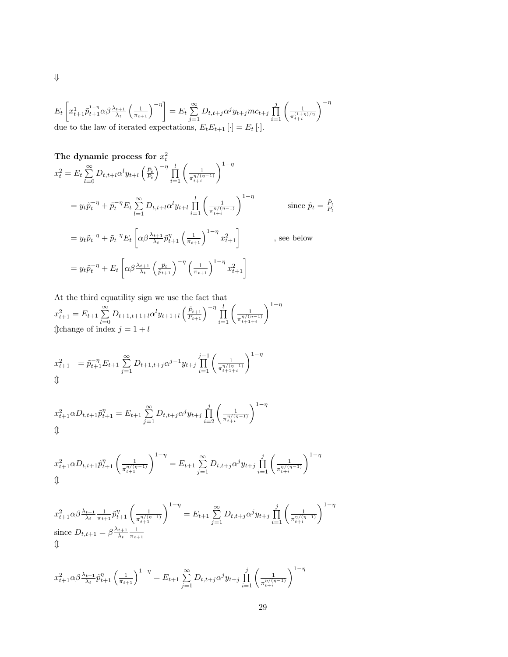$$
E_t\left[x_{t+1}^{1+\eta}\tilde{p}_{t+1}^{1+\eta}\alpha\beta\frac{\lambda_{t+1}}{\lambda_t}\left(\frac{1}{\pi_{t+1}}\right)^{-\eta}\right] = E_t\sum_{j=1}^{\infty}D_{t,t+j}\alpha^j y_{t+j}mc_{t+j}\prod_{i=1}^j\left(\frac{1}{\pi_{t+i}^{(1+\eta)/\eta}}\right)^{-\eta}
$$
due to the law of iterated expectations,  $E_tE_{t+1}[\cdot] = E_t[\cdot].$ 

 $\Downarrow$ 

The dynamic process for 
$$
x_t^2
$$
  
\n
$$
x_t^2 = E_t \sum_{l=0}^{\infty} D_{t,t+l} \alpha^l y_{t+l} \left(\frac{\tilde{P}_t}{P_t}\right)^{-\eta} \prod_{i=1}^l \left(\frac{1}{\pi_{t+i}^{\eta/(\eta-1)}}\right)^{1-\eta}
$$
\n
$$
= y_t \tilde{p}_t^{-\eta} + \tilde{p}_t^{-\eta} E_t \sum_{l=1}^{\infty} D_{t,t+l} \alpha^l y_{t+l} \prod_{i=1}^l \left(\frac{1}{\pi_{t+i}^{\eta/(\eta-1)}}\right)^{1-\eta} \qquad \text{since } \tilde{p}_t = \frac{\tilde{P}_t}{P_t}
$$
\n
$$
= y_t \tilde{p}_t^{-\eta} + \tilde{p}_t^{-\eta} E_t \left[\alpha \beta \frac{\lambda_{t+1}}{\lambda_t} \tilde{p}_{t+1}^{\eta} \left(\frac{1}{\pi_{t+1}}\right)^{1-\eta} x_{t+1}^2\right] \qquad , \text{ see below}
$$
\n
$$
= y_t \tilde{p}_t^{-\eta} + E_t \left[\alpha \beta \frac{\lambda_{t+1}}{\lambda_t} \left(\frac{\tilde{p}_t}{\tilde{p}_{t+1}}\right)^{-\eta} \left(\frac{1}{\pi_{t+1}}\right)^{1-\eta} x_{t+1}^2\right]
$$

At the third equatility sign we use the fact that  $x_{t+1}^2 = E_{t+1} \sum_{l=0}^{\infty} D_{t+1,t+1+l} \alpha^l y_{t+1+l} \left(\frac{\tilde{P}_{t+1}}{P_{t+1}}\right)^{-\eta} \prod_{i=1}^l \left(\frac{1}{\pi_{t+1}^{\eta/(n-i)}}\right)$  $\pi_{t+1+i}^{\eta/(\eta-1)}$  $\setminus^{1-\eta}$  $\text{t}$ change of index  $j = 1 + l$ 

$$
x_{t+1}^2 = \tilde{p}_{t+1}^{-\eta} E_{t+1} \sum_{j=1}^{\infty} D_{t+1,t+j} \alpha^{j-1} y_{t+j} \prod_{i=1}^{j-1} \left( \frac{1}{\pi_{t+1+i}^{\eta/(\eta-1)}} \right)^{1-\eta}
$$
  

$$
\text{if } \eta \in \mathbb{R}^n
$$

$$
x_{t+1}^2 \alpha D_{t,t+1} \tilde{p}_{t+1}^{\eta} = E_{t+1} \sum_{j=1}^{\infty} D_{t,t+j} \alpha^j y_{t+j} \prod_{i=2}^j \left( \frac{1}{\pi_{t+i}^{\eta/(n-1)}} \right)^{1-\eta}
$$
  

$$
\text{if } \frac{1}{n} \leq \frac{1}{n} \sum_{i=1}^n D_{t,i} \alpha^j y_{t+j} \prod_{i=2}^j \left( \frac{1}{\pi_{t+i}^{\eta/(n-1)}} \right)^{1-\eta}
$$

$$
x_{t+1}^2 \alpha D_{t,t+1} \tilde{p}_{t+1}^{\eta} \left( \frac{1}{\pi_{t+1}^{\eta/(\eta-1)}} \right)^{1-\eta} = E_{t+1} \sum_{j=1}^{\infty} D_{t,t+j} \alpha^j y_{t+j} \prod_{i=1}^j \left( \frac{1}{\pi_{t+i}^{\eta/(\eta-1)}} \right)^{1-\eta}
$$

$$
x_{t+1}^2 \alpha \beta \frac{\lambda_{t+1}}{\lambda_t} \frac{1}{\pi_{t+1}} \tilde{p}_{t+1}^{\eta} \left( \frac{1}{\pi_{t+1}^{\eta/(\eta-1)}} \right)^{1-\eta} = E_{t+1} \sum_{j=1}^{\infty} D_{t,t+j} \alpha^j y_{t+j} \prod_{i=1}^j \left( \frac{1}{\pi_{t+i}^{\eta/(\eta-1)}} \right)^{1-\eta}
$$
  
since  $D_{t,t+1} = \beta \frac{\lambda_{t+1}}{\lambda_t} \frac{1}{\pi_{t+1}}$ 

$$
x_{t+1}^2 \alpha \beta \frac{\lambda_{t+1}}{\lambda_t} \tilde{p}_{t+1}^{\eta} \left(\frac{1}{\pi_{t+1}}\right)^{1-\eta} = E_{t+1} \sum_{j=1}^{\infty} D_{t,t+j} \alpha^j y_{t+j} \prod_{i=1}^j \left(\frac{1}{\pi_{t+i}^{\eta/(\eta-1)}}\right)^{1-\eta}
$$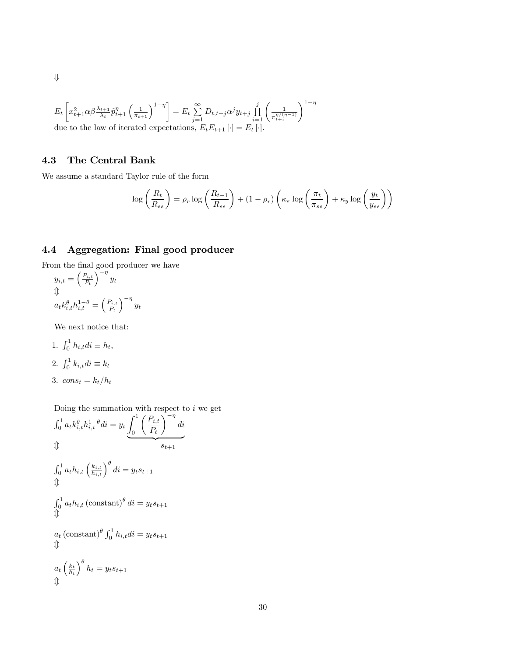$$
E_t\left[x_{t+1}^2\alpha\beta\frac{\lambda_{t+1}}{\lambda_t}\tilde{p}_{t+1}^{\eta}\left(\frac{1}{\pi_{t+1}}\right)^{1-\eta}\right] = E_t\sum_{j=1}^{\infty} D_{t,t+j}\alpha^j y_{t+j} \prod_{i=1}^j \left(\frac{1}{\pi_{t+i}^{\eta/(\eta-1)}}\right)^{1-\eta}
$$
  
due to the law of iterated expectations,  $E_t E_{t+1}[\cdot] = E_t[\cdot].$ 

### 4.3 The Central Bank

We assume a standard Taylor rule of the form

$$
\log\left(\frac{R_t}{R_{ss}}\right) = \rho_r \log\left(\frac{R_{t-1}}{R_{ss}}\right) + (1 - \rho_r) \left(\kappa_\pi \log\left(\frac{\pi_t}{\pi_{ss}}\right) + \kappa_y \log\left(\frac{y_t}{y_{ss}}\right)\right)
$$

# 4.4 Aggregation: Final good producer

From the final good producer we have  $y_{i,t} = \left(\frac{P_{i,t}}{P_t}\right)$  $P_t$  $\int_{-\eta}^{\eta} y_t$ 

$$
\psi_{a_t k_{i,t}^{\theta} h_{i,t}^{1-\theta} = \left(\frac{P_{i,t}}{P_t}\right)^{-\eta} y_t
$$

We next notice that:

1.  $\int_0^1 h_{i,t} dt \equiv h_t$ , 2.  $\int_0^1 k_{i,t} dt \equiv k_t$ 3.  $cons_t = k_t/h_t$ 

Doing the summation with respect to  $i$  we get

$$
\int_0^1 a_t k_{i,t}^{\theta} h_{i,t}^{1-\theta} di = y_t \underbrace{\int_0^1 \left(\frac{P_{i,t}}{P_t}\right)^{-\eta} di}_{s_{t+1}}
$$
\n
$$
\oint_0^1 a_t h_{i,t} \left(\frac{k_{i,t}}{h_{i,t}}\right)^{\theta} di = y_t s_{t+1}
$$
\n
$$
\oint_0^1 a_t h_{i,t} \left(\text{constant}\right)^{\theta} di = y_t s_{t+1}
$$
\n
$$
a_t \left(\text{constant}\right)^{\theta} \int_0^1 h_{i,t} di = y_t s_{t+1}
$$
\n
$$
\oint_0^1 a_t \left(\frac{k_t}{h_t}\right)^{\theta} h_t = y_t s_{t+1}
$$
\n
$$
\oint_0^1 b_t = y_t s_{t+1}
$$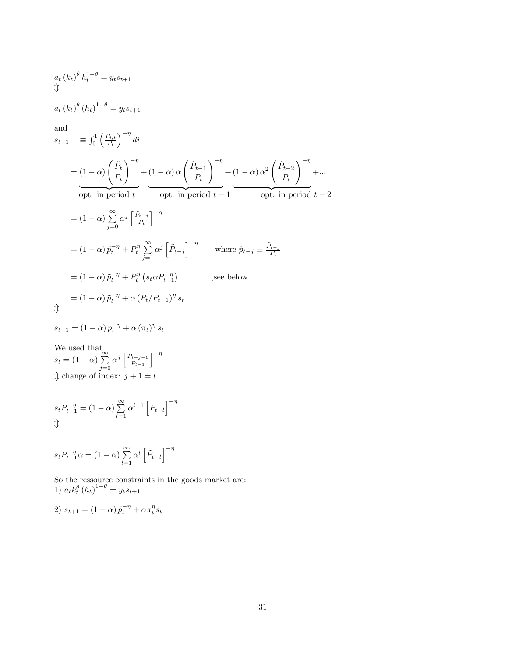$$
a_t (k_t)^{\theta} h_t^{1-\theta} = y_t s_{t+1}
$$
  

$$
\Downarrow
$$

 $a_{t} (k_{t})^{\theta} (h_{t})^{1-\theta} = y_{t} s_{t+1}$ 

and

$$
s_{t+1} = \int_0^1 \left(\frac{P_{i,t}}{P_t}\right)^{-\eta} dt
$$
  
\n
$$
= (1 - \alpha) \left(\frac{\tilde{P}_t}{P_t}\right)^{-\eta} + (1 - \alpha) \alpha \left(\frac{\tilde{P}_{t-1}}{P_t}\right)^{-\eta} + (1 - \alpha) \alpha^2 \left(\frac{\tilde{P}_{t-2}}{P_t}\right)^{-\eta} + \dots
$$
  
\n
$$
\text{opt. in period } t \qquad \text{opt. in period } t - 1
$$
  
\n
$$
= (1 - \alpha) \sum_{j=0}^{\infty} \alpha^j \left[\frac{\tilde{P}_{t-j}}{P_t}\right]^{-\eta}
$$
  
\n
$$
= (1 - \alpha) \tilde{p}_t^{-\eta} + P_t^{\eta} \sum_{j=1}^{\infty} \alpha^j \left[\tilde{P}_{t-j}\right]^{-\eta} \qquad \text{where } \tilde{p}_{t-j} \equiv \frac{\tilde{P}_{t-j}}{P_t}
$$
  
\n
$$
= (1 - \alpha) \tilde{p}_t^{-\eta} + P_t^{\eta} \left(s_t \alpha P_{t-1}^{-\eta}\right) \qquad \text{see below}
$$
  
\n
$$
= (1 - \alpha) \tilde{p}_t^{-\eta} + \alpha \left(P_t/P_{t-1}\right)^{\eta} s_t
$$

 $\updownarrow$ 

$$
s_{t+1} = \left(1 - \alpha\right) \tilde{p}_t^{-\eta} + \alpha \left(\pi_t\right)^\eta s_t
$$

We used that  $s_t = (1 - \alpha) \sum_{i=0}^{\infty}$  $j=0$  $\alpha^{j} \left[ \frac{\tilde{P}_{t-j-1}}{P_{t-1}} \right]$  $P_{t-1}$  $1^{-\eta}$  $\textcircled{t}$  change of index:  $j + 1 = l$ 

$$
s_t P_{t-1}^{-\eta} = (1 - \alpha) \sum_{l=1}^{\infty} \alpha^{l-1} \left[ \tilde{P}_{t-l} \right]^{-\eta}
$$
  

$$
\text{I}
$$

$$
s_t P_{t-1}^{-\eta} \alpha = (1 - \alpha) \sum_{l=1}^{\infty} \alpha^l \left[ \tilde{P}_{t-l} \right]^{-\eta}
$$

So the ressource constraints in the goods market are: 1)  $a_t k_t^{\theta} (h_t)^{1-\theta} = y_t s_{t+1}$ 

$$
2) s_{t+1} = (1 - \alpha) \tilde{p}_t^{-\eta} + \alpha \pi_t^{\eta} s_t
$$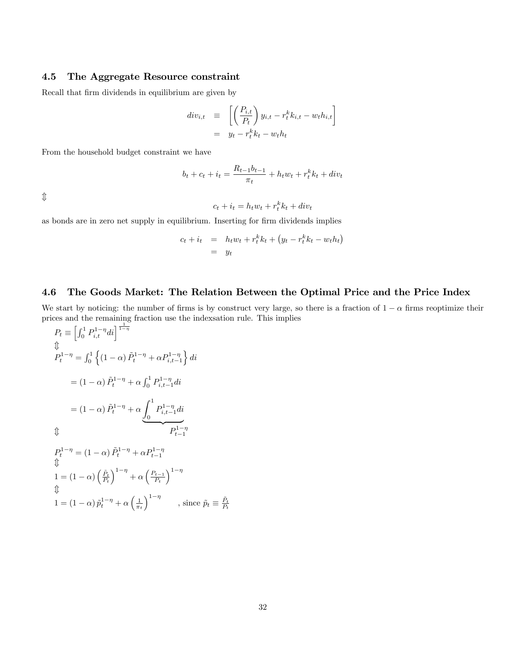#### 4.5 The Aggregate Resource constraint

Recall that firm dividends in equilibrium are given by

$$
div_{i,t} \equiv \left[ \left( \frac{P_{i,t}}{P_t} \right) y_{i,t} - r_t^k k_{i,t} - w_t h_{i,t} \right]
$$

$$
= y_t - r_t^k k_t - w_t h_t
$$

From the household budget constraint we have

$$
b_t + c_t + i_t = \frac{R_{t-1}b_{t-1}}{\pi_t} + h_t w_t + r_t^k k_t + div_t
$$

 $\updownarrow$ 

$$
c_t + i_t = h_t w_t + r_t^k k_t + div_t
$$

as bonds are in zero net supply in equilibrium. Inserting for firm dividends implies

$$
c_t + i_t = h_t w_t + r_t^k k_t + (y_t - r_t^k k_t - w_t h_t)
$$
  
=  $y_t$ 

#### 4.6 The Goods Market: The Relation Between the Optimal Price and the Price Index

We start by noticing: the number of firms is by construct very large, so there is a fraction of  $1 - \alpha$  firms reoptimize their prices and the remaining fraction use the indexsation rule. This implies

$$
P_t \equiv \left[\int_0^1 P_{i,t}^{1-\eta} di\right]^{\frac{1}{1-\eta}}
$$
  
\n
$$
\oint_t^1 P_t^{1-\eta} = \int_0^1 \left\{ (1-\alpha) \tilde{P}_t^{1-\eta} + \alpha P_{i,t-1}^{1-\eta} \right\} di
$$
  
\n
$$
= (1-\alpha) \tilde{P}_t^{1-\eta} + \alpha \int_0^1 P_{i,t-1}^{1-\eta} di
$$
  
\n
$$
= (1-\alpha) \tilde{P}_t^{1-\eta} + \alpha \underbrace{\int_0^1 P_{i,t-1}^{1-\eta} di}_{P_{t-1}^{1-\eta}}
$$
  
\n
$$
\oint_t^{1-\eta} = (1-\alpha) \tilde{P}_t^{1-\eta} + \alpha P_{t-1}^{1-\eta}
$$
  
\n
$$
1 = (1-\alpha) \left(\frac{\tilde{P}_t}{P_t}\right)^{1-\eta} + \alpha \left(\frac{P_{t-1}}{P_t}\right)^{1-\eta}
$$
  
\n
$$
\oint_t^{1-\eta} = (1-\alpha) \tilde{P}_t^{1-\eta} + \alpha \left(\frac{P_{t-1}}{P_t}\right)^{1-\eta}
$$
  
\n
$$
1 = (1-\alpha) \tilde{P}_t^{1-\eta} + \alpha \left(\frac{1}{\pi t}\right)^{1-\eta}
$$
, since  $\tilde{p}_t \equiv \frac{\tilde{P}_t}{P_t}$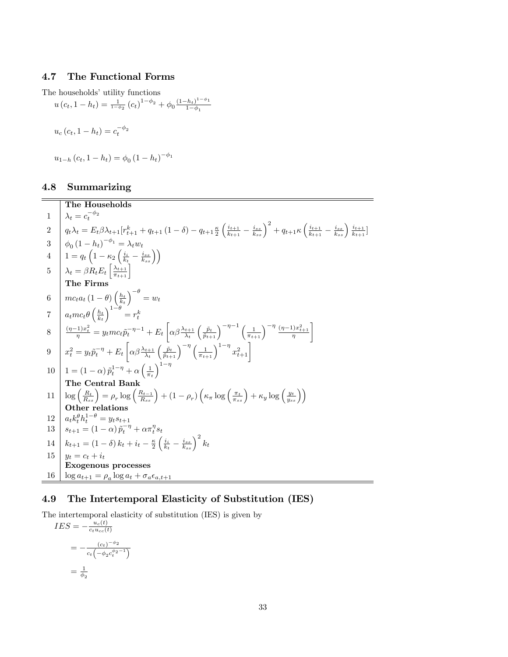#### 4.7 The Functional Forms

The households' utility functions

$$
u(c_t, 1 - h_t) = \frac{1}{1 - \phi_2} (c_t)^{1 - \phi_2} + \phi_0 \frac{(1 - h_t)^{1 - \phi_1}}{1 - \phi_1}
$$
  

$$
u_c(c_t, 1 - h_t) = c_t^{-\phi_2}
$$
  

$$
u_{1-h}(c_t, 1 - h_t) = \phi_0 (1 - h_t)^{-\phi_1}
$$

#### 4.8 Summarizing

The Households  $1 \quad \big| \lambda_t = c_t^{-\phi_2}$ 2  $q_t \lambda_t = E_t \beta \lambda_{t+1} [r_{t+1}^k + q_{t+1} (1 - \delta) - q_{t+1} \frac{\kappa}{2}]$  $\int i_{t+1}$  $\frac{i_{t+1}}{k_{t+1}} - \frac{i_{ss}}{k_{ss}}\Big)^2 + q_{t+1} \kappa\left(\frac{i_{t+1}}{k_{t+1}}\right)$  $\frac{i_{t+1}}{k_{t+1}} - \frac{i_{ss}}{k_{ss}}$  )  $\frac{i_{t+1}}{k_{t+1}}$  $\frac{i_{t+1}}{k_{t+1}}$ ] 3  $\phi_0 (1-h_t)^{-\phi_1} = \lambda_t w_t$  $4\quad \left| \quad 1=q_t\left(1-\kappa_2\left(\frac{i_i}{k_t}-\frac{i_{ss}}{k_{ss}}\right)\right)\right.$ 5  $\lambda_t = \beta R_t E_t \left[ \frac{\lambda_{t+1}}{\pi_{t+1}} \right]$ The Firms 6  $mc_{t}a_{t}$   $(1 - \theta)\left(\frac{h_{t}}{k_{t}}\right)$  $\Big)^{-\theta} = w_t$ 7  $a_t m c_t \theta \left(\frac{h_t}{k_t}\right)$  $\Big)^{1-\theta}=r_{t}^{k}$ 8  $\frac{(n-1)x_t^2}{\eta} = y_t mc_t \tilde{p}_t^{-\eta-1} + E_t$  $\left[\alpha\beta\frac{\lambda_{t+1}}{\lambda_t}\right]$  $\left(\frac{\tilde{p}_t}{\tilde{p}_{t+1}}\right)^{-\eta-1}\left(\frac{1}{\pi_{t+1}}\right)^{-\eta}\frac{(\eta-1)x_{t+1}^2}{\eta}$ 1 9  $x_t^2 = y_t \tilde{p}_t^{-\eta} + E_t$  $\left[\alpha\beta\frac{\lambda_{t+1}}{\lambda_t}\right]$  $\left(\frac{\tilde{p}_t}{\tilde{p}_{t+1}}\right)^{-\eta} \left(\frac{1}{\pi_{t+1}}\right)^{1-\eta} x_{t+1}^2$ 10  $1 = (1 - \alpha) \tilde{p}_t^{1 - \eta} + \alpha \left( \frac{1}{\pi_t} \right)$  $\lambda^{1-\eta}$ The Central Bank  $11 \left[ \log \left( \frac{R_t}{R_{ss}} \right) = \rho_r \log \left( \frac{R_{t-1}}{R_{ss}} \right) + (1 - \rho_r) \left( \kappa_\pi \log \left( \frac{\pi_t}{\pi_{ss}} \right) + \kappa_y \log \left( \frac{y_t}{y_{ss}} \right) \right) \right]$ Other relations  $12 \mid a_t k_t^{\theta} h_t^{1-\theta} = y_t s_{t+1}$  $13 \left| s_{t+1} = (1-\alpha) \, \tilde{p}_t^{-\eta} + \alpha \pi_t^{\eta} s_t \right|$  $14 \left[ k_{t+1} = (1 - \delta) k_t + i_t - \frac{\kappa}{2} \right]$  $\left(\frac{i_i}{k_t}-\frac{i_{ss}}{k_{ss}}\right)^2 k_t$  $15 | y_t = c_t + i_t$ Exogenous processes  $16 \int \log a_{t+1} = \rho_a \log a_t + \sigma_a \epsilon_{a,t+1}$ 

#### 4.9 The Intertemporal Elasticity of Substitution (IES)

The intertemporal elasticity of substitution (IES) is given by  $IES = -\frac{u_c(t)}{c_t u_{cc}(t)}$  $c_tu_{cc}(t)$  $=-\frac{(c_t)^{-\phi_2}}{c_t(-\phi_2 c_t^{\phi_2})}$  $c_t(-\phi_2 c_t^{\phi_2-1})$  $=$  $\frac{1}{\phi_2}$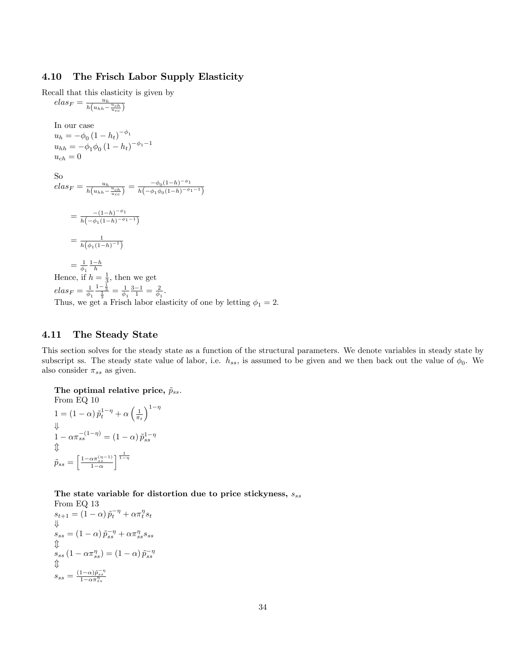#### 4.10 The Frisch Labor Supply Elasticity

Recall that this elasticity is given by

$$
elas_F = \frac{u_h}{h(u_{hh} - \frac{u_{ch}}{u_{cc}})}
$$
  
\nIn our case  
\n
$$
u_h = -\phi_0 (1 - h_t)^{-\phi_1}
$$
  
\n
$$
u_{hh} = -\phi_1 \phi_0 (1 - h_t)^{-\phi_1 - 1}
$$
  
\n
$$
u_{ch} = 0
$$
  
\nSo  
\n
$$
elas_F = \frac{u_h}{h(u_{hh} - \frac{u_{ch}}{u_{cc}})} = \frac{-\phi_0 (1 - h)^{-\phi_1}}{h(-\phi_1 \phi_0 (1 - h)^{-\phi_1 - 1})}
$$
  
\n
$$
= \frac{-(1 - h)^{-\phi_1}}{h(-\phi_1 (1 - h)^{-\phi_1 - 1})}
$$
  
\n
$$
= \frac{1}{h(\phi_1 (1 - h)^{-1})}
$$
  
\n
$$
= \frac{1}{\phi_1} \frac{1 - h}{h}
$$
  
\nHence, if  $h = \frac{1}{3}$ , then we get  
\n
$$
elas_F = \frac{1}{\phi_1} \frac{1 - \frac{1}{3}}{\frac{1}{3}} = \frac{1}{\phi_1} \frac{3 - 1}{1} = \frac{2}{\phi_1}.
$$
  
\nThus, we get a Frisch labor elasticity of one by letting  $\phi_1 = 2$ .

#### 4.11 The Steady State

This section solves for the steady state as a function of the structural parameters. We denote variables in steady state by subscript ss. The steady state value of labor, i.e.  $h_{ss}$ , is assumed to be given and we then back out the value of  $\phi_0$ . We also consider  $\pi_{ss}$  as given.

The optimal relative price,  $\tilde{p}_{ss}$ . From EQ 10  $1 = (1 - \alpha) \tilde{p}_t^{1-\eta} + \alpha \left( \frac{1}{\pi_t} \right)$  $\lambda^{1-\eta}$ +  $1 - \alpha \pi_{ss}^{-(1-\eta)} = (1-\alpha) \tilde{p}_{ss}^{1-\eta}$  $\downarrow$  $\tilde{p}_{ss} = \left[\frac{1-\alpha\pi_{ss}^{(\eta-1)}}{1-\alpha}\right]$  $\frac{1}{1-\eta}$ 

The state variable for distortion due to price stickyness,  $s_{ss}$  $E\Omega$  19

From Eq. 13  
\n
$$
s_{t+1} = (1 - \alpha) \tilde{p}_t^{-\eta} + \alpha \pi_t^{\eta} s_t
$$
\n
$$
\Downarrow
$$
\n
$$
s_{ss} = (1 - \alpha) \tilde{p}_{ss}^{-\eta} + \alpha \pi_{ss}^{\eta} s_{ss}
$$
\n
$$
\Downarrow
$$
\n
$$
s_{ss} (1 - \alpha \pi_{ss}^{\eta}) = (1 - \alpha) \tilde{p}_{ss}^{-\eta}
$$
\n
$$
\Downarrow
$$
\n
$$
s_{ss} = \frac{(1 - \alpha) \tilde{p}_{ss}^{-\eta}}{1 - \alpha \pi_{ss}^{\eta}}
$$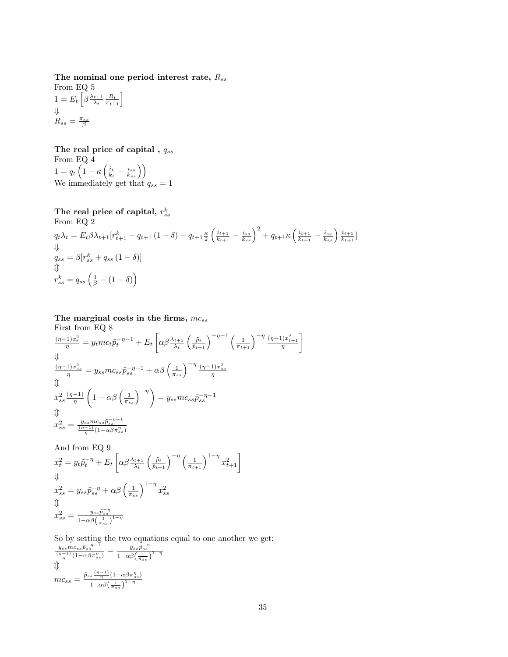The nominal one period interest rate,  $R_{ss}$ From EQ 5  $1 = E_t \left[ \beta \frac{\lambda_{t+1}}{\lambda_t} \right]$  $\left[\frac{t+1}{\lambda_t} \frac{R_t}{\pi_{t+1}}\right]$ 

$$
\Downarrow
$$
  

$$
R_{ss} = \frac{\pi_{ss}}{\beta}
$$

The real price of capital ,  $\mathit{q}_{ss}$ From EQ  $4$  $1 = q_t \left(1 - \kappa \left(\frac{i_t}{k_t} - \frac{i_{ss}}{k_{ss}}\right)\right)$ We immediately get that  $q_{ss} = 1$ 

The real price of capital, 
$$
r_{ss}^k
$$
  
\nFrom Eq 2  
\n $q_t \lambda_t = E_t \beta \lambda_{t+1} [r_{t+1}^k + q_{t+1} (1 - \delta) - q_{t+1} \frac{\kappa}{2} \left( \frac{i_{t+1}}{k_{t+1}} - \frac{i_{ss}}{k_{ss}} \right)^2 + q_{t+1} \kappa \left( \frac{i_{t+1}}{k_{t+1}} - \frac{i_{ss}}{k_{ss}} \right) \frac{i_{t+1}}{k_{t+1}} ]$   
\n $q_{ss} = \beta [r_{ss}^k + q_{ss} (1 - \delta)]$   
\n $\updownarrow$   
\n $r_{ss}^k = q_{ss} \left( \frac{1}{\beta} - (1 - \delta) \right)$ 

The marginal costs in the firms,  $mc_{ss}$ First from EQ 8

$$
\frac{(\eta-1)x_t^2}{\eta} = y_t mc_t \tilde{p}_t^{-\eta-1} + E_t \left[ \alpha \beta \frac{\lambda_{t+1}}{\lambda_t} \left( \frac{\tilde{p}_t}{\tilde{p}_{t+1}} \right)^{-\eta-1} \left( \frac{1}{\pi_{t+1}} \right)^{-\eta} \frac{(\eta-1)x_{t+1}^2}{\eta} \right]
$$
\n
$$
\Downarrow
$$
\n
$$
\frac{(\eta-1)x_{ss}^2}{\eta} = y_{ss}mc_{ss}\tilde{p}_{ss}^{-\eta-1} + \alpha \beta \left( \frac{1}{\pi_{ss}} \right)^{-\eta} \frac{(\eta-1)x_{ss}^2}{\eta}
$$
\n
$$
\Downarrow
$$
\n
$$
x_{ss}^2 \frac{(\eta-1)}{\eta} \left( 1 - \alpha \beta \left( \frac{1}{\pi_{ss}} \right)^{-\eta} \right) = y_{ss}mc_{ss}\tilde{p}_{ss}^{-\eta-1}
$$
\n
$$
\Downarrow
$$
\n
$$
x_{ss}^2 = \frac{y_{ss}mc_{ss}\tilde{p}_{ss}^{-\eta-1}}{\frac{(\eta-1)}{\eta}(1-\alpha\beta\pi_{ss}^2)}
$$

And from EQ 9

$$
x_t^2 = y_t \tilde{p}_t^{-\eta} + E_t \left[ \alpha \beta \frac{\lambda_{t+1}}{\lambda_t} \left( \frac{\tilde{p}_t}{\tilde{p}_{t+1}} \right)^{-\eta} \left( \frac{1}{\pi_{t+1}} \right)^{1-\eta} x_{t+1}^2 \right]
$$
  
\n
$$
x_{ss}^2 = y_{ss} \tilde{p}_{ss}^{-\eta} + \alpha \beta \left( \frac{1}{\pi_{ss}} \right)^{1-\eta} x_{ss}^2
$$
  
\n
$$
\hat{\psi}
$$
  
\n
$$
x_{ss}^2 = \frac{y_{ss} \tilde{p}_{ss}^{-\eta}}{1 - \alpha \beta \left( \frac{1}{\pi_{ss}} \right)^{1-\eta}}
$$

So by setting the two equations equal to one another we get:

$$
\frac{y_{ss}mc_{ss}\tilde{p}_{ss}^{-\eta-1}}{\eta(1-\alpha\beta\pi_{ss}^{\eta})} = \frac{y_{ss}\tilde{p}_{ss}^{-\eta}}{1-\alpha\beta\left(\frac{1}{\pi_{ss}}\right)^{1-\eta}}
$$

$$
\Downarrow
$$

$$
mc_{ss} = \frac{\tilde{p}_{ss}\frac{(\eta-1)}{\eta}\left(1-\alpha\beta\pi_{ss}^{\eta}\right)}{1-\alpha\beta\left(\frac{1}{\pi_{ss}}\right)^{1-\eta}}
$$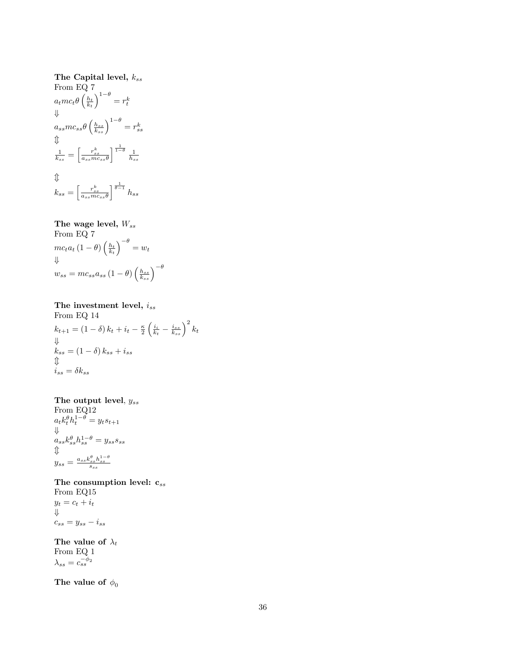# The Capital level,  $k_{ss}$ From EQ 7  $a_t m c_t \theta \left(\frac{h_t}{k_t}\right)^{1-\theta} = r_t^k$ + $a_{ss}mc_{ss}\theta\left(\frac{h_{ss}}{k_{ss}}\right)$  $\bigg)^{1-\theta}=r_{ss}^k$  $\downarrow$  $\frac{1}{k_{ss}} = \left\lceil \frac{r_{ss}^k}{a_{ss} m c_{ss} \theta} \right\rceil$  $\frac{1}{1-\theta} \frac{1}{h_{ss}}$  $\updownarrow$  $k_{ss} = \left\lceil \frac{r_{ss}^k}{a_{ss} m c_{ss} \theta} \right\rceil$  $\int_0^{\frac{1}{\theta-1}} h_{ss}$

# The wage level,  $W_{ss}$

From EQ 7  $mc_t a_t (1-\theta) \left(\frac{h_t}{k_t}\right)$  $\Big)^{-\theta}=w_t$ + $w_{ss} = mc_{ss}a_{ss} \left(1-\theta\right) \left(\frac{h_{ss}}{k_{ss}}\right)$  $\bigwedge -\theta$ 

# The investment level,  $i_{ss}$ From EQ 14  $k_{t+1} = (1 - \delta) k_t + i_t - \frac{\kappa}{2}$  $\left(\frac{i_i}{k_t}-\frac{i_{ss}}{k_{ss}}\right.$  $\big)^2 k_t$  $k_{ss} = (1 - \delta) k_{ss} + i_{ss}$  $\stackrel{\Downarrow}{i_{ss}} = \delta k_{ss}$

# The output level,  $y_{ss}$

From EQ12  $a_t k_t^{\theta} h_t^{1-\theta} = y_t s_{t+1}$  $a_{ss} k_{ss}^{\theta} h_{ss}^{1-\theta} = y_{ss} s_{ss}$  $\downarrow$  $y_{ss} = \frac{a_{ss} k_{ss}^{\theta} h_{ss}^{1-\theta}}{s_{ss}}$ 

The consumption level:  $\mathbf{c}_{ss}$ From EQ15  $y_t = c_t + i_t$ 

 $c_{ss} = y_{ss} - i_{ss}$ 

The value of  $\lambda_t$ From EQ 1  $\lambda_{ss} = c_{ss}^{-\phi_2}$ 

The value of  $\phi_0$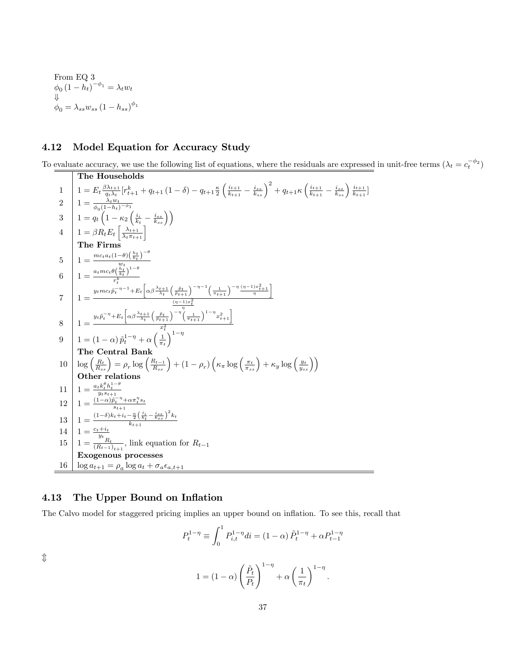From EQ 3  
\n
$$
\phi_0 (1 - h_t)^{-\phi_1} = \lambda_t w_t
$$
\n
$$
\psi_0 = \lambda_{ss} w_{ss} (1 - h_{ss})^{\phi_1}
$$

# 4.12 Model Equation for Accuracy Study

To evaluate accuracy, we use the following list of equations, where the residuals are expressed in unit-free terms  $(\lambda_t = c_t^{-\phi_2})$ 

The Households  
\n1 
$$
1 = E_t \frac{\beta \lambda_{t+1}}{\theta_t \lambda_t} [r_{t+1}^k + q_{t+1} (1 - \delta) - q_{t+1} \frac{\kappa}{2} \left( \frac{i_{t+1}}{k_{t+1}} - \frac{i_{ss}}{k_{ss}} \right)^2 + q_{t+1} \kappa \left( \frac{i_{t+1}}{k_{t+1}} - \frac{i_{ss}}{k_{ss}} \right) \frac{i_{t+1}}{k_{t+1}}]
$$
\n2 
$$
1 = \frac{\lambda_t w_t}{\phi_0 (1 - k_1 - k_2 \left( \frac{i_t}{k_t} - \frac{i_{ss}}{k_{ss}} \right))}
$$
\n3 
$$
1 = \frac{q_t \left( 1 - \kappa_2 \left( \frac{i_t}{k_t} - \frac{i_{ss}}{k_{ss}} \right) \right)}{1 - \frac{q_{t+1} \left( \frac{\lambda_{t+1}}{k_t} \right)^{1 - \theta}}}{1 - \frac{q_{t+1} \left( \frac{\lambda_{t+1}}{k_t} \right)^{1 - \theta}}{r_t^2}}
$$
\n4 
$$
1 = \frac{q_{t+1} \left( 1 - q \right) \left( \frac{k_t}{k_t} \right)^{-\theta}}{r_t^2}
$$
\n5 
$$
1 = \frac{q_{t+1} \left( 1 - q \right) \frac{\lambda_{t+1}}{k_t} \left( \frac{\lambda_{t+1}}{k_t} \right)^{-\eta - 1} \left( \frac{1}{\pi_{t+1}} \right)^{-\eta} \frac{(\eta - 1) z_{t+1}^2}{\eta}}{1 - \left( 1 - \alpha \right) \hat{p}_t^{1 - \eta} + \alpha \left( \frac{1}{\pi_t} \right)^{-\eta} \left( \frac{1}{\pi_{t+1}} \right)^{1 - \eta} x_{t+1}^2
$$
\n9 
$$
1 = (1 - \alpha) \hat{p}_t^{1 - \eta} + \alpha \left( \frac{1}{\pi_t} \right)^{1 - \eta}
$$
\n10 **Cher relation**  
\n10 
$$
\log \left( \frac{R_t}{R_{ss}} \right) = \rho_r \log \left( \frac{R_{t-1}}{R_{ss}} \right) + (1 - \rho_r) \left( \kappa_r \log \left( \frac{\pi_t}{\pi_{
$$

## 4.13 The Upper Bound on Inflation

The Calvo model for staggered pricing implies an upper bound on inflation. To see this, recall that

$$
P_t^{1-\eta} \equiv \int_0^1 P_{i,t}^{1-\eta} di = (1-\alpha) \tilde{P}_t^{1-\eta} + \alpha P_{t-1}^{1-\eta}
$$

$$
1 = (1-\alpha) \left(\frac{\tilde{P}_t}{P_t}\right)^{1-\eta} + \alpha \left(\frac{1}{\pi_t}\right)^{1-\eta}.
$$

 $\updownarrow$ 

 $\pi_t$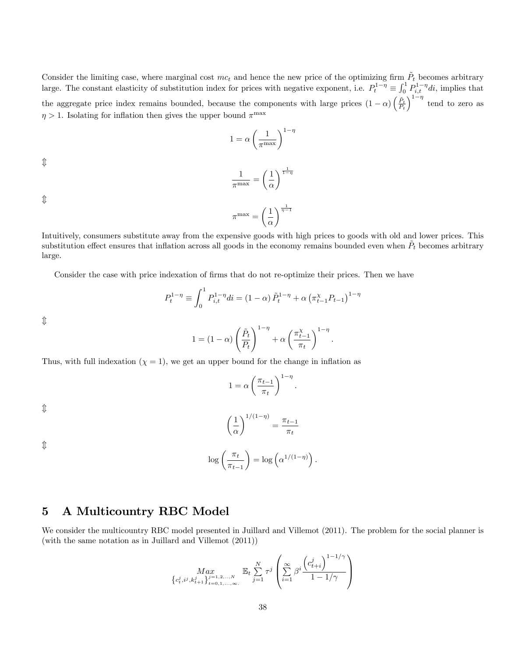Consider the limiting case, where marginal cost  $mc_t$  and hence the new price of the optimizing firm  $\tilde{P}_t$  becomes arbitrary large. The constant elasticity of substitution index for prices with negative exponent, i.e.  $P_t^{1-\eta} \equiv \int_0^1 P_{i,t}^{1-\eta} di$ , implies that the aggregate price index remains bounded, because the components with large prices  $(1 - \alpha) \left( \frac{\tilde{P}_t}{P_t} \right)$  $\int_{0}^{1-\eta}$  tend to zero as  $\eta > 1$ . Isolating for inflation then gives the upper bound  $\pi^{\max}$ 

$$
1 = \alpha \left(\frac{1}{\pi^{\max}}\right)^{1-\eta}
$$

 $\hat{\mathbb{I}}$ 

$$
\frac{1}{\pi^{\max}} = \left(\frac{1}{\alpha}\right)^{\frac{1}{1-\eta}}
$$

 $\hat{\mathbb{U}}$ 

$$
\pi^{\max} = \left(\frac{1}{\alpha}\right)^{\frac{1}{\eta - 1}}
$$

Intuitively, consumers substitute away from the expensive goods with high prices to goods with old and lower prices. This substitution effect ensures that inflation across all goods in the economy remains bounded even when  $\tilde{P}_t$  becomes arbitrary large.

Consider the case with price indexation of firms that do not re-optimize their prices. Then we have

$$
P_t^{1-\eta} \equiv \int_0^1 P_{i,t}^{1-\eta} di = (1-\alpha) \tilde{P}_t^{1-\eta} + \alpha \left(\pi_{t-1}^{\chi} P_{t-1}\right)^{1-\eta}
$$

 $\hat{\mathbb{I}}$ 

$$
1 = (1 - \alpha) \left(\frac{\tilde{P}_t}{P_t}\right)^{1 - \eta} + \alpha \left(\frac{\pi_{t-1}^{\chi}}{\pi_t}\right)^{1 - \eta}
$$

:

Thus, with full indexation  $(\chi = 1)$ , we get an upper bound for the change in inflation as

$$
1 = \alpha \left(\frac{\pi_{t-1}}{\pi_t}\right)^{1-\eta}.
$$

 $\hat{\mathbb{I}}$ 

$$
\left(\frac{1}{\alpha}\right)^{1/(1-\eta)} = \frac{\pi_{t-1}}{\pi_t}
$$

 $\hat{\mathbb{I}}$ 

$$
\log\left(\frac{\pi_t}{\pi_{t-1}}\right) = \log\left(\alpha^{1/(1-\eta)}\right).
$$

# 5 A Multicountry RBC Model

We consider the multicountry RBC model presented in Juillard and Villemot (2011). The problem for the social planner is (with the same notation as in Juillard and Villemot (2011))

$$
\underset{\left\{c_{t}^{j}, i^{j}, k_{t+1}^{j}\right\}_{t=0,1,...,\infty}}{Max} \mathbb{E}_{t} \sum_{j=1}^{N} \tau^{j} \left( \sum_{i=1}^{\infty} \beta^{i} \frac{\left(c_{t+i}^{j}\right)^{1-1/\gamma}}{1-1/\gamma} \right)
$$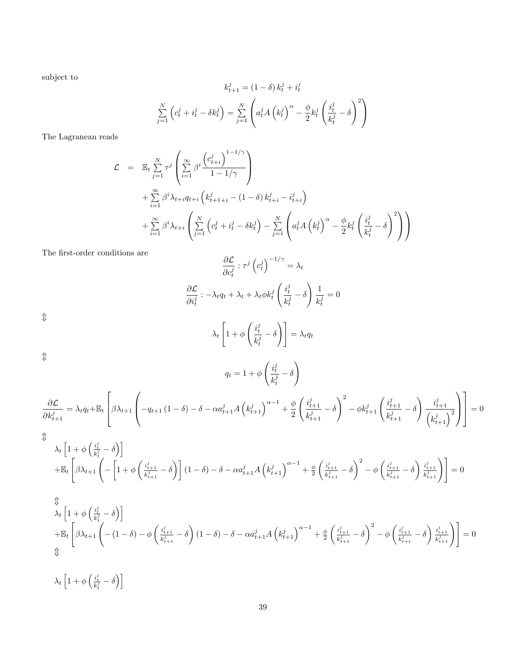subject to

$$
k_{t+1}^{j} = (1 - \delta) k_t^{j} + i_t^{j}
$$

$$
\sum_{j=1}^{N} \left( c_t^{j} + i_t^{j} - \delta k_t^{j} \right) = \sum_{j=1}^{N} \left( a_t^{j} A \left( k_t^{j} \right)^{\alpha} - \frac{\phi}{2} k_t^{j} \left( \frac{i_t^{j}}{k_t^{j}} - \delta \right)^{2} \right)
$$

The Lagranean reads

$$
\mathcal{L} = \mathbb{E}_t \sum_{j=1}^N \tau^j \left( \sum_{i=1}^\infty \beta^i \frac{\left( c_{t+i}^j \right)^{1-1/\gamma}}{1-1/\gamma} \right) \n+ \sum_{i=1}^\infty \beta^i \lambda_{t+i} q_{t+i} \left( k_{t+1+i}^j - (1-\delta) k_{t+i}^j - i_{t+i}^j \right) \n+ \sum_{i=1}^\infty \beta^i \lambda_{t+i} \left( \sum_{j=1}^N \left( c_t^j + i_t^j - \delta k_t^j \right) - \sum_{j=1}^N \left( a_t^j A \left( k_t^j \right)^\alpha - \frac{\phi}{2} k_t^j \left( \frac{i_t^j}{k_t^j} - \delta \right)^2 \right) \right)
$$

The first-order conditions are

$$
\frac{\partial \mathcal{L}}{\partial c_t^j} : \tau^j \left( c_t^j \right)^{-1/\gamma} = \lambda_t
$$

$$
\frac{\partial \mathcal{L}}{\partial i_t^j} : -\lambda_t q_t + \lambda_t + \lambda_t \phi k_t^j \left( \frac{i_t^j}{k_t^j} - \delta \right) \frac{1}{k_t^j} = 0
$$

 $\updownarrow$ 

$$
\lambda_t \left[ 1 + \phi \left( \frac{i_t^j}{k_t^j} - \delta \right) \right] = \lambda_t q_t
$$

 $q_t = 1 + \phi$ 

 $\updownarrow$ 

$$
q_{t} = 1 + \phi \left(\frac{\partial f}{\partial x_{t+1}} - \delta\right)
$$

$$
\frac{\partial f}{\partial x_{t+1}} = \lambda_{t} q_{t} + \mathbb{E}_{t} \left[ \beta \lambda_{t+1} \left( -q_{t+1} \left( 1 - \delta \right) - \delta - \alpha a_{t+1}^{j} A \left( k_{t+1}^{j} \right)^{\alpha - 1} + \frac{\phi}{2} \left( \frac{i_{t+1}^{j}}{k_{t+1}^{j}} - \delta \right)^{2} - \phi k_{t+1}^{j} \left( \frac{i_{t+1}^{j}}{k_{t+1}^{j}} - \delta \right) \frac{i_{t+1}^{j}}{\left( k_{t+1}^{j} \right)^{2}} \right) \right] = 0
$$

 $\int i_t^j$ 

!

 $\mathbbmss{D}$ 

$$
\lambda_{t}\left[1+\phi\left(\frac{i_{t}^{j}}{k_{t}^{j}}-\delta\right)\right]
$$
\n
$$
+\mathbb{E}_{t}\left[\beta\lambda_{t+1}\left(-\left[1+\phi\left(\frac{i_{t+1}^{j}}{k_{t+1}^{j}}-\delta\right)\right](1-\delta)-\delta-\alpha a_{t+1}^{j}A\left(k_{t+1}^{j}\right)^{\alpha-1}+\frac{\phi}{2}\left(\frac{i_{t+1}^{j}}{k_{t+1}^{j}}-\delta\right)^{2}-\phi\left(\frac{i_{t+1}^{j}}{k_{t+1}^{j}}-\delta\right)\frac{i_{t+1}^{j}}{k_{t+1}^{j}}\right)\right]=0
$$
\n
$$
\hat{\lambda}_{t}\left[1+\phi\left(\frac{i_{t}^{j}}{k_{t}^{j}}-\delta\right)\right]
$$
\n
$$
+\mathbb{E}_{t}\left[\beta\lambda_{t+1}\left(-\left(1-\delta\right)-\phi\left(\frac{i_{t+1}^{j}}{k_{t+1}^{j}}-\delta\right)(1-\delta)-\delta-\alpha a_{t+1}^{j}A\left(k_{t+1}^{j}\right)^{\alpha-1}+\frac{\phi}{2}\left(\frac{i_{t+1}^{j}}{k_{t+1}^{j}}-\delta\right)^{2}-\phi\left(\frac{i_{t+1}^{j}}{k_{t+1}^{j}}-\delta\right)\frac{i_{t+1}^{j}}{k_{t+1}^{j}}\right)\right]=0
$$
\n
$$
\hat{\lambda}_{t}\left[1+\phi\left(\frac{i_{t}^{j}}{k_{t}^{j}}-\delta\right)\right]
$$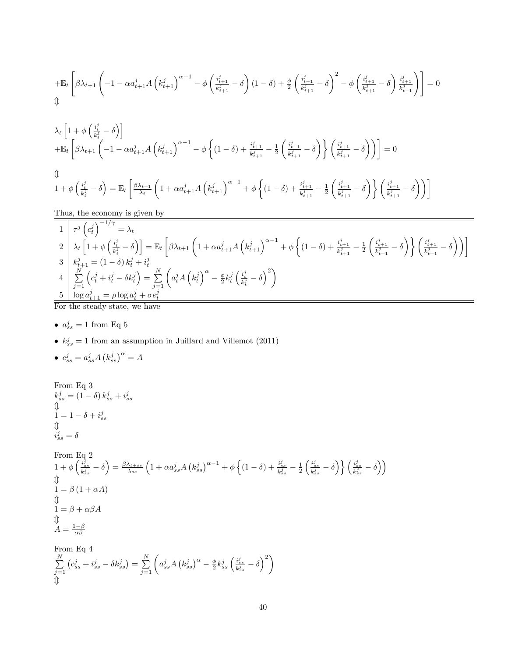$$
+ \mathbb{E}_t\left[\beta \lambda_{t+1}\left(-1-\alpha a^j_{t+1}A\left(k^j_{t+1}\right)^{\alpha-1}-\phi\left(\frac{i^j_{t+1}}{k^j_{t+1}}-\delta\right)(1-\delta)+\frac{\phi}{2}\left(\frac{i^j_{t+1}}{k^j_{t+1}}-\delta\right)^2-\phi\left(\frac{i^j_{t+1}}{k^j_{t+1}}-\delta\right)\frac{i^j_{t+1}}{k^j_{t+1}}\right)\right]=0
$$

$$
\lambda_t \left[ 1 + \phi \left( \frac{i_t^j}{k_t^j} - \delta \right) \right]
$$
\n
$$
+ \mathbb{E}_t \left[ \beta \lambda_{t+1} \left( -1 - \alpha a_{t+1}^j A \left( k_{t+1}^j \right)^{\alpha - 1} - \phi \left\{ (1 - \delta) + \frac{i_{t+1}^j}{k_{t+1}^j} - \frac{1}{2} \left( \frac{i_{t+1}^j}{k_{t+1}^j} - \delta \right) \right\} \right] \left( \frac{i_{t+1}^j}{k_{t+1}^j} - \delta \right) \right) \right] = 0
$$
\n
$$
\Downarrow
$$
\n
$$
1 + \phi \left( \frac{i_t^j}{k_t^j} - \delta \right) = \mathbb{E}_t \left[ \frac{\beta \lambda_{t+1}}{\lambda_t} \left( 1 + \alpha a_{t+1}^j A \left( k_{t+1}^j \right)^{\alpha - 1} + \phi \left\{ (1 - \delta) + \frac{i_{t+1}^j}{k_{t+1}^j} - \frac{1}{2} \left( \frac{i_{t+1}^j}{k_{t+1}^j} - \delta \right) \right\} \right] \left( \frac{i_{t+1}^j}{k_{t+1}^j} - \delta \right) \right)
$$

Thus, the economy is given by

$$
\begin{array}{l}\n1 & \tau^{j} \left(c_{t}^{j}\right)^{-1/\gamma} = \lambda_{t} \\
2 & \lambda_{t} \left[1 + \phi\left(\frac{i_{t}^{j}}{k_{t}^{j}} - \delta\right)\right] = \mathbb{E}_{t} \left[\beta \lambda_{t+1} \left(1 + \alpha a_{t+1}^{j} A\left(k_{t+1}^{j}\right)^{\alpha-1} + \phi\left\{(1 - \delta) + \frac{i_{t+1}^{j}}{k_{t+1}^{j}} - \frac{1}{2}\left(\frac{i_{t+1}^{j}}{k_{t+1}^{j}} - \delta\right)\right\}\left(\frac{i_{t+1}^{j}}{k_{t+1}^{j}} - \delta\right)\right)\right] \\
3 & \lambda_{t+1}^{j} = (1 - \delta) k_{t}^{j} + i_{t}^{j} \\
4 & \sum_{j=1}^{N} \left(c_{t}^{j} + i_{t}^{j} - \delta k_{t}^{j}\right) = \sum_{j=1}^{N} \left(a_{t}^{j} A\left(k_{t}^{j}\right)^{\alpha} - \frac{\phi}{2} k_{t}^{j} \left(\frac{i_{t}^{j}}{k_{t}^{j}} - \delta\right)^{2}\right) \\
5 & \log a_{t+1}^{j} = \rho \log a_{t}^{j} + \sigma e_{t}^{j}\n\end{array}
$$

For the steady state, we have

- $a_{ss}^j = 1$  from Eq 5
- $k_{ss}^j = 1$  from an assumption in Juillard and Villemot (2011)
- $c_{ss}^j = a_{ss}^j A (k_{ss}^j)^\alpha = A$

From Eq 3  $k_{ss}^{j} = (1 - \delta) k_{ss}^{j} + i_{ss}^{j}$  $\hat{\hat{\mathbf{h}}}$  $1 = 1 - \delta + i_{ss}^j$  $\overline{\hat{\pi}}$  $i_{ss}^j = \delta$ 

From Eq 2  
\n
$$
1 + \phi \left( \frac{i_{ss}^j}{k_{ss}^j} - \delta \right) = \frac{\beta \lambda_{t+ss}}{\lambda_{ss}} \left( 1 + \alpha a_{ss}^j A \left( k_{ss}^j \right)^{\alpha - 1} + \phi \left\{ (1 - \delta) + \frac{i_{ss}^j}{k_{ss}^j} - \frac{1}{2} \left( \frac{i_{ss}^j}{k_{ss}^j} - \delta \right) \right\} \left( \frac{i_{ss}^j}{k_{ss}^j} - \delta \right) \right)
$$
\n
$$
\updownarrow
$$
\n
$$
1 = \beta (1 + \alpha A)
$$
\n
$$
\updownarrow
$$
\n
$$
A = \frac{1 - \beta}{\alpha \beta}
$$

From Eq 4  $\sum_{i=1}^{N}$  $j=1$  $\left(c_{ss}^j+i_{ss}^j-\delta k_{ss}^j\right)=\sum\limits_{j=1}^N\Bigg($  $a_{ss}^{j}A\left(k_{ss}^{j}\right)^{\alpha}-\frac{\phi}{2}k_{ss}^{j}\left(\frac{i_{ss}^{j}}{k_{ss}^{j}}-\delta\right)^{2}\bigg)$  $\downarrow$